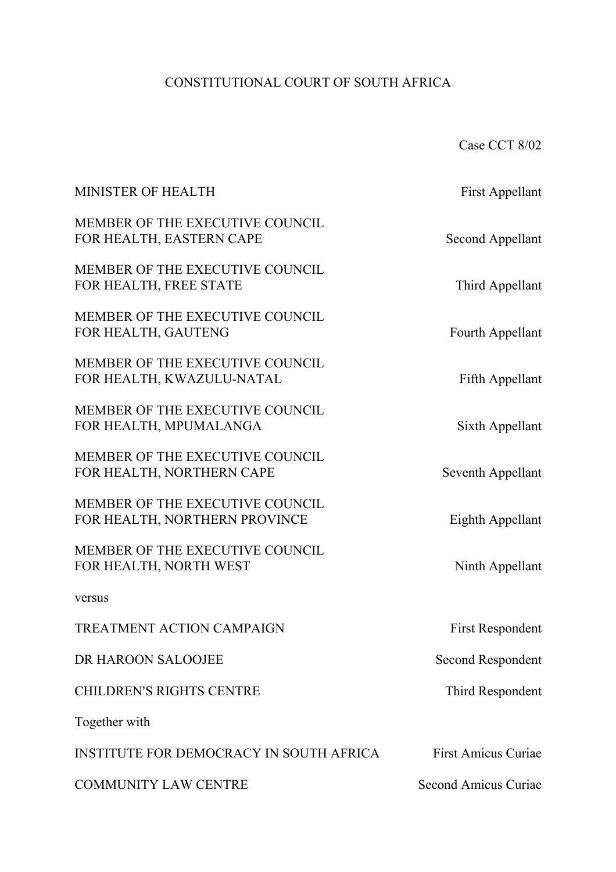# CONSTITUTIONAL COURT OF SOUTH AFRICA

Case CCT 8/02

| <b>Second Appellant</b>     |
|-----------------------------|
| Third Appellant             |
| Fourth Appellant            |
| Fifth Appellant             |
| <b>Sixth Appellant</b>      |
| Seventh Appellant           |
| Eighth Appellant            |
| Ninth Appellant             |
|                             |
| <b>First Respondent</b>     |
| Second Respondent           |
| Third Respondent            |
|                             |
| <b>First Amicus Curiae</b>  |
| <b>Second Amicus Curiae</b> |
|                             |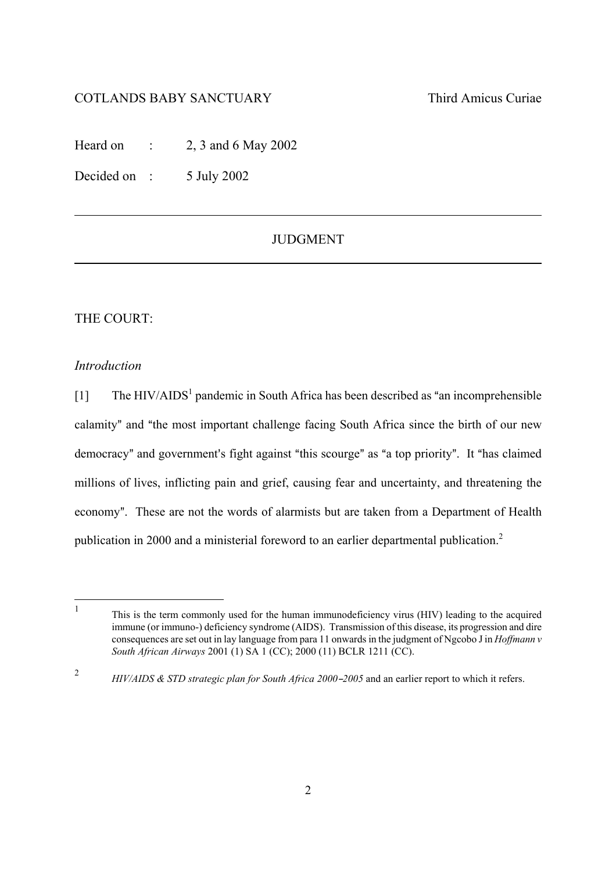### COTLANDS BABY SANCTUARY Third Amicus Curiae

Heard on :  $2, 3$  and 6 May 2002

Decided on : 5 July 2002

## JUDGMENT

THE COURT:

### *Introduction*

[[1](#page-1-0)] The HIV/AIDS<sup>1</sup> pandemic in South Africa has been described as "an incomprehensible" calamity" and "the most important challenge facing South Africa since the birth of our new democracy" and government's fight against "this scourge" as "a top priority". It "has claimed millions of lives, inflicting pain and grief, causing fear and uncertainty, and threatening the economy". These are not the words of alarmists but are taken from a Department of Health publication in [2](#page-1-1)000 and a ministerial foreword to an earlier departmental publication.<sup>2</sup>

<span id="page-1-0"></span> $\overline{1}$ <sup>1</sup> This is the term commonly used for the human immunodeficiency virus (HIV) leading to the acquired immune (or immuno-) deficiency syndrome (AIDS). Transmission of this disease, its progression and dire consequences are set out in lay language from para 11 onwards in the judgment of Ngcobo J in *Hoffmann v South African Airways* 2001 (1) SA 1 (CC); 2000 (11) BCLR 1211 (CC).

<span id="page-1-1"></span><sup>&</sup>lt;sup>2</sup> *HIV/AIDS & STD strategic plan for South Africa 2000–2005* and an earlier report to which it refers.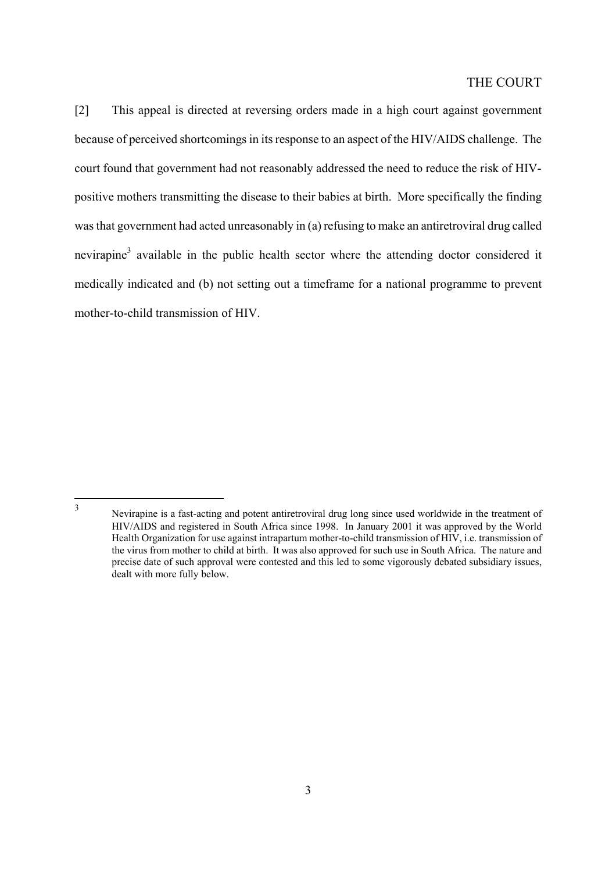[2] This appeal is directed at reversing orders made in a high court against government because of perceived shortcomings in its response to an aspect of the HIV/AIDS challenge. The court found that government had not reasonably addressed the need to reduce the risk of HIVpositive mothers transmitting the disease to their babies at birth. More specifically the finding was that government had acted unreasonably in (a) refusing to make an antiretroviral drug called nevirapine<sup>[3](#page-2-0)</sup> available in the public health sector where the attending doctor considered it medically indicated and (b) not setting out a timeframe for a national programme to prevent mother-to-child transmission of HIV.

<span id="page-2-0"></span> $\overline{3}$ Nevirapine is a fast-acting and potent antiretroviral drug long since used worldwide in the treatment of HIV/AIDS and registered in South Africa since 1998. In January 2001 it was approved by the World Health Organization for use against intrapartum mother-to-child transmission of HIV, i.e. transmission of the virus from mother to child at birth. It was also approved for such use in South Africa. The nature and precise date of such approval were contested and this led to some vigorously debated subsidiary issues, dealt with more fully below.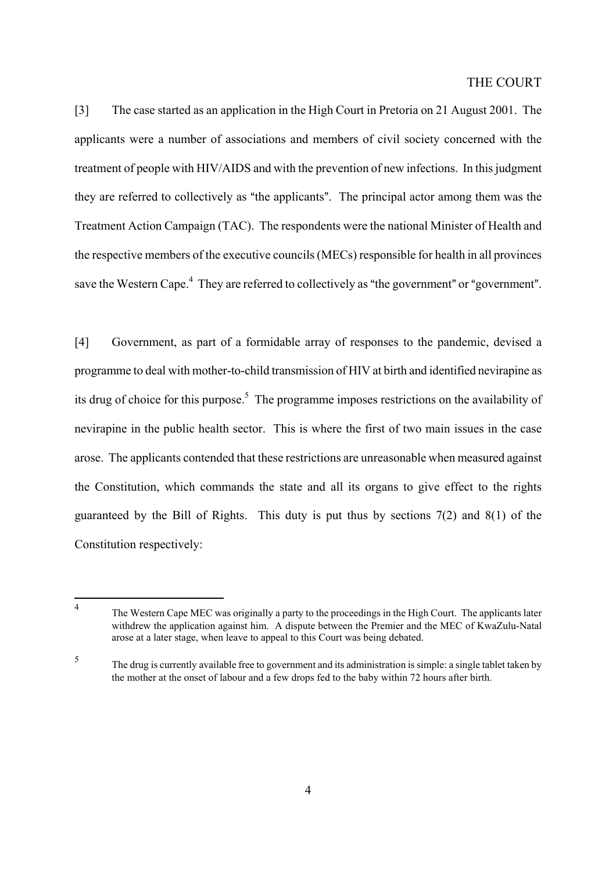[3] The case started as an application in the High Court in Pretoria on 21 August 2001. The applicants were a number of associations and members of civil society concerned with the treatment of people with HIV/AIDS and with the prevention of new infections. In this judgment they are referred to collectively as "the applicants". The principal actor among them was the Treatment Action Campaign (TAC). The respondents were the national Minister of Health and the respective members of the executive councils (MECs) responsible for health in all provinces save the Western Cape.<sup>[4](#page-3-0)</sup> They are referred to collectively as "the government" or "government".

[4] Government, as part of a formidable array of responses to the pandemic, devised a programme to deal with mother-to-child transmission of HIV at birth and identified nevirapine as its drug of choice for this purpose.<sup>5</sup> The programme imposes restrictions on the availability of nevirapine in the public health sector. This is where the first of two main issues in the case arose. The applicants contended that these restrictions are unreasonable when measured against the Constitution, which commands the state and all its organs to give effect to the rights guaranteed by the Bill of Rights. This duty is put thus by sections 7(2) and 8(1) of the Constitution respectively:

<span id="page-3-0"></span> $\overline{4}$ <sup>4</sup> The Western Cape MEC was originally a party to the proceedings in the High Court. The applicants later withdrew the application against him. A dispute between the Premier and the MEC of KwaZulu-Natal arose at a later stage, when leave to appeal to this Court was being debated.

<span id="page-3-1"></span><sup>5</sup> The drug is currently available free to government and its administration is simple: a single tablet taken by the mother at the onset of labour and a few drops fed to the baby within 72 hours after birth.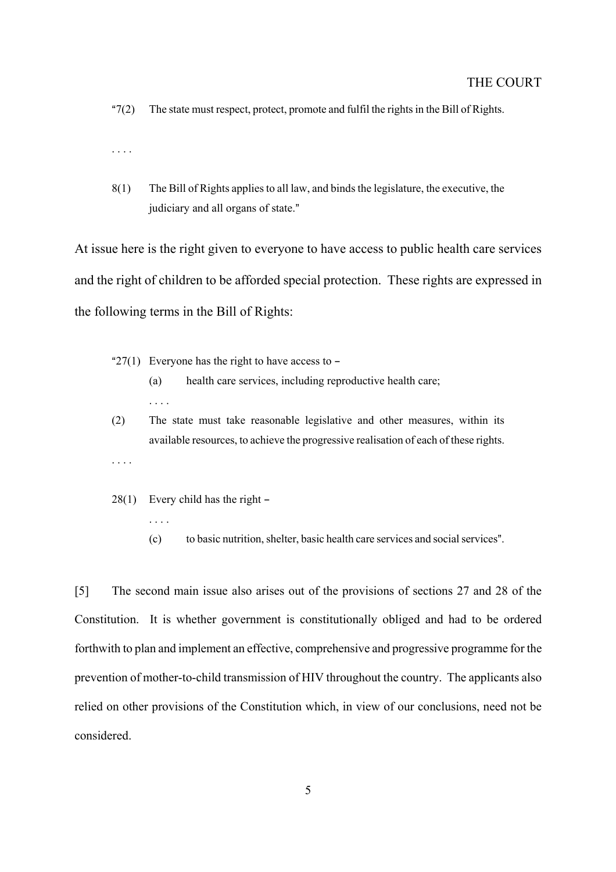$47(2)$  The state must respect, protect, promote and fulfil the rights in the Bill of Rights.

. . . .

8(1) The Bill of Rights applies to all law, and binds the legislature, the executive, the judiciary and all organs of state."

At issue here is the right given to everyone to have access to public health care services and the right of children to be afforded special protection. These rights are expressed in the following terms in the Bill of Rights:

" $27(1)$  Everyone has the right to have access to -

(a) health care services, including reproductive health care; . . . .

- (2) The state must take reasonable legislative and other measures, within its available resources, to achieve the progressive realisation of each of these rights. . . . .
- $28(1)$  Every child has the right -
	- . . . .
		- $(c)$  to basic nutrition, shelter, basic health care services and social services".

[5] The second main issue also arises out of the provisions of sections 27 and 28 of the Constitution. It is whether government is constitutionally obliged and had to be ordered forthwith to plan and implement an effective, comprehensive and progressive programme for the prevention of mother-to-child transmission of HIV throughout the country. The applicants also relied on other provisions of the Constitution which, in view of our conclusions, need not be considered.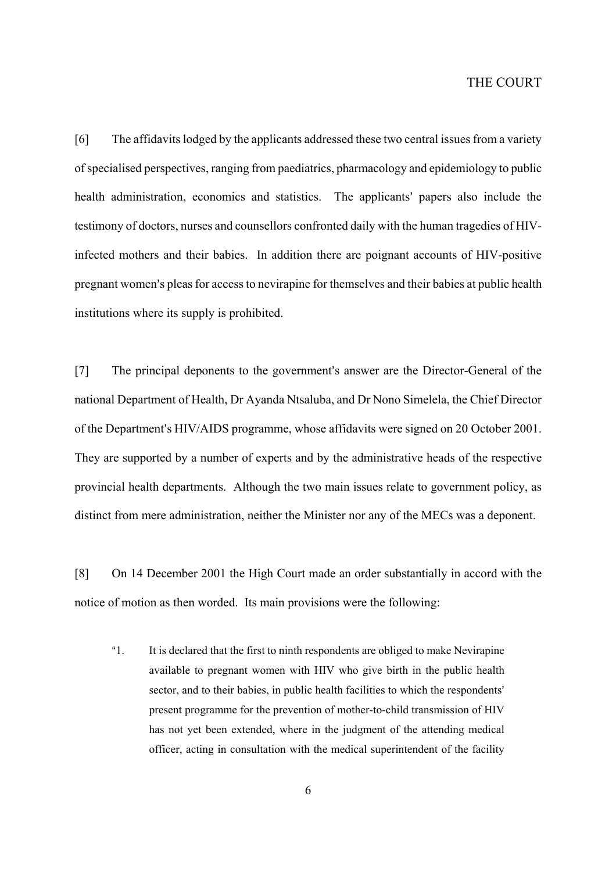[6] The affidavits lodged by the applicants addressed these two central issues from a variety of specialised perspectives, ranging from paediatrics, pharmacology and epidemiology to public health administration, economics and statistics. The applicants' papers also include the testimony of doctors, nurses and counsellors confronted daily with the human tragedies of HIVinfected mothers and their babies. In addition there are poignant accounts of HIV-positive pregnant women's pleas for access to nevirapine for themselves and their babies at public health institutions where its supply is prohibited.

[7] The principal deponents to the government's answer are the Director-General of the national Department of Health, Dr Ayanda Ntsaluba, and Dr Nono Simelela, the Chief Director of the Department's HIV/AIDS programme, whose affidavits were signed on 20 October 2001. They are supported by a number of experts and by the administrative heads of the respective provincial health departments. Although the two main issues relate to government policy, as distinct from mere administration, neither the Minister nor any of the MECs was a deponent.

[8] On 14 December 2001 the High Court made an order substantially in accord with the notice of motion as then worded. Its main provisions were the following:

A1. It is declared that the first to ninth respondents are obliged to make Nevirapine available to pregnant women with HIV who give birth in the public health sector, and to their babies, in public health facilities to which the respondents' present programme for the prevention of mother-to-child transmission of HIV has not yet been extended, where in the judgment of the attending medical officer, acting in consultation with the medical superintendent of the facility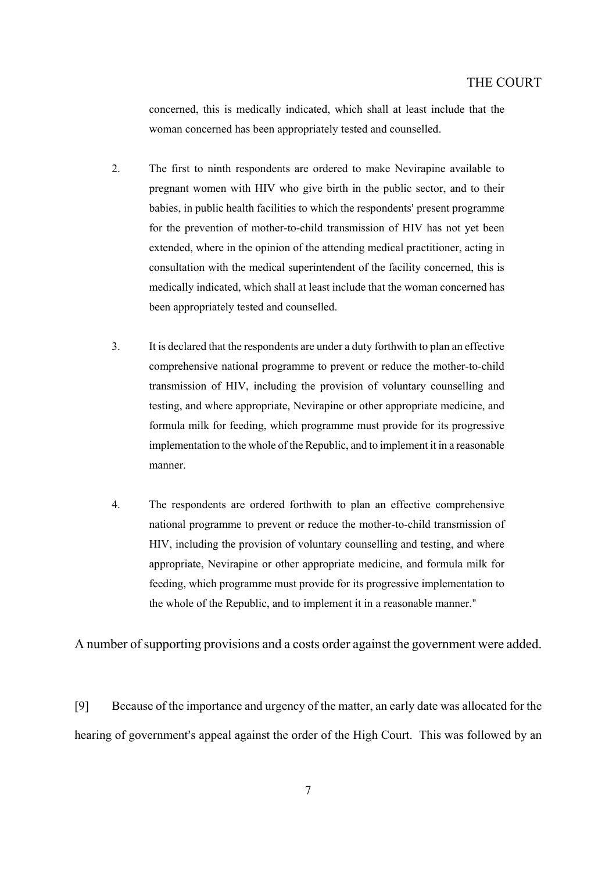concerned, this is medically indicated, which shall at least include that the woman concerned has been appropriately tested and counselled.

- 2. The first to ninth respondents are ordered to make Nevirapine available to pregnant women with HIV who give birth in the public sector, and to their babies, in public health facilities to which the respondents' present programme for the prevention of mother-to-child transmission of HIV has not yet been extended, where in the opinion of the attending medical practitioner, acting in consultation with the medical superintendent of the facility concerned, this is medically indicated, which shall at least include that the woman concerned has been appropriately tested and counselled.
- 3. It is declared that the respondents are under a duty forthwith to plan an effective comprehensive national programme to prevent or reduce the mother-to-child transmission of HIV, including the provision of voluntary counselling and testing, and where appropriate, Nevirapine or other appropriate medicine, and formula milk for feeding, which programme must provide for its progressive implementation to the whole of the Republic, and to implement it in a reasonable manner.
- 4. The respondents are ordered forthwith to plan an effective comprehensive national programme to prevent or reduce the mother-to-child transmission of HIV, including the provision of voluntary counselling and testing, and where appropriate, Nevirapine or other appropriate medicine, and formula milk for feeding, which programme must provide for its progressive implementation to the whole of the Republic, and to implement it in a reasonable manner."

A number of supporting provisions and a costs order against the government were added.

[9] Because of the importance and urgency of the matter, an early date was allocated for the hearing of government's appeal against the order of the High Court. This was followed by an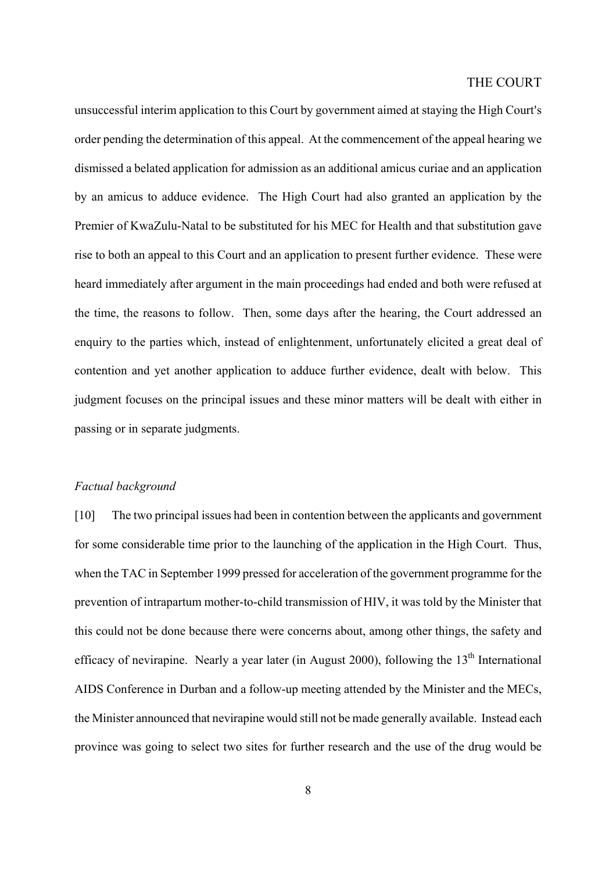unsuccessful interim application to this Court by government aimed at staying the High Court's order pending the determination of this appeal. At the commencement of the appeal hearing we dismissed a belated application for admission as an additional amicus curiae and an application by an amicus to adduce evidence. The High Court had also granted an application by the Premier of KwaZulu-Natal to be substituted for his MEC for Health and that substitution gave rise to both an appeal to this Court and an application to present further evidence. These were heard immediately after argument in the main proceedings had ended and both were refused at the time, the reasons to follow. Then, some days after the hearing, the Court addressed an enquiry to the parties which, instead of enlightenment, unfortunately elicited a great deal of contention and yet another application to adduce further evidence, dealt with below. This judgment focuses on the principal issues and these minor matters will be dealt with either in passing or in separate judgments.

#### *Factual background*

[10] The two principal issues had been in contention between the applicants and government for some considerable time prior to the launching of the application in the High Court. Thus, when the TAC in September 1999 pressed for acceleration of the government programme for the prevention of intrapartum mother-to-child transmission of HIV, it was told by the Minister that this could not be done because there were concerns about, among other things, the safety and efficacy of nevirapine. Nearly a year later (in August 2000), following the  $13<sup>th</sup>$  International AIDS Conference in Durban and a follow-up meeting attended by the Minister and the MECs, the Minister announced that nevirapine would still not be made generally available. Instead each province was going to select two sites for further research and the use of the drug would be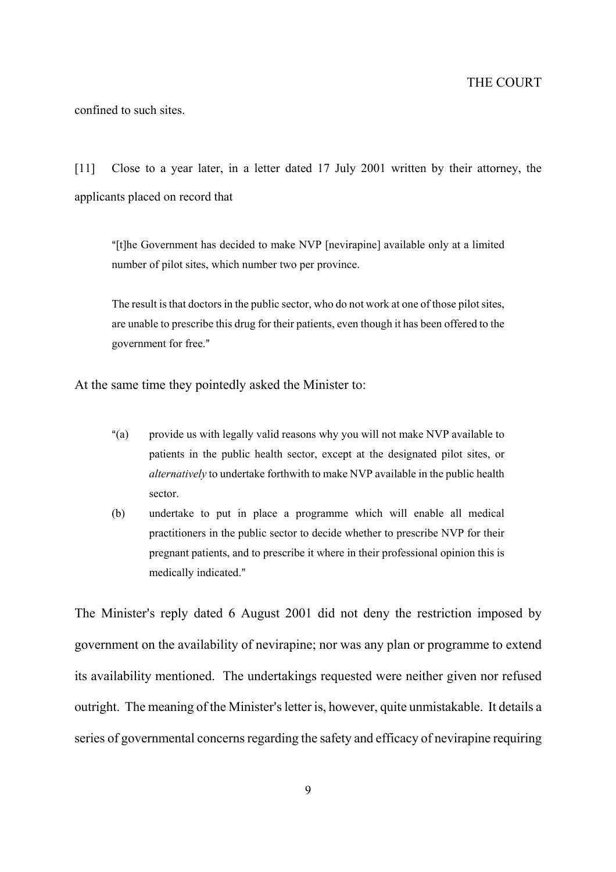confined to such sites.

[11] Close to a year later, in a letter dated 17 July 2001 written by their attorney, the applicants placed on record that

A[t]he Government has decided to make NVP [nevirapine] available only at a limited number of pilot sites, which number two per province.

The result is that doctors in the public sector, who do not work at one of those pilot sites, are unable to prescribe this drug for their patients, even though it has been offered to the government for free."

At the same time they pointedly asked the Minister to:

- A(a) provide us with legally valid reasons why you will not make NVP available to patients in the public health sector, except at the designated pilot sites, or *alternatively* to undertake forthwith to make NVP available in the public health sector.
- (b) undertake to put in place a programme which will enable all medical practitioners in the public sector to decide whether to prescribe NVP for their pregnant patients, and to prescribe it where in their professional opinion this is medically indicated."

The Minister's reply dated 6 August 2001 did not deny the restriction imposed by government on the availability of nevirapine; nor was any plan or programme to extend its availability mentioned. The undertakings requested were neither given nor refused outright. The meaning of the Minister's letter is, however, quite unmistakable. It details a series of governmental concerns regarding the safety and efficacy of nevirapine requiring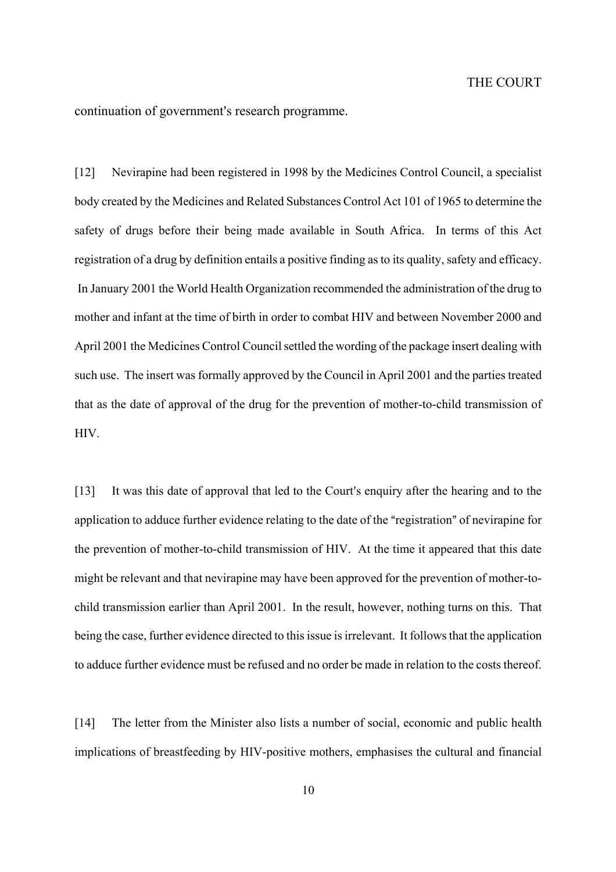continuation of government's research programme.

[12] Nevirapine had been registered in 1998 by the Medicines Control Council, a specialist body created by the Medicines and Related Substances Control Act 101 of 1965 to determine the safety of drugs before their being made available in South Africa. In terms of this Act registration of a drug by definition entails a positive finding as to its quality, safety and efficacy. In January 2001 the World Health Organization recommended the administration of the drug to mother and infant at the time of birth in order to combat HIV and between November 2000 and April 2001 the Medicines Control Council settled the wording of the package insert dealing with such use. The insert was formally approved by the Council in April 2001 and the parties treated that as the date of approval of the drug for the prevention of mother-to-child transmission of HIV.

[13] It was this date of approval that led to the Court's enquiry after the hearing and to the application to adduce further evidence relating to the date of the "registration" of nevirapine for the prevention of mother-to-child transmission of HIV. At the time it appeared that this date might be relevant and that nevirapine may have been approved for the prevention of mother-tochild transmission earlier than April 2001. In the result, however, nothing turns on this. That being the case, further evidence directed to this issue is irrelevant. It follows that the application to adduce further evidence must be refused and no order be made in relation to the costs thereof.

[14] The letter from the Minister also lists a number of social, economic and public health implications of breastfeeding by HIV-positive mothers, emphasises the cultural and financial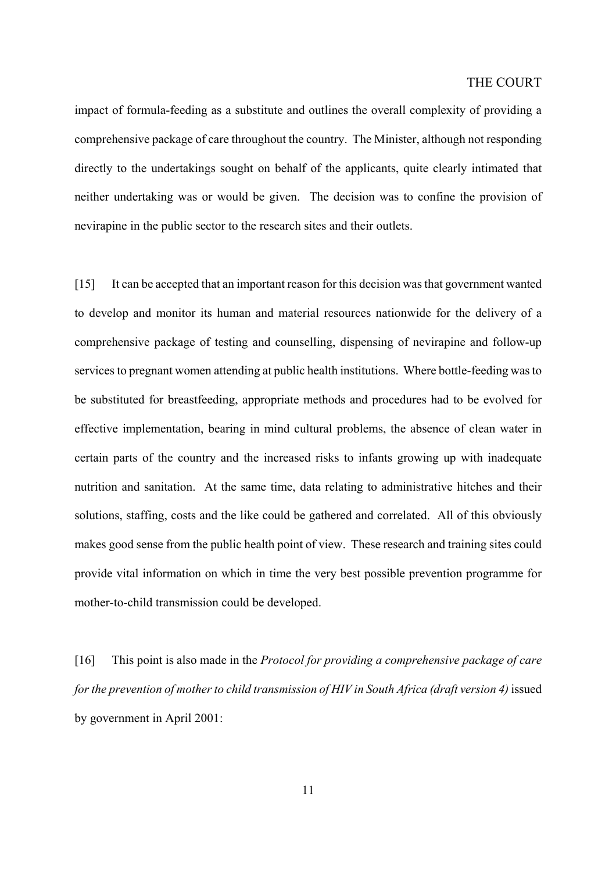impact of formula-feeding as a substitute and outlines the overall complexity of providing a comprehensive package of care throughout the country. The Minister, although not responding directly to the undertakings sought on behalf of the applicants, quite clearly intimated that neither undertaking was or would be given. The decision was to confine the provision of nevirapine in the public sector to the research sites and their outlets.

[15] It can be accepted that an important reason for this decision was that government wanted to develop and monitor its human and material resources nationwide for the delivery of a comprehensive package of testing and counselling, dispensing of nevirapine and follow-up services to pregnant women attending at public health institutions. Where bottle-feeding was to be substituted for breastfeeding, appropriate methods and procedures had to be evolved for effective implementation, bearing in mind cultural problems, the absence of clean water in certain parts of the country and the increased risks to infants growing up with inadequate nutrition and sanitation. At the same time, data relating to administrative hitches and their solutions, staffing, costs and the like could be gathered and correlated. All of this obviously makes good sense from the public health point of view. These research and training sites could provide vital information on which in time the very best possible prevention programme for mother-to-child transmission could be developed.

[16] This point is also made in the *Protocol for providing a comprehensive package of care for the prevention of mother to child transmission of HIV in South Africa (draft version 4)* issued by government in April 2001: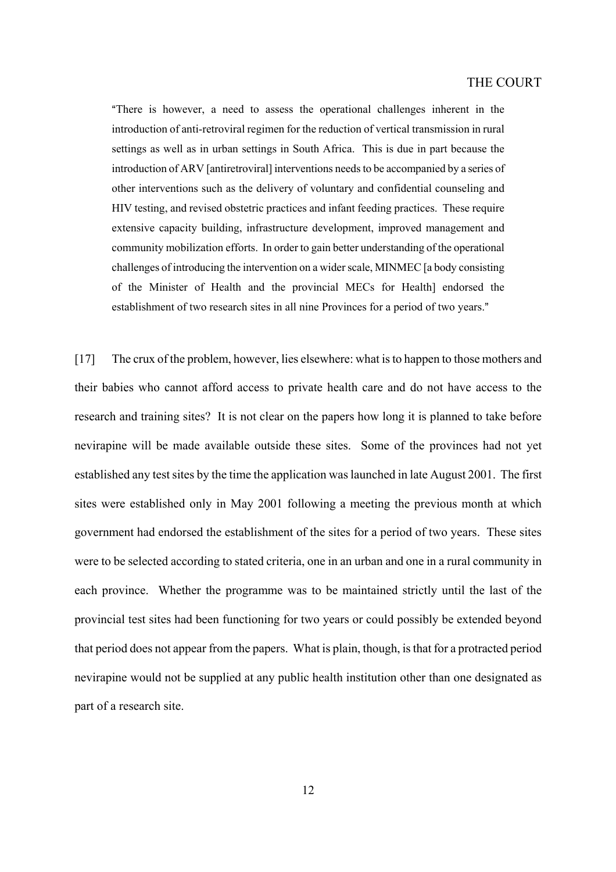AThere is however, a need to assess the operational challenges inherent in the introduction of anti-retroviral regimen for the reduction of vertical transmission in rural settings as well as in urban settings in South Africa. This is due in part because the introduction of ARV [antiretroviral] interventions needs to be accompanied by a series of other interventions such as the delivery of voluntary and confidential counseling and HIV testing, and revised obstetric practices and infant feeding practices. These require extensive capacity building, infrastructure development, improved management and community mobilization efforts. In order to gain better understanding of the operational challenges of introducing the intervention on a wider scale, MINMEC [a body consisting of the Minister of Health and the provincial MECs for Health] endorsed the establishment of two research sites in all nine Provinces for a period of two years."

[17] The crux of the problem, however, lies elsewhere: what is to happen to those mothers and their babies who cannot afford access to private health care and do not have access to the research and training sites? It is not clear on the papers how long it is planned to take before nevirapine will be made available outside these sites. Some of the provinces had not yet established any test sites by the time the application was launched in late August 2001. The first sites were established only in May 2001 following a meeting the previous month at which government had endorsed the establishment of the sites for a period of two years. These sites were to be selected according to stated criteria, one in an urban and one in a rural community in each province. Whether the programme was to be maintained strictly until the last of the provincial test sites had been functioning for two years or could possibly be extended beyond that period does not appear from the papers. What is plain, though, is that for a protracted period nevirapine would not be supplied at any public health institution other than one designated as part of a research site.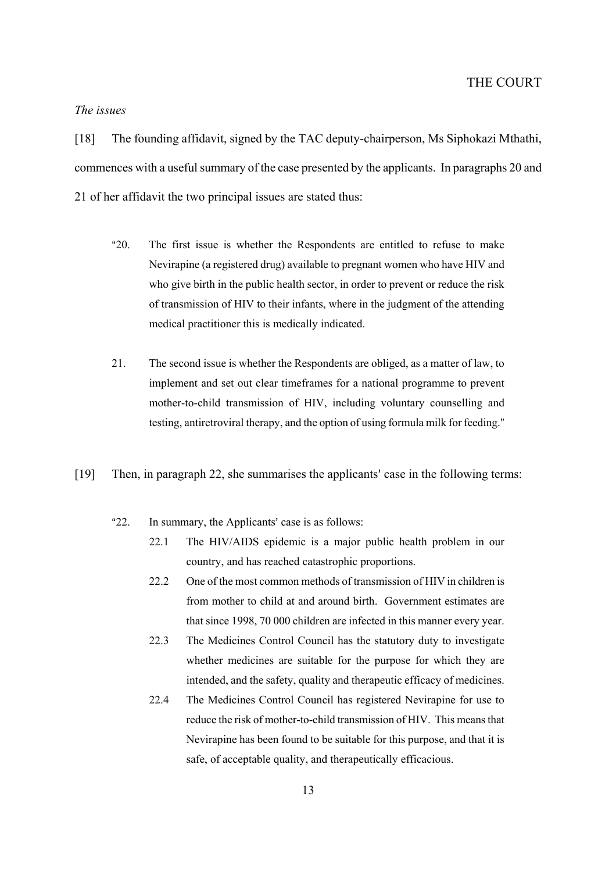#### *The issues*

[18] The founding affidavit, signed by the TAC deputy-chairperson, Ms Siphokazi Mthathi, commences with a useful summary of the case presented by the applicants. In paragraphs 20 and 21 of her affidavit the two principal issues are stated thus:

- A20. The first issue is whether the Respondents are entitled to refuse to make Nevirapine (a registered drug) available to pregnant women who have HIV and who give birth in the public health sector, in order to prevent or reduce the risk of transmission of HIV to their infants, where in the judgment of the attending medical practitioner this is medically indicated.
- 21. The second issue is whether the Respondents are obliged, as a matter of law, to implement and set out clear timeframes for a national programme to prevent mother-to-child transmission of HIV, including voluntary counselling and testing, antiretroviral therapy, and the option of using formula milk for feeding."
- [19] Then, in paragraph 22, she summarises the applicants' case in the following terms:
	- " $22.$  In summary, the Applicants' case is as follows:
		- 22.1 The HIV/AIDS epidemic is a major public health problem in our country, and has reached catastrophic proportions.
		- 22.2 One of the most common methods of transmission of HIV in children is from mother to child at and around birth. Government estimates are that since 1998, 70 000 children are infected in this manner every year.
		- 22.3 The Medicines Control Council has the statutory duty to investigate whether medicines are suitable for the purpose for which they are intended, and the safety, quality and therapeutic efficacy of medicines.
		- 22.4 The Medicines Control Council has registered Nevirapine for use to reduce the risk of mother-to-child transmission of HIV. This means that Nevirapine has been found to be suitable for this purpose, and that it is safe, of acceptable quality, and therapeutically efficacious.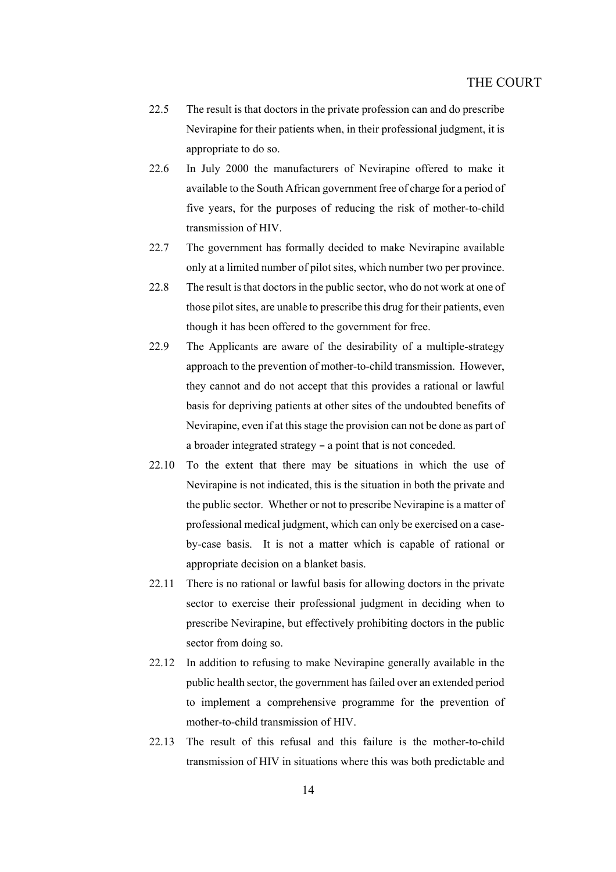- 22.5 The result is that doctors in the private profession can and do prescribe Nevirapine for their patients when, in their professional judgment, it is appropriate to do so.
- 22.6 In July 2000 the manufacturers of Nevirapine offered to make it available to the South African government free of charge for a period of five years, for the purposes of reducing the risk of mother-to-child transmission of HIV.
- 22.7 The government has formally decided to make Nevirapine available only at a limited number of pilot sites, which number two per province.
- 22.8 The result is that doctors in the public sector, who do not work at one of those pilot sites, are unable to prescribe this drug for their patients, even though it has been offered to the government for free.
- 22.9 The Applicants are aware of the desirability of a multiple-strategy approach to the prevention of mother-to-child transmission. However, they cannot and do not accept that this provides a rational or lawful basis for depriving patients at other sites of the undoubted benefits of Nevirapine, even if at this stage the provision can not be done as part of a broader integrated strategy - a point that is not conceded.
- 22.10 To the extent that there may be situations in which the use of Nevirapine is not indicated, this is the situation in both the private and the public sector. Whether or not to prescribe Nevirapine is a matter of professional medical judgment, which can only be exercised on a caseby-case basis. It is not a matter which is capable of rational or appropriate decision on a blanket basis.
- 22.11 There is no rational or lawful basis for allowing doctors in the private sector to exercise their professional judgment in deciding when to prescribe Nevirapine, but effectively prohibiting doctors in the public sector from doing so.
- 22.12 In addition to refusing to make Nevirapine generally available in the public health sector, the government has failed over an extended period to implement a comprehensive programme for the prevention of mother-to-child transmission of HIV.
- 22.13 The result of this refusal and this failure is the mother-to-child transmission of HIV in situations where this was both predictable and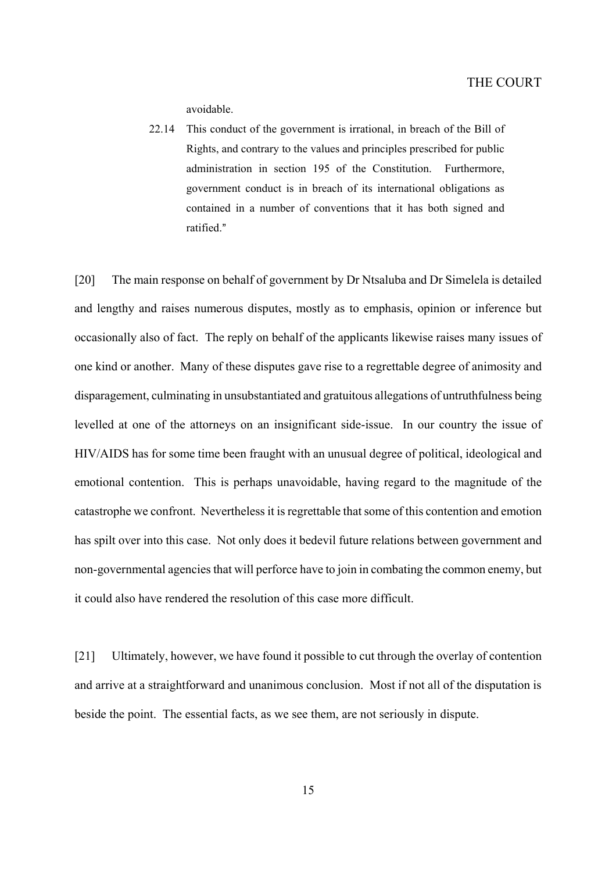avoidable.

22.14 This conduct of the government is irrational, in breach of the Bill of Rights, and contrary to the values and principles prescribed for public administration in section 195 of the Constitution. Furthermore, government conduct is in breach of its international obligations as contained in a number of conventions that it has both signed and ratified."

[20] The main response on behalf of government by Dr Ntsaluba and Dr Simelela is detailed and lengthy and raises numerous disputes, mostly as to emphasis, opinion or inference but occasionally also of fact. The reply on behalf of the applicants likewise raises many issues of one kind or another. Many of these disputes gave rise to a regrettable degree of animosity and disparagement, culminating in unsubstantiated and gratuitous allegations of untruthfulness being levelled at one of the attorneys on an insignificant side-issue. In our country the issue of HIV/AIDS has for some time been fraught with an unusual degree of political, ideological and emotional contention. This is perhaps unavoidable, having regard to the magnitude of the catastrophe we confront. Nevertheless it is regrettable that some of this contention and emotion has spilt over into this case. Not only does it bedevil future relations between government and non-governmental agencies that will perforce have to join in combating the common enemy, but it could also have rendered the resolution of this case more difficult.

[21] Ultimately, however, we have found it possible to cut through the overlay of contention and arrive at a straightforward and unanimous conclusion. Most if not all of the disputation is beside the point. The essential facts, as we see them, are not seriously in dispute.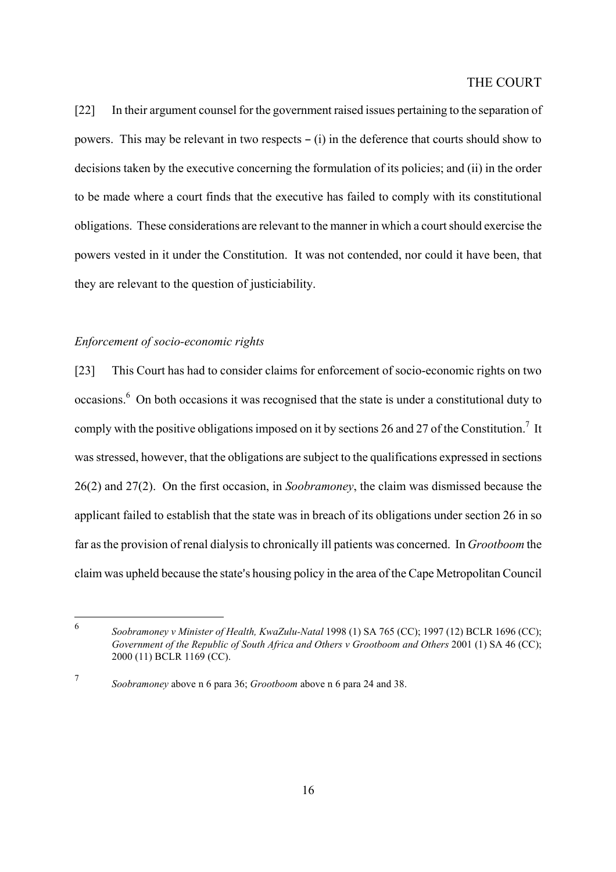[22] In their argument counsel for the government raised issues pertaining to the separation of powers. This may be relevant in two respects  $- (i)$  in the deference that courts should show to decisions taken by the executive concerning the formulation of its policies; and (ii) in the order to be made where a court finds that the executive has failed to comply with its constitutional obligations. These considerations are relevant to the manner in which a court should exercise the powers vested in it under the Constitution. It was not contended, nor could it have been, that they are relevant to the question of justiciability.

#### *Enforcement of socio-economic rights*

[23] This Court has had to consider claims for enforcement of socio-economic rights on two occasions.<sup>[6](#page-15-0)</sup> On both occasions it was recognised that the state is under a constitutional duty to comply with the positive obligations imposed on it by sections 26 and 2[7](#page-15-1) of the Constitution.<sup>7</sup> It was stressed, however, that the obligations are subject to the qualifications expressed in sections 26(2) and 27(2). On the first occasion, in *Soobramoney*, the claim was dismissed because the applicant failed to establish that the state was in breach of its obligations under section 26 in so far as the provision of renal dialysis to chronically ill patients was concerned. In *Grootboom* the claim was upheld because the state's housing policy in the area of the Cape Metropolitan Council

<span id="page-15-0"></span>6

<sup>6</sup> *Soobramoney v Minister of Health, KwaZulu-Natal* 1998 (1) SA 765 (CC); 1997 (12) BCLR 1696 (CC); *Government of the Republic of South Africa and Others v Grootboom and Others* 2001 (1) SA 46 (CC); 2000 (11) BCLR 1169 (CC).

<span id="page-15-1"></span><sup>7</sup> *Soobramoney* above n 6 para 36; *Grootboom* above n 6 para 24 and 38.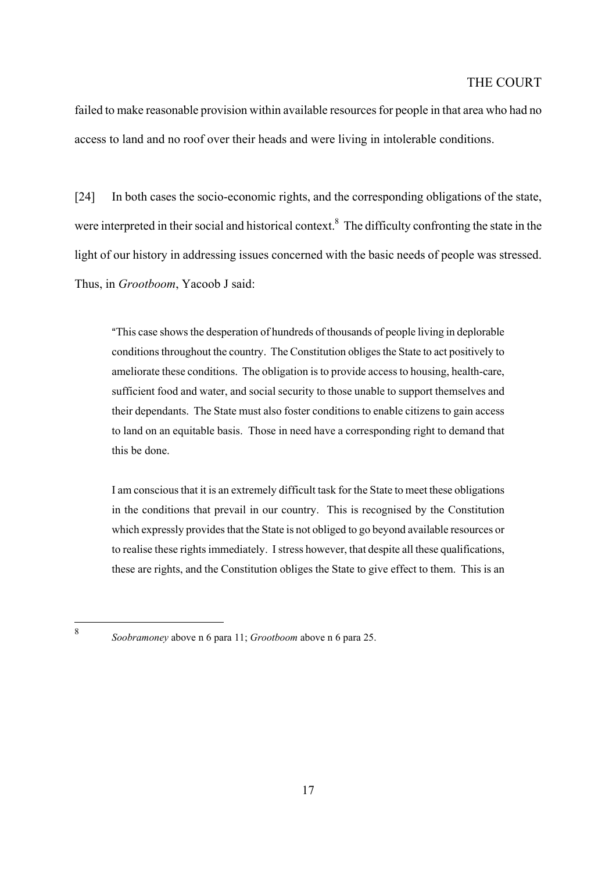failed to make reasonable provision within available resources for people in that area who had no access to land and no roof over their heads and were living in intolerable conditions.

[24] In both cases the socio-economic rights, and the corresponding obligations of the state, were interpreted in their social and historical context.<sup>8</sup> The difficulty confronting the state in the light of our history in addressing issues concerned with the basic needs of people was stressed. Thus, in *Grootboom*, Yacoob J said:

AThis case shows the desperation of hundreds of thousands of people living in deplorable conditionsthroughout the country. The Constitution obliges the State to act positively to ameliorate these conditions. The obligation is to provide access to housing, health-care, sufficient food and water, and social security to those unable to support themselves and their dependants. The State must also foster conditions to enable citizens to gain access to land on an equitable basis. Those in need have a corresponding right to demand that this be done.

I am conscious that it is an extremely difficult task for the State to meet these obligations in the conditions that prevail in our country. This is recognised by the Constitution which expressly provides that the State is not obliged to go beyond available resources or to realise these rights immediately. I stress however, that despite all these qualifications, these are rights, and the Constitution obliges the State to give effect to them. This is an

<span id="page-16-0"></span>8

<sup>8</sup> *Soobramoney* above n 6 para 11; *Grootboom* above n 6 para 25.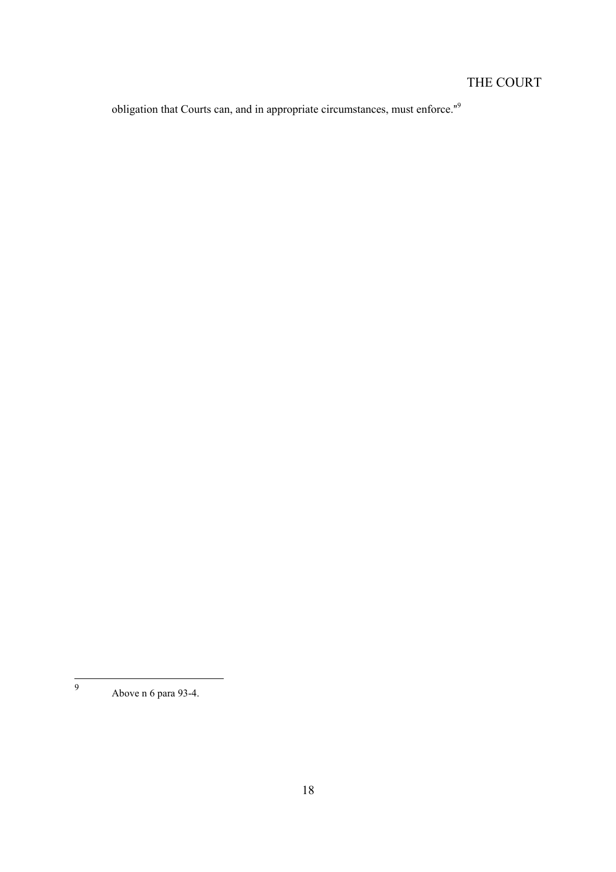obligation that Courts can, and in appropriate circumstances, must enforce."<sup>[9](#page-17-0)</sup>

<span id="page-17-0"></span> $\overline{9}$ Above n 6 para 93-4.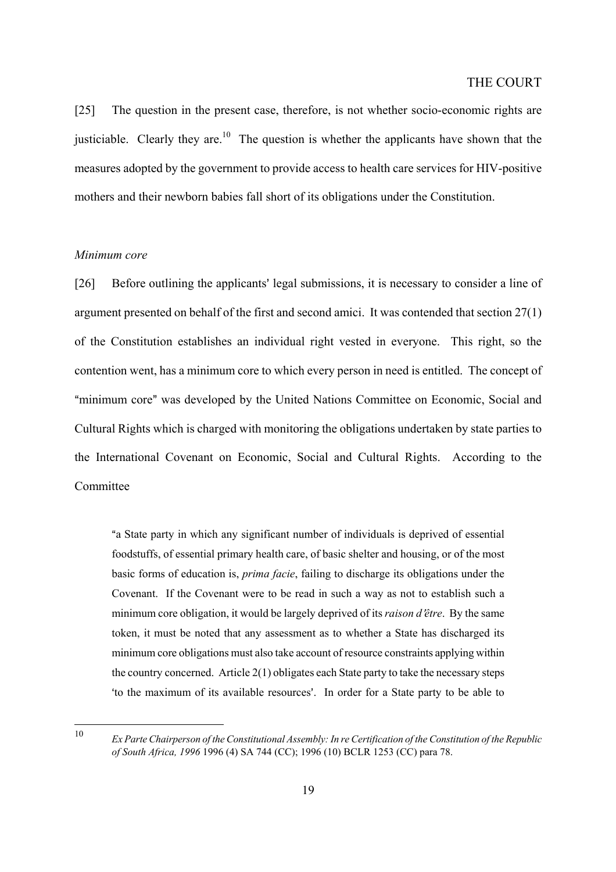[25] The question in the present case, therefore, is not whether socio-economic rights are justiciable. Clearly they are.<sup>10</sup> The question is whether the applicants have shown that the measures adopted by the government to provide access to health care services for HIV-positive mothers and their newborn babies fall short of its obligations under the Constitution.

#### *Minimum core*

[26] Before outlining the applicants' legal submissions, it is necessary to consider a line of argument presented on behalf of the first and second amici. It was contended that section 27(1) of the Constitution establishes an individual right vested in everyone. This right, so the contention went, has a minimum core to which every person in need is entitled. The concept of "minimum core" was developed by the United Nations Committee on Economic, Social and Cultural Rights which is charged with monitoring the obligations undertaken by state parties to the International Covenant on Economic, Social and Cultural Rights. According to the Committee

"a State party in which any significant number of individuals is deprived of essential foodstuffs, of essential primary health care, of basic shelter and housing, or of the most basic forms of education is, *prima facie*, failing to discharge its obligations under the Covenant. If the Covenant were to be read in such a way as not to establish such a minimum core obligation, it would be largely deprived of its *raison d*=*être*. By the same token, it must be noted that any assessment as to whether a State has discharged its minimum core obligations must also take account of resource constraints applying within the country concerned. Article 2(1) obligates each State party to take the necessary steps to the maximum of its available resources'. In order for a State party to be able to

<span id="page-18-0"></span> $10$ 

<sup>10</sup> *Ex Parte Chairperson of the Constitutional Assembly: In re Certification of the Constitution of the Republic of South Africa, 1996* 1996 (4) SA 744 (CC); 1996 (10) BCLR 1253 (CC) para 78.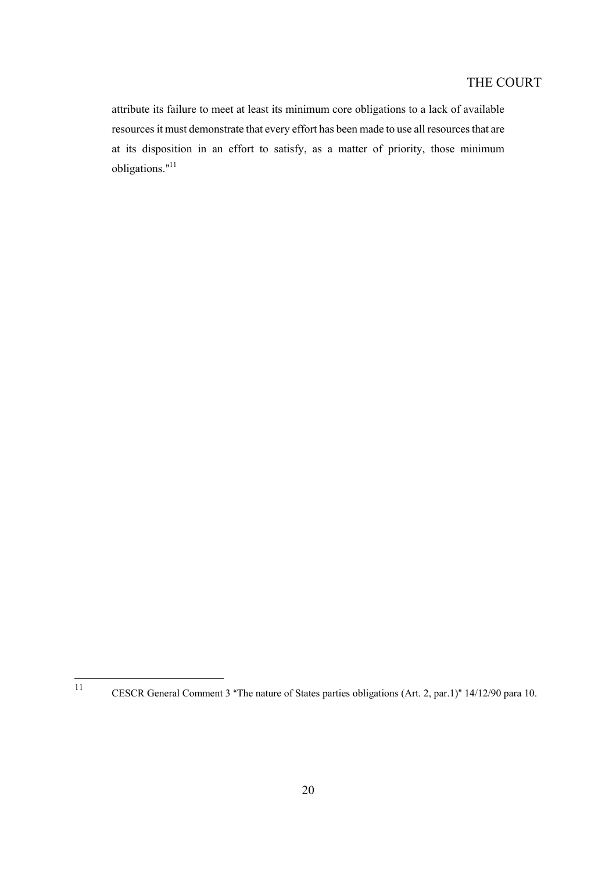attribute its failure to meet at least its minimum core obligations to a lack of available resources it must demonstrate that every effort has been made to use all resources that are at its disposition in an effort to satisfy, as a matter of priority, those minimum obligations."<sup>[11](#page-19-0)</sup>

<span id="page-19-0"></span>CESCR General Comment 3 "The nature of States parties obligations (Art. 2, par.1)" 14/12/90 para 10.

 $11$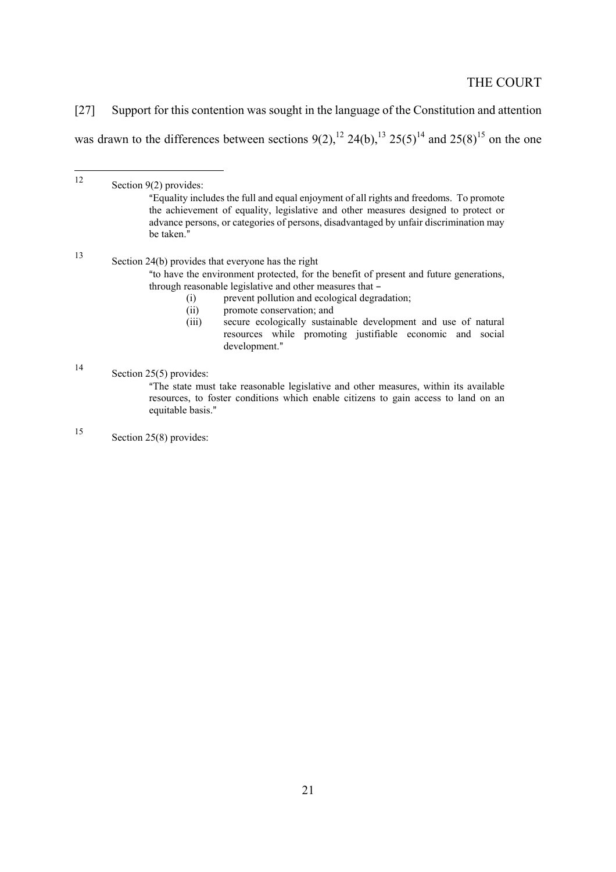[27] Support for this contention was sought in the language of the Constitution and attention was drawn to the differences between sections  $9(2)$ ,<sup>12</sup>, 24(b),<sup>13</sup>, 25(5)<sup>14</sup> and 25(8)<sup>15</sup> on the one

Section  $9(2)$  provides: AEquality includes the full and equal enjoyment of all rights and freedoms. To promote the achievement of equality, legislative and other measures designed to protect or advance persons, or categories of persons, disadvantaged by unfair discrimination may be taken."

<span id="page-20-1"></span><sup>13</sup> Section 24(b) provides that everyone has the right Ato have the environment protected, for the benefit of present and future generations, through reasonable legislative and other measures that -

- (i) prevent pollution and ecological degradation;
- (ii) promote conservation; and
- (iii) secure ecologically sustainable development and use of natural resources while promoting justifiable economic and social development."
- <span id="page-20-2"></span><sup>14</sup> Section 25(5) provides: "The state must take reasonable legislative and other measures, within its available resources, to foster conditions which enable citizens to gain access to land on an equitable basis."
- <span id="page-20-3"></span><sup>15</sup> Section 25(8) provides:

<span id="page-20-0"></span> $12<sup>12</sup>$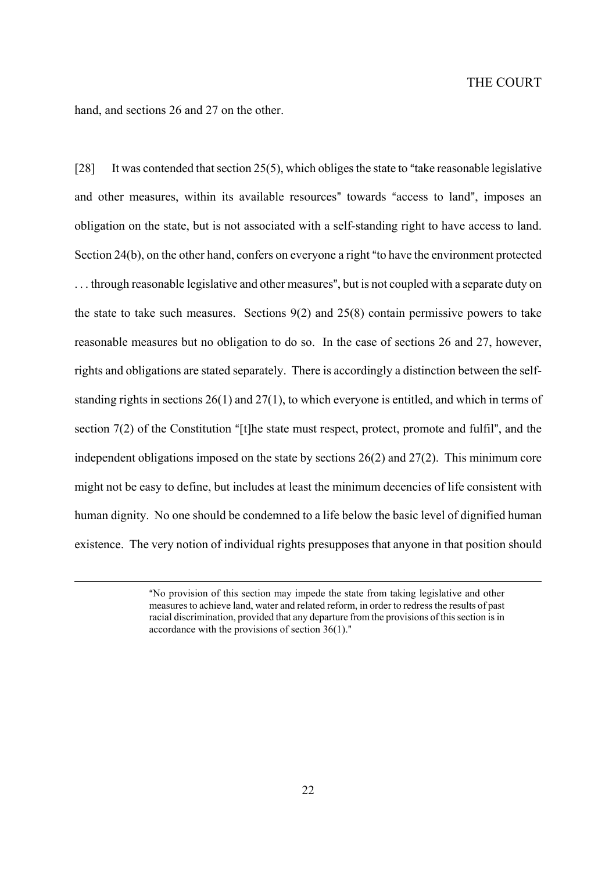hand, and sections 26 and 27 on the other.

 $\overline{a}$ 

[28] It was contended that section  $25(5)$ , which obliges the state to "take reasonable legislative" and other measures, within its available resources" towards "access to land", imposes an obligation on the state, but is not associated with a self-standing right to have access to land. Section  $24(b)$ , on the other hand, confers on everyone a right "to have the environment protected ... through reasonable legislative and other measures", but is not coupled with a separate duty on the state to take such measures. Sections  $9(2)$  and  $25(8)$  contain permissive powers to take reasonable measures but no obligation to do so. In the case of sections 26 and 27, however, rights and obligations are stated separately. There is accordingly a distinction between the selfstanding rights in sections 26(1) and 27(1), to which everyone is entitled, and which in terms of section  $7(2)$  of the Constitution "[t]he state must respect, protect, promote and fulfil", and the independent obligations imposed on the state by sections 26(2) and 27(2). This minimum core might not be easy to define, but includes at least the minimum decencies of life consistent with human dignity. No one should be condemned to a life below the basic level of dignified human existence. The very notion of individual rights presupposes that anyone in that position should

<sup>&</sup>quot;No provision of this section may impede the state from taking legislative and other measures to achieve land, water and related reform, in order to redress the results of past racial discrimination, provided that any departure from the provisions of this section is in accordance with the provisions of section  $36(1)$ ."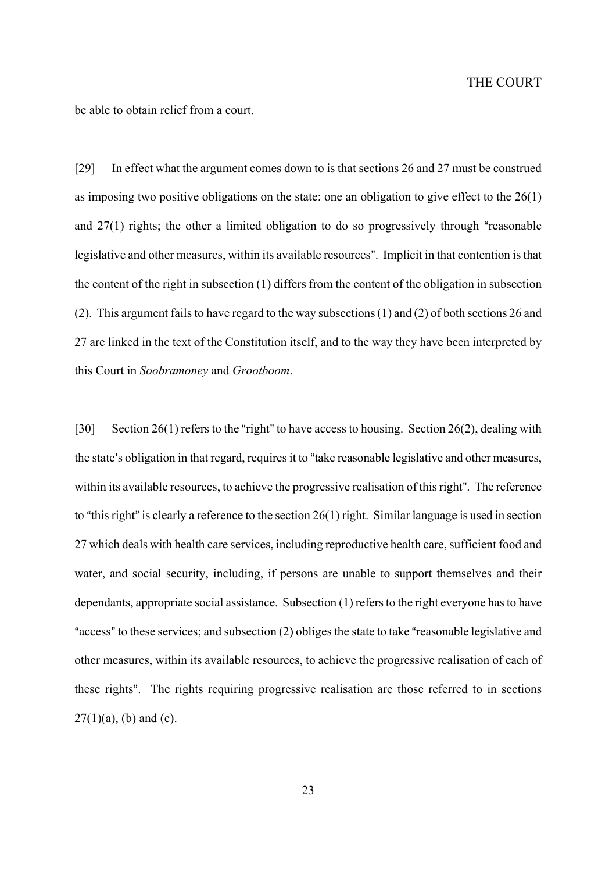be able to obtain relief from a court.

[29] In effect what the argument comes down to is that sections 26 and 27 must be construed as imposing two positive obligations on the state: one an obligation to give effect to the 26(1) and  $27(1)$  rights; the other a limited obligation to do so progressively through "reasonable" legislative and other measures, within its available resources". Implicit in that contention is that the content of the right in subsection (1) differs from the content of the obligation in subsection (2). This argument fails to have regard to the way subsections (1) and (2) of both sections 26 and 27 are linked in the text of the Constitution itself, and to the way they have been interpreted by this Court in *Soobramoney* and *Grootboom*.

[30] Section 26(1) refers to the "right" to have access to housing. Section 26(2), dealing with the state's obligation in that regard, requires it to "take reasonable legislative and other measures, within its available resources, to achieve the progressive realisation of this right". The reference to "this right" is clearly a reference to the section  $26(1)$  right. Similar language is used in section 27 which deals with health care services, including reproductive health care, sufficient food and water, and social security, including, if persons are unable to support themselves and their dependants, appropriate social assistance. Subsection (1) refers to the right everyone has to have "access" to these services; and subsection  $(2)$  obliges the state to take "reasonable legislative and other measures, within its available resources, to achieve the progressive realisation of each of these rights". The rights requiring progressive realisation are those referred to in sections  $27(1)(a)$ , (b) and (c).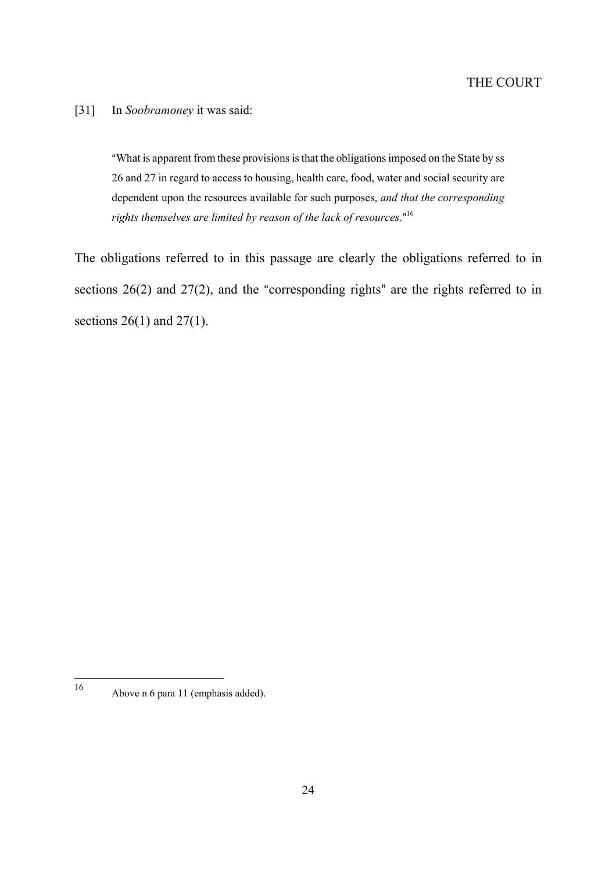[31] In *Soobramoney* it was said:

"What is apparent from these provisions is that the obligations imposed on the State by ss 26 and 27 in regard to access to housing, health care, food, water and social security are dependent upon the resources available for such purposes, *and that the corresponding*  rights themselves are limited by reason of the lack of resources."<sup>[16](#page-23-0)</sup>

The obligations referred to in this passage are clearly the obligations referred to in sections  $26(2)$  and  $27(2)$ , and the "corresponding rights" are the rights referred to in sections  $26(1)$  and  $27(1)$ .

<span id="page-23-0"></span><sup>16</sup> Above n 6 para 11 (emphasis added).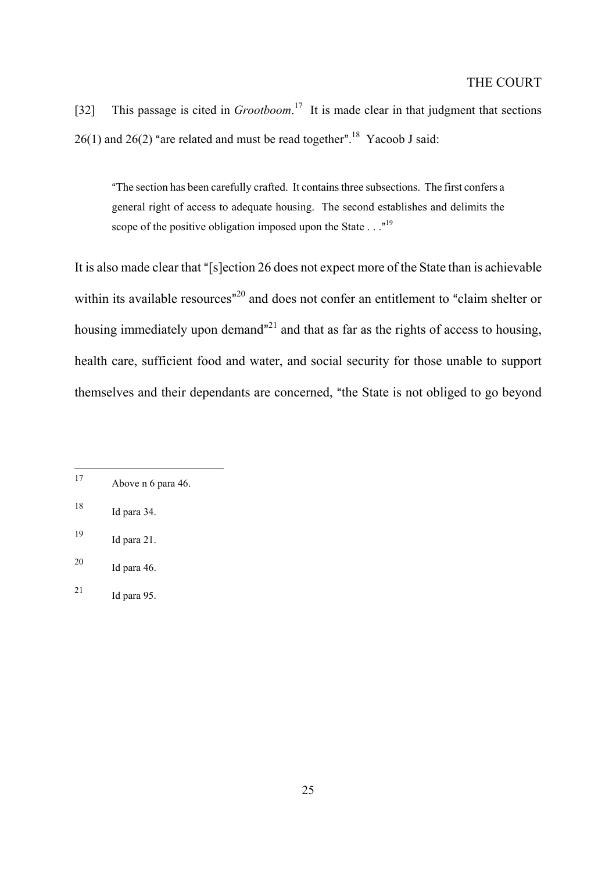[32] This passage is cited in *Grootboom*. [17](#page-24-0) It is made clear in that judgment that sections  $26(1)$  and  $26(2)$  "are related and must be read together".<sup>18</sup> Yacoob J said:

AThe section has been carefully crafted. It contains three subsections. The first confers a general right of access to adequate housing. The second establishes and delimits the scope of the positive obligation imposed upon the State  $\dots^{n^{19}}$  $\dots^{n^{19}}$  $\dots^{n^{19}}$ 

It is also made clear that "[s]ection 26 does not expect more of the State than is achievable within its available resources<sup> $120$ </sup> and does not confer an entitlement to "claim shelter or housing immediately upon demand<sup>"21</sup> and that as far as the rights of access to housing, health care, sufficient food and water, and social security for those unable to support themselves and their dependants are concerned, "the State is not obliged to go beyond

<span id="page-24-0"></span><sup>17</sup> Above n 6 para 46.

<span id="page-24-1"></span><sup>18</sup> Id para 34.

<span id="page-24-2"></span><sup>19</sup> Id para 21.

<span id="page-24-3"></span><sup>20</sup> Id para 46.

<span id="page-24-4"></span> $^{21}$  Id para 95.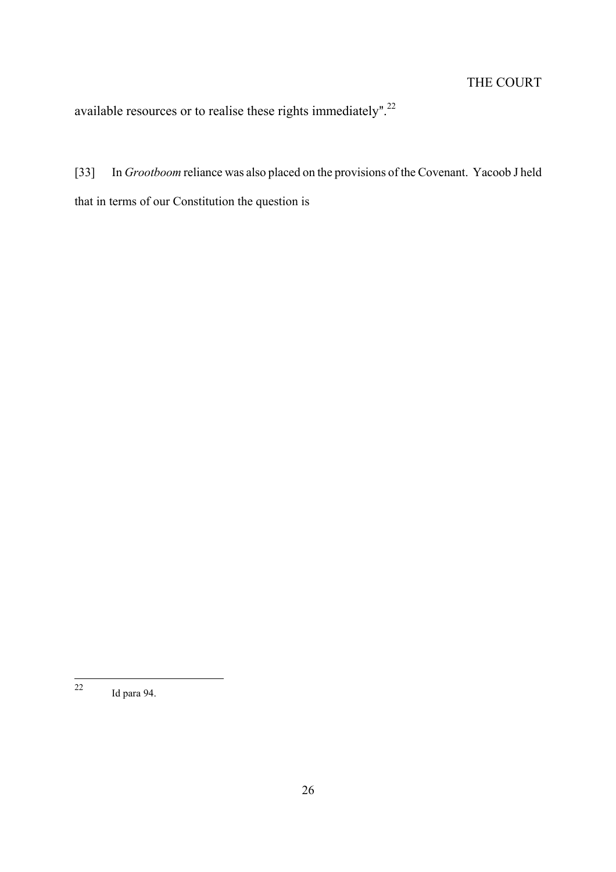available resources or to realise these rights immediately". $^{22}$  $^{22}$  $^{22}$ 

[33] In *Grootboom* reliance was also placed on the provisions of the Covenant. Yacoob J held that in terms of our Constitution the question is

<span id="page-25-0"></span> $22$ Id para 94.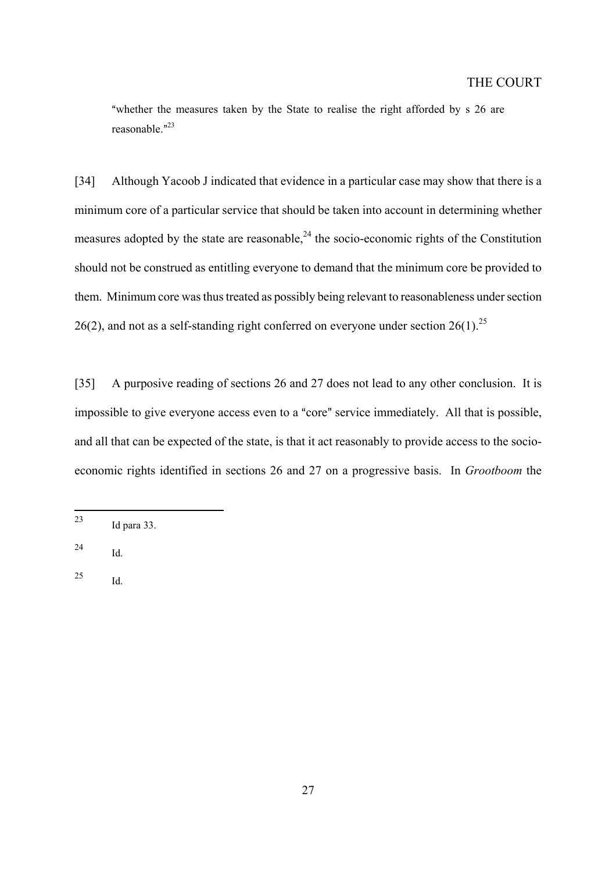"whether the measures taken by the State to realise the right afforded by s 26 are reasonable."<sup>[23](#page-26-0)</sup>

[34] Although Yacoob J indicated that evidence in a particular case may show that there is a minimum core of a particular service that should be taken into account in determining whether measures adopted by the state are reasonable,  $24$  the socio-economic rights of the Constitution should not be construed as entitling everyone to demand that the minimum core be provided to them. Minimum core was thus treated as possibly being relevant to reasonableness under section 26(2), and not as a self-standing right conferred on everyone under section  $26(1).^{25}$  $26(1).^{25}$  $26(1).^{25}$ 

[35] A purposive reading of sections 26 and 27 does not lead to any other conclusion. It is impossible to give everyone access even to a "core" service immediately. All that is possible, and all that can be expected of the state, is that it act reasonably to provide access to the socioeconomic rights identified in sections 26 and 27 on a progressive basis. In *Grootboom* the

<span id="page-26-0"></span><sup>23</sup> Id para 33.

<span id="page-26-1"></span><sup>24</sup> Id.

<span id="page-26-2"></span><sup>25</sup> Id.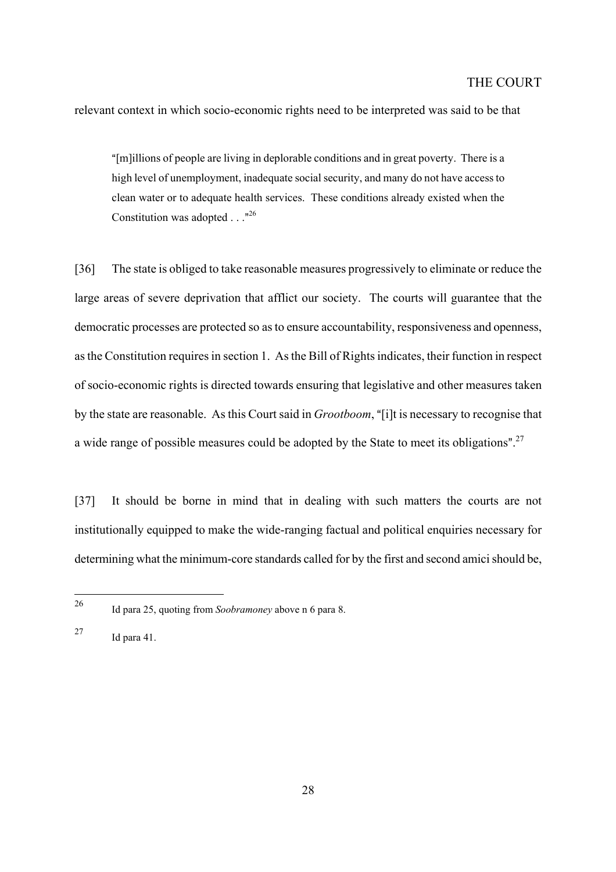relevant context in which socio-economic rights need to be interpreted was said to be that

"[m]illions of people are living in deplorable conditions and in great poverty. There is a high level of unemployment, inadequate social security, and many do not have access to clean water or to adequate health services. These conditions already existed when the Constitution was adopted  $\ldots$ ."<sup>[26](#page-27-0)</sup>

[36] The state is obliged to take reasonable measures progressively to eliminate or reduce the large areas of severe deprivation that afflict our society. The courts will guarantee that the democratic processes are protected so as to ensure accountability, responsiveness and openness, as the Constitution requires in section 1. As the Bill of Rights indicates, their function in respect of socio-economic rights is directed towards ensuring that legislative and other measures taken by the state are reasonable. As this Court said in *Grootboom*, "[i]t is necessary to recognise that a wide range of possible measures could be adopted by the State to meet its obligations".<sup>[27](#page-27-1)</sup>

[37] It should be borne in mind that in dealing with such matters the courts are not institutionally equipped to make the wide-ranging factual and political enquiries necessary for determining what the minimum-core standards called for by the first and second amici should be,

<span id="page-27-0"></span> $26\,$ <sup>26</sup> Id para 25, quoting from *Soobramoney* above n 6 para 8.

<span id="page-27-1"></span> $27$  Id para 41.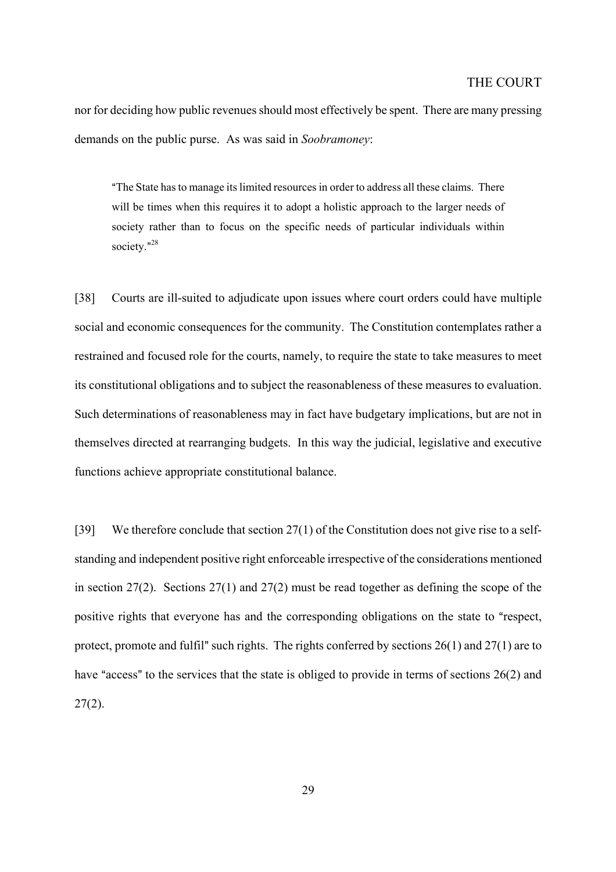nor for deciding how public revenues should most effectively be spent. There are many pressing demands on the public purse. As was said in *Soobramoney*:

AThe State has to manage its limited resources in order to address all these claims. There will be times when this requires it to adopt a holistic approach to the larger needs of society rather than to focus on the specific needs of particular individuals within society."<sup>[28](#page-28-0)</sup>

[38] Courts are ill-suited to adjudicate upon issues where court orders could have multiple social and economic consequences for the community. The Constitution contemplates rather a restrained and focused role for the courts, namely, to require the state to take measures to meet its constitutional obligations and to subject the reasonableness of these measures to evaluation. Such determinations of reasonableness may in fact have budgetary implications, but are not in themselves directed at rearranging budgets. In this way the judicial, legislative and executive functions achieve appropriate constitutional balance.

<span id="page-28-0"></span>[39] We therefore conclude that section 27(1) of the Constitution does not give rise to a selfstanding and independent positive right enforceable irrespective of the considerations mentioned in section 27(2). Sections 27(1) and 27(2) must be read together as defining the scope of the positive rights that everyone has and the corresponding obligations on the state to "respect, protect, promote and fulfil" such rights. The rights conferred by sections  $26(1)$  and  $27(1)$  are to have "access" to the services that the state is obliged to provide in terms of sections  $26(2)$  and  $27(2)$ .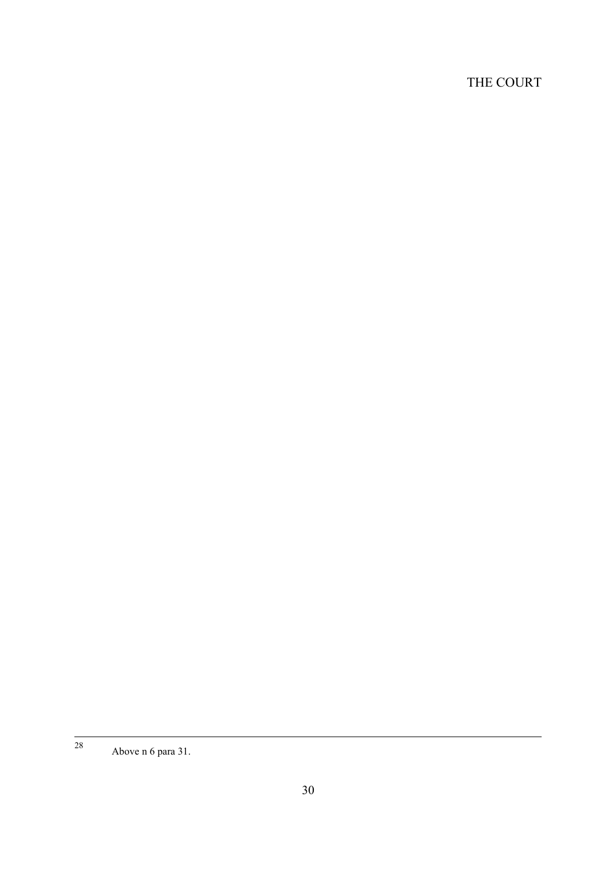Above n 6 para 31.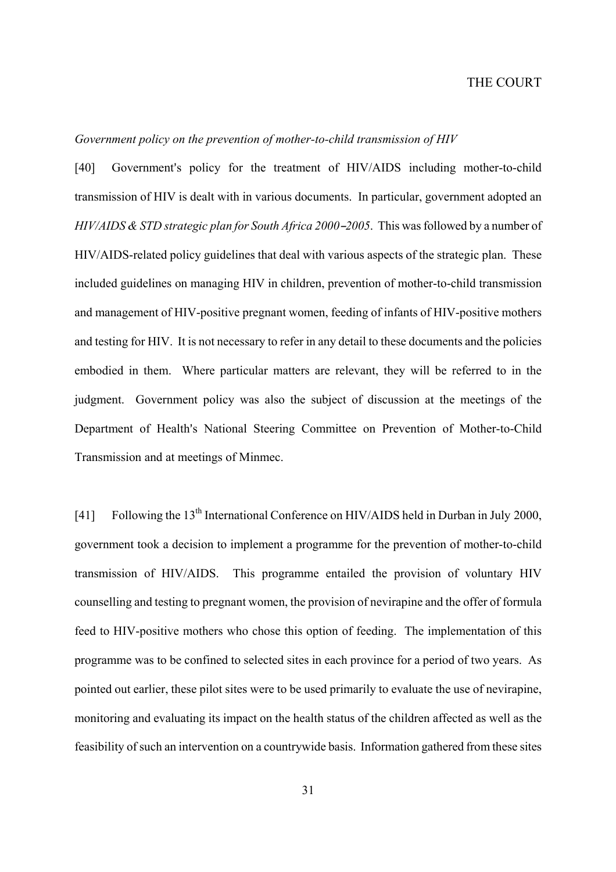#### *Government policy on the prevention of mother-to-child transmission of HIV*

[40] Government's policy for the treatment of HIV/AIDS including mother-to-child transmission of HIV is dealt with in various documents. In particular, government adopted an *HIV/AIDS & STD strategic plan for South Africa 2000–2005*. This was followed by a number of HIV/AIDS-related policy guidelines that deal with various aspects of the strategic plan. These included guidelines on managing HIV in children, prevention of mother-to-child transmission and management of HIV-positive pregnant women, feeding of infants of HIV-positive mothers and testing for HIV. It is not necessary to refer in any detail to these documents and the policies embodied in them. Where particular matters are relevant, they will be referred to in the judgment. Government policy was also the subject of discussion at the meetings of the Department of Health's National Steering Committee on Prevention of Mother-to-Child Transmission and at meetings of Minmec.

[41] Following the 13<sup>th</sup> International Conference on HIV/AIDS held in Durban in July 2000, government took a decision to implement a programme for the prevention of mother-to-child transmission of HIV/AIDS. This programme entailed the provision of voluntary HIV counselling and testing to pregnant women, the provision of nevirapine and the offer of formula feed to HIV-positive mothers who chose this option of feeding. The implementation of this programme was to be confined to selected sites in each province for a period of two years. As pointed out earlier, these pilot sites were to be used primarily to evaluate the use of nevirapine, monitoring and evaluating its impact on the health status of the children affected as well as the feasibility of such an intervention on a countrywide basis. Information gathered from these sites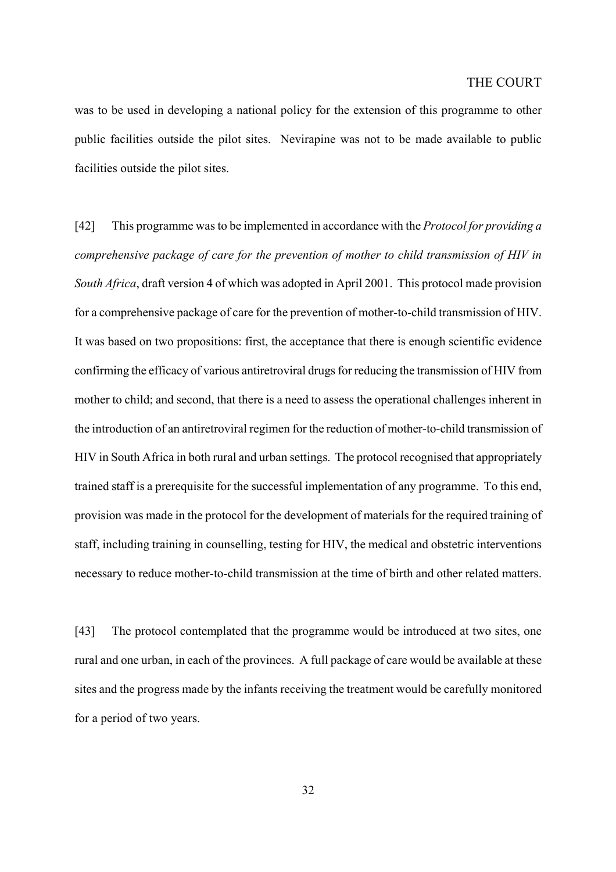was to be used in developing a national policy for the extension of this programme to other public facilities outside the pilot sites. Nevirapine was not to be made available to public facilities outside the pilot sites.

[42] This programme was to be implemented in accordance with the *Protocol for providing a comprehensive package of care for the prevention of mother to child transmission of HIV in South Africa*, draft version 4 of which was adopted in April 2001. This protocol made provision for a comprehensive package of care for the prevention of mother-to-child transmission of HIV. It was based on two propositions: first, the acceptance that there is enough scientific evidence confirming the efficacy of various antiretroviral drugs for reducing the transmission of HIV from mother to child; and second, that there is a need to assess the operational challenges inherent in the introduction of an antiretroviral regimen for the reduction of mother-to-child transmission of HIV in South Africa in both rural and urban settings. The protocol recognised that appropriately trained staff is a prerequisite for the successful implementation of any programme. To this end, provision was made in the protocol for the development of materials for the required training of staff, including training in counselling, testing for HIV, the medical and obstetric interventions necessary to reduce mother-to-child transmission at the time of birth and other related matters.

[43] The protocol contemplated that the programme would be introduced at two sites, one rural and one urban, in each of the provinces. A full package of care would be available at these sites and the progress made by the infants receiving the treatment would be carefully monitored for a period of two years.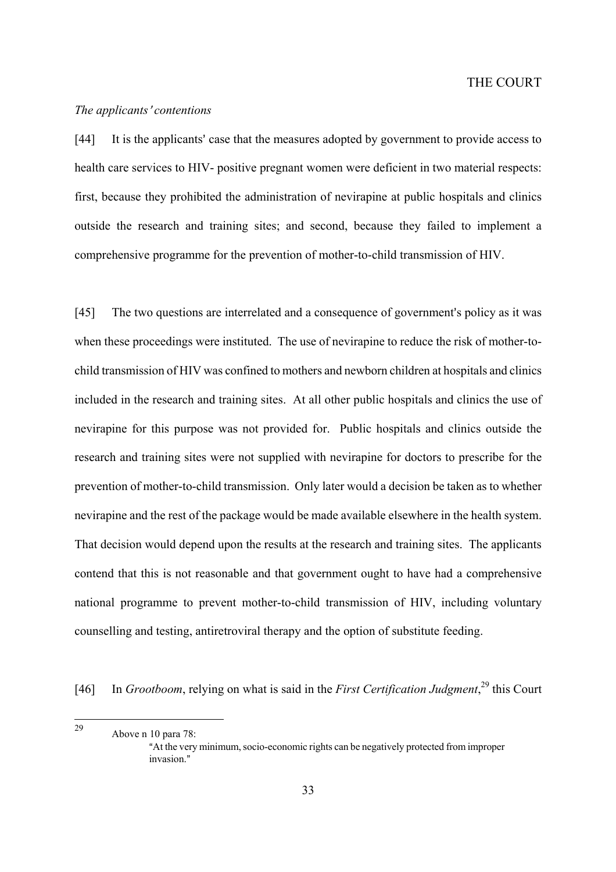#### *The applicants*= *contentions*

[44] It is the applicants' case that the measures adopted by government to provide access to health care services to HIV- positive pregnant women were deficient in two material respects: first, because they prohibited the administration of nevirapine at public hospitals and clinics outside the research and training sites; and second, because they failed to implement a comprehensive programme for the prevention of mother-to-child transmission of HIV.

[45] The two questions are interrelated and a consequence of government's policy as it was when these proceedings were instituted. The use of nevirapine to reduce the risk of mother-tochild transmission of HIV was confined to mothers and newborn children at hospitals and clinics included in the research and training sites. At all other public hospitals and clinics the use of nevirapine for this purpose was not provided for. Public hospitals and clinics outside the research and training sites were not supplied with nevirapine for doctors to prescribe for the prevention of mother-to-child transmission. Only later would a decision be taken as to whether nevirapine and the rest of the package would be made available elsewhere in the health system. That decision would depend upon the results at the research and training sites. The applicants contend that this is not reasonable and that government ought to have had a comprehensive national programme to prevent mother-to-child transmission of HIV, including voluntary counselling and testing, antiretroviral therapy and the option of substitute feeding.

 $\overline{a}$ 

<sup>[46]</sup> In *Grootboom*, relying on what is said in the *First Certification Judgment*, [29](#page-32-0) this Court

<span id="page-32-0"></span><sup>29</sup> Above n 10 para 78:

AAt the very minimum, socio-economic rights can be negatively protected from improper invasion."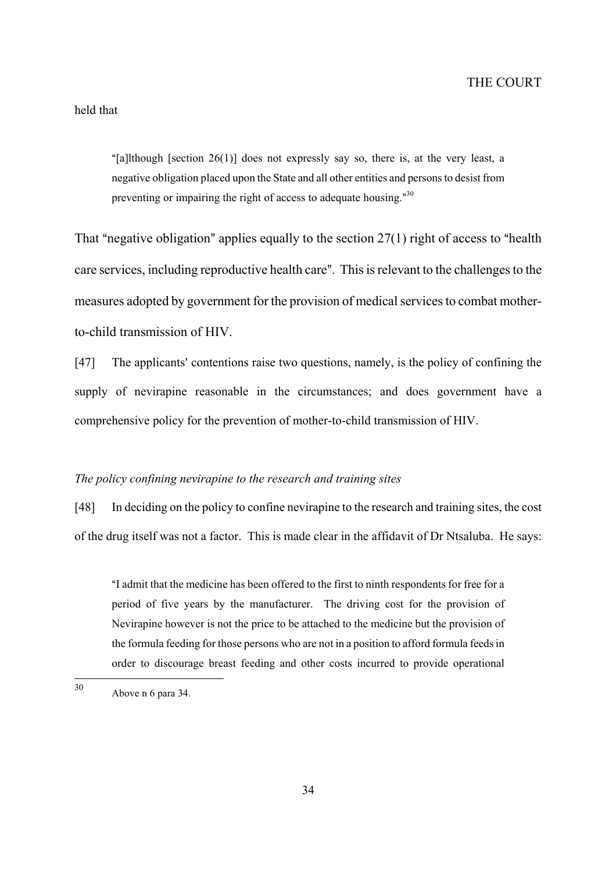"[a]lthough [section 26(1)] does not expressly say so, there is, at the very least, a negative obligation placed upon the State and all other entities and persons to desist from preventing or impairing the right of access to adequate housing. $"^{30}$  $"^{30}$  $"^{30}$ 

That "negative obligation" applies equally to the section  $27(1)$  right of access to "health" care services, including reproductive health care". This is relevant to the challenges to the measures adopted by government for the provision of medical services to combat motherto-child transmission of HIV.

[47] The applicants' contentions raise two questions, namely, is the policy of confining the supply of nevirapine reasonable in the circumstances; and does government have a comprehensive policy for the prevention of mother-to-child transmission of HIV.

#### *The policy confining nevirapine to the research and training sites*

[48] In deciding on the policy to confine nevirapine to the research and training sites, the cost of the drug itself was not a factor. This is made clear in the affidavit of Dr Ntsaluba. He says:

AI admit that the medicine has been offered to the first to ninth respondents for free for a period of five years by the manufacturer. The driving cost for the provision of Nevirapine however is not the price to be attached to the medicine but the provision of the formula feeding for those persons who are not in a position to afford formula feedsin order to discourage breast feeding and other costs incurred to provide operational

<span id="page-33-0"></span> $30^{\circ}$ Above n 6 para 34.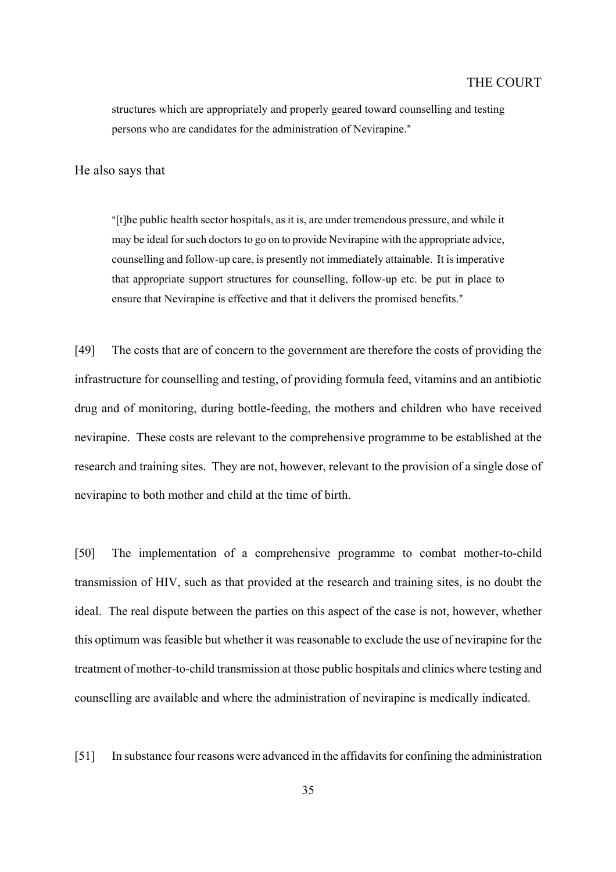structures which are appropriately and properly geared toward counselling and testing persons who are candidates for the administration of Nevirapine."

He also says that

A[t]he public health sector hospitals, as it is, are under tremendous pressure, and while it may be ideal for such doctors to go on to provide Nevirapine with the appropriate advice, counselling and follow-up care, is presently not immediately attainable. It is imperative that appropriate support structures for counselling, follow-up etc. be put in place to ensure that Nevirapine is effective and that it delivers the promised benefits."

[49] The costs that are of concern to the government are therefore the costs of providing the infrastructure for counselling and testing, of providing formula feed, vitamins and an antibiotic drug and of monitoring, during bottle-feeding, the mothers and children who have received nevirapine. These costs are relevant to the comprehensive programme to be established at the research and training sites. They are not, however, relevant to the provision of a single dose of nevirapine to both mother and child at the time of birth.

[50] The implementation of a comprehensive programme to combat mother-to-child transmission of HIV, such as that provided at the research and training sites, is no doubt the ideal. The real dispute between the parties on this aspect of the case is not, however, whether this optimum was feasible but whether it was reasonable to exclude the use of nevirapine for the treatment of mother-to-child transmission at those public hospitals and clinics where testing and counselling are available and where the administration of nevirapine is medically indicated.

[51] In substance four reasons were advanced in the affidavits for confining the administration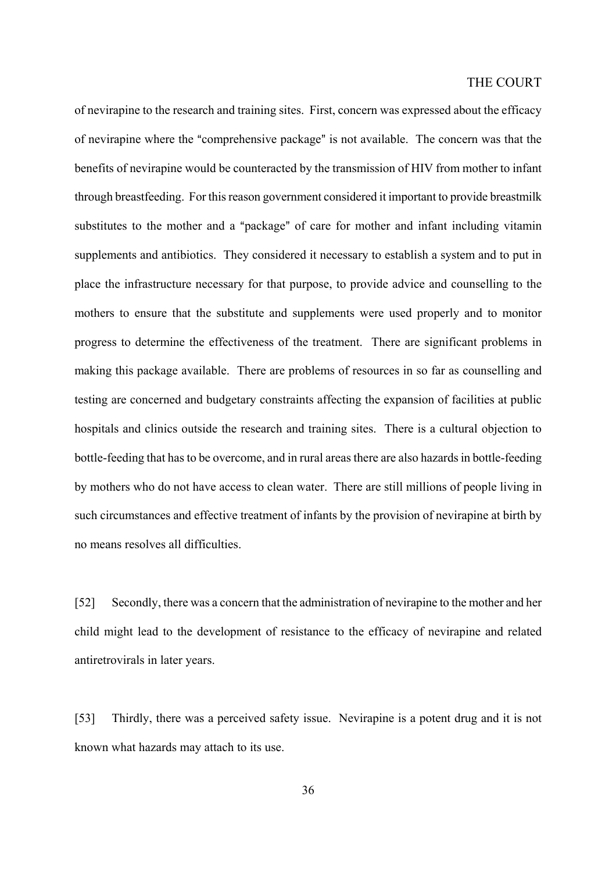of nevirapine to the research and training sites. First, concern was expressed about the efficacy of nevirapine where the "comprehensive package" is not available. The concern was that the benefits of nevirapine would be counteracted by the transmission of HIV from mother to infant through breastfeeding. For this reason government considered it important to provide breastmilk substitutes to the mother and a "package" of care for mother and infant including vitamin supplements and antibiotics. They considered it necessary to establish a system and to put in place the infrastructure necessary for that purpose, to provide advice and counselling to the mothers to ensure that the substitute and supplements were used properly and to monitor progress to determine the effectiveness of the treatment. There are significant problems in making this package available. There are problems of resources in so far as counselling and testing are concerned and budgetary constraints affecting the expansion of facilities at public hospitals and clinics outside the research and training sites. There is a cultural objection to bottle-feeding that has to be overcome, and in rural areas there are also hazards in bottle-feeding by mothers who do not have access to clean water. There are still millions of people living in such circumstances and effective treatment of infants by the provision of nevirapine at birth by no means resolves all difficulties.

[52] Secondly, there was a concern that the administration of nevirapine to the mother and her child might lead to the development of resistance to the efficacy of nevirapine and related antiretrovirals in later years.

[53] Thirdly, there was a perceived safety issue. Nevirapine is a potent drug and it is not known what hazards may attach to its use.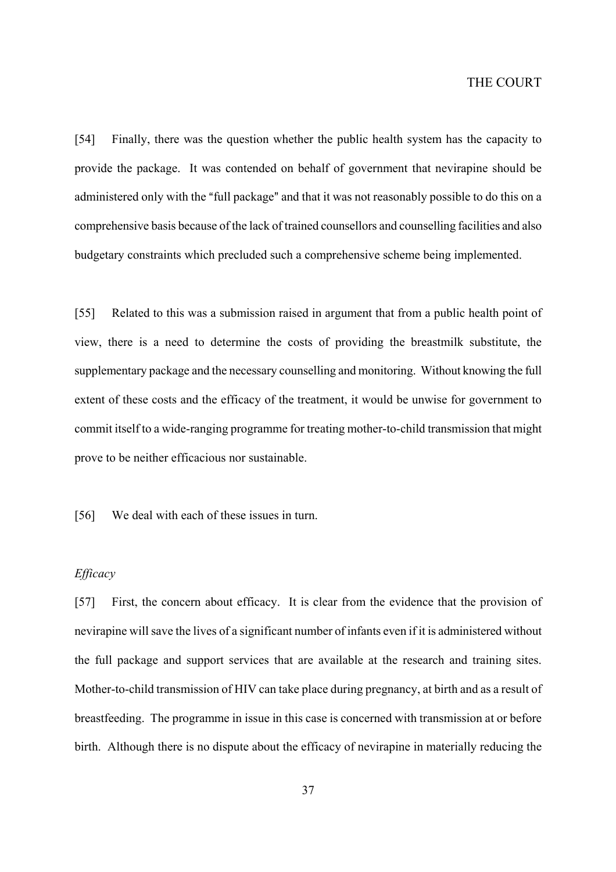[54] Finally, there was the question whether the public health system has the capacity to provide the package. It was contended on behalf of government that nevirapine should be administered only with the "full package" and that it was not reasonably possible to do this on a comprehensive basis because of the lack of trained counsellors and counselling facilities and also budgetary constraints which precluded such a comprehensive scheme being implemented.

[55] Related to this was a submission raised in argument that from a public health point of view, there is a need to determine the costs of providing the breastmilk substitute, the supplementary package and the necessary counselling and monitoring. Without knowing the full extent of these costs and the efficacy of the treatment, it would be unwise for government to commit itself to a wide-ranging programme for treating mother-to-child transmission that might prove to be neither efficacious nor sustainable.

[56] We deal with each of these issues in turn.

# *Efficacy*

[57] First, the concern about efficacy. It is clear from the evidence that the provision of nevirapine will save the lives of a significant number of infants even if it is administered without the full package and support services that are available at the research and training sites. Mother-to-child transmission of HIV can take place during pregnancy, at birth and as a result of breastfeeding. The programme in issue in this case is concerned with transmission at or before birth. Although there is no dispute about the efficacy of nevirapine in materially reducing the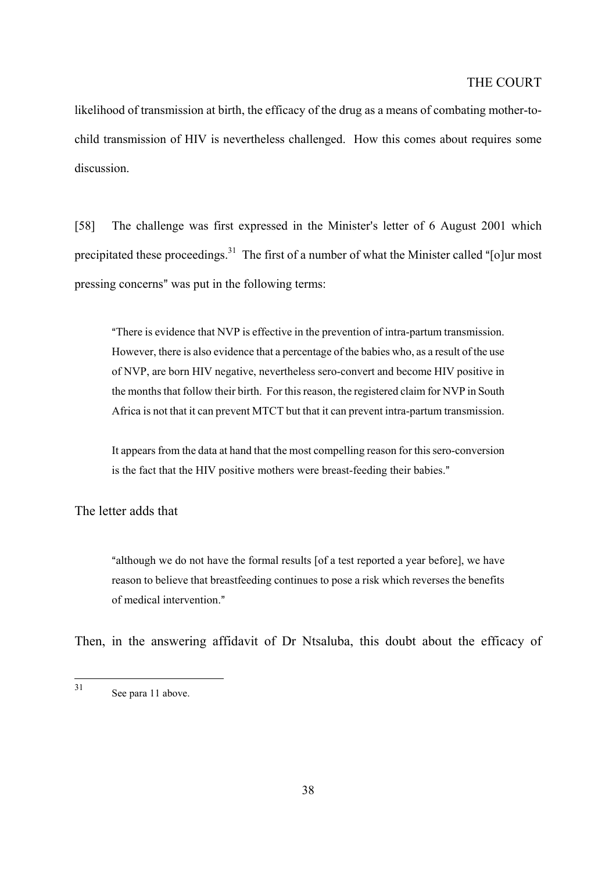likelihood of transmission at birth, the efficacy of the drug as a means of combating mother-tochild transmission of HIV is nevertheless challenged. How this comes about requires some discussion.

[58] The challenge was first expressed in the Minister's letter of 6 August 2001 which precipitated these proceedings.<sup>31</sup> The first of a number of what the Minister called " $[o]$ ur most pressing concerns" was put in the following terms:

AThere is evidence that NVP is effective in the prevention of intra-partum transmission. However, there is also evidence that a percentage of the babies who, as a result of the use of NVP, are born HIV negative, nevertheless sero-convert and become HIV positive in the months that follow their birth. For this reason, the registered claim for NVP in South Africa is not that it can prevent MTCT but that it can prevent intra-partum transmission.

It appears from the data at hand that the most compelling reason for this sero-conversion is the fact that the HIV positive mothers were breast-feeding their babies."

The letter adds that

"although we do not have the formal results [of a test reported a year before], we have reason to believe that breastfeeding continues to pose a risk which reverses the benefits of medical intervention."

Then, in the answering affidavit of Dr Ntsaluba, this doubt about the efficacy of

<span id="page-37-0"></span> $31$ See para 11 above.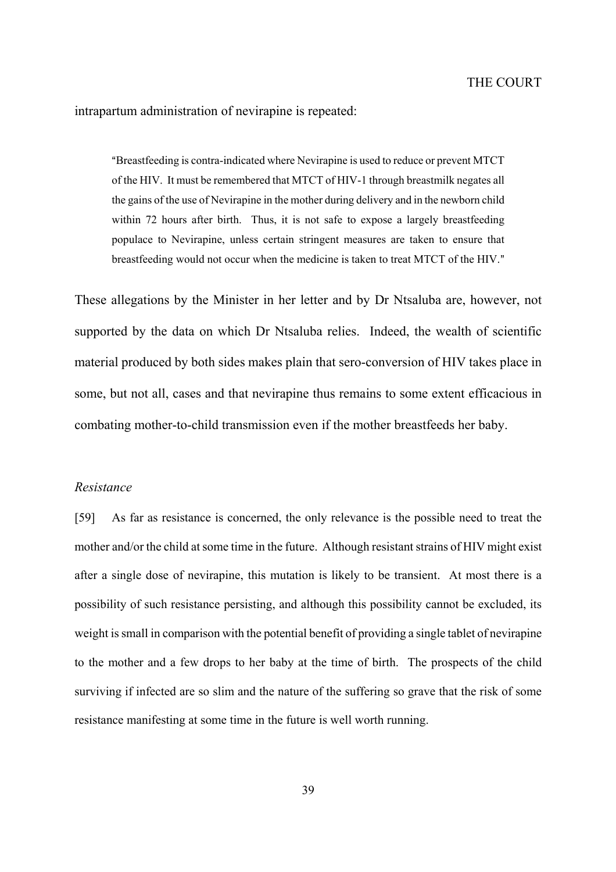intrapartum administration of nevirapine is repeated:

ABreastfeeding is contra-indicated where Nevirapine is used to reduce or prevent MTCT of the HIV. It must be remembered that MTCT of HIV-1 through breastmilk negates all the gains of the use of Nevirapine in the mother during delivery and in the newborn child within 72 hours after birth. Thus, it is not safe to expose a largely breastfeeding populace to Nevirapine, unless certain stringent measures are taken to ensure that breastfeeding would not occur when the medicine is taken to treat MTCT of the HIV."

These allegations by the Minister in her letter and by Dr Ntsaluba are, however, not supported by the data on which Dr Ntsaluba relies. Indeed, the wealth of scientific material produced by both sides makes plain that sero-conversion of HIV takes place in some, but not all, cases and that nevirapine thus remains to some extent efficacious in combating mother-to-child transmission even if the mother breastfeeds her baby.

## *Resistance*

[59] As far as resistance is concerned, the only relevance is the possible need to treat the mother and/or the child at some time in the future. Although resistant strains of HIV might exist after a single dose of nevirapine, this mutation is likely to be transient. At most there is a possibility of such resistance persisting, and although this possibility cannot be excluded, its weight is small in comparison with the potential benefit of providing a single tablet of nevirapine to the mother and a few drops to her baby at the time of birth. The prospects of the child surviving if infected are so slim and the nature of the suffering so grave that the risk of some resistance manifesting at some time in the future is well worth running.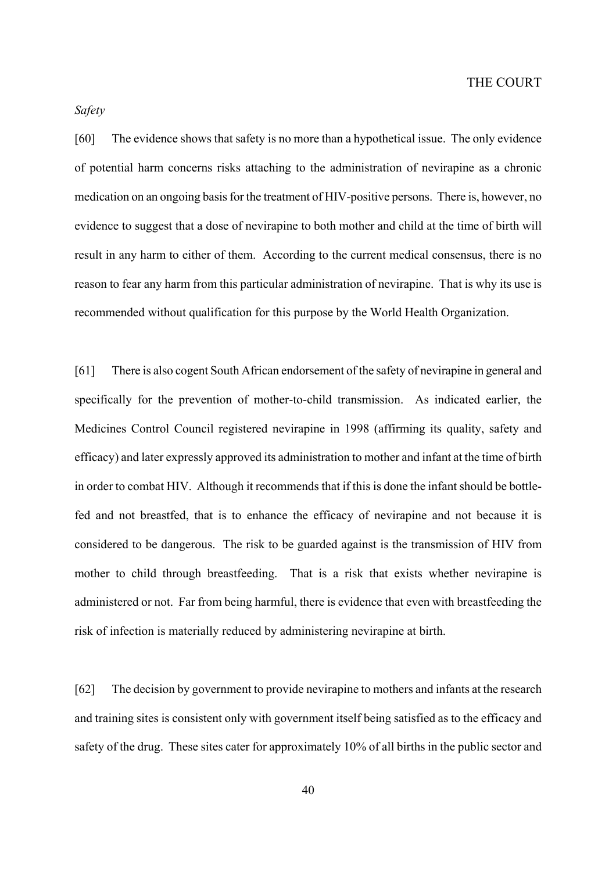# *Safety*

[60] The evidence shows that safety is no more than a hypothetical issue. The only evidence of potential harm concerns risks attaching to the administration of nevirapine as a chronic medication on an ongoing basis for the treatment of HIV-positive persons. There is, however, no evidence to suggest that a dose of nevirapine to both mother and child at the time of birth will result in any harm to either of them. According to the current medical consensus, there is no reason to fear any harm from this particular administration of nevirapine. That is why its use is recommended without qualification for this purpose by the World Health Organization.

[61] There is also cogent South African endorsement of the safety of nevirapine in general and specifically for the prevention of mother-to-child transmission. As indicated earlier, the Medicines Control Council registered nevirapine in 1998 (affirming its quality, safety and efficacy) and later expressly approved its administration to mother and infant at the time of birth in order to combat HIV. Although it recommends that if this is done the infant should be bottlefed and not breastfed, that is to enhance the efficacy of nevirapine and not because it is considered to be dangerous. The risk to be guarded against is the transmission of HIV from mother to child through breastfeeding. That is a risk that exists whether nevirapine is administered or not. Far from being harmful, there is evidence that even with breastfeeding the risk of infection is materially reduced by administering nevirapine at birth.

[62] The decision by government to provide nevirapine to mothers and infants at the research and training sites is consistent only with government itself being satisfied as to the efficacy and safety of the drug. These sites cater for approximately 10% of all births in the public sector and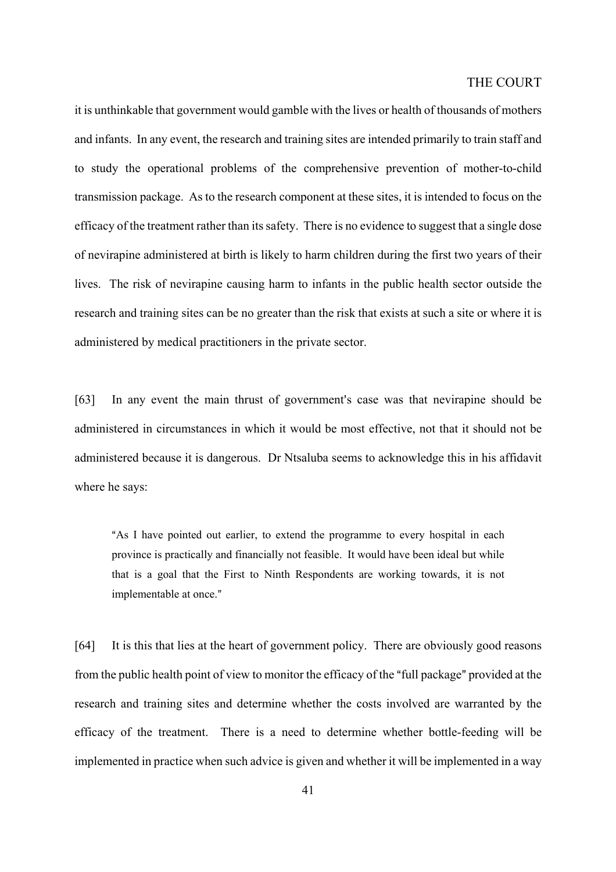it is unthinkable that government would gamble with the lives or health of thousands of mothers and infants. In any event, the research and training sites are intended primarily to train staff and to study the operational problems of the comprehensive prevention of mother-to-child transmission package. As to the research component at these sites, it is intended to focus on the efficacy of the treatment rather than its safety. There is no evidence to suggest that a single dose of nevirapine administered at birth is likely to harm children during the first two years of their lives. The risk of nevirapine causing harm to infants in the public health sector outside the research and training sites can be no greater than the risk that exists at such a site or where it is administered by medical practitioners in the private sector.

[63] In any event the main thrust of government's case was that nevirapine should be administered in circumstances in which it would be most effective, not that it should not be administered because it is dangerous. Dr Ntsaluba seems to acknowledge this in his affidavit where he says:

<sup>"</sup>As I have pointed out earlier, to extend the programme to every hospital in each province is practically and financially not feasible. It would have been ideal but while that is a goal that the First to Ninth Respondents are working towards, it is not implementable at once."

[64] It is this that lies at the heart of government policy. There are obviously good reasons from the public health point of view to monitor the efficacy of the "full package" provided at the research and training sites and determine whether the costs involved are warranted by the efficacy of the treatment. There is a need to determine whether bottle-feeding will be implemented in practice when such advice is given and whether it will be implemented in a way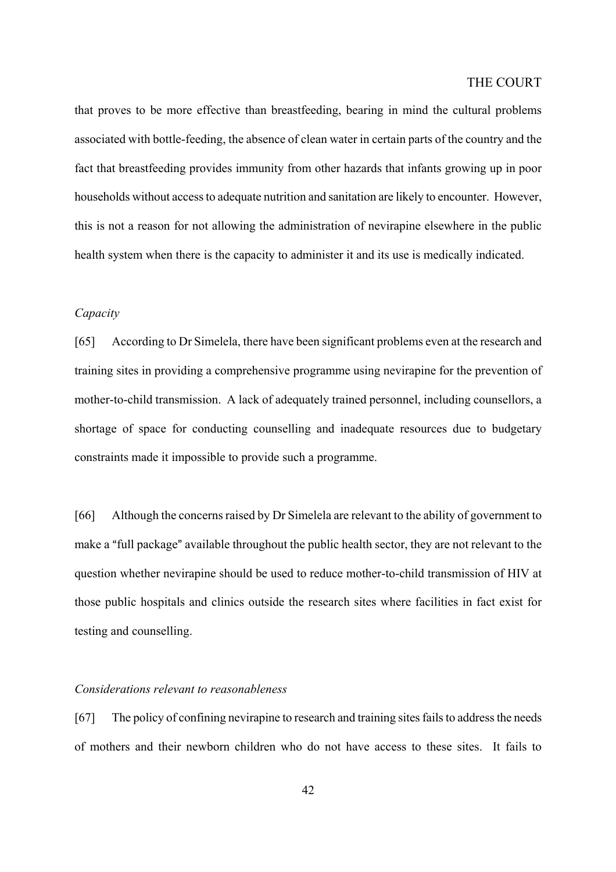that proves to be more effective than breastfeeding, bearing in mind the cultural problems associated with bottle-feeding, the absence of clean water in certain parts of the country and the fact that breastfeeding provides immunity from other hazards that infants growing up in poor households without access to adequate nutrition and sanitation are likely to encounter. However, this is not a reason for not allowing the administration of nevirapine elsewhere in the public health system when there is the capacity to administer it and its use is medically indicated.

# *Capacity*

[65] According to Dr Simelela, there have been significant problems even at the research and training sites in providing a comprehensive programme using nevirapine for the prevention of mother-to-child transmission. A lack of adequately trained personnel, including counsellors, a shortage of space for conducting counselling and inadequate resources due to budgetary constraints made it impossible to provide such a programme.

[66] Although the concerns raised by Dr Simelela are relevant to the ability of government to make a "full package" available throughout the public health sector, they are not relevant to the question whether nevirapine should be used to reduce mother-to-child transmission of HIV at those public hospitals and clinics outside the research sites where facilities in fact exist for testing and counselling.

#### *Considerations relevant to reasonableness*

[67] The policy of confining nevirapine to research and training sites fails to address the needs of mothers and their newborn children who do not have access to these sites. It fails to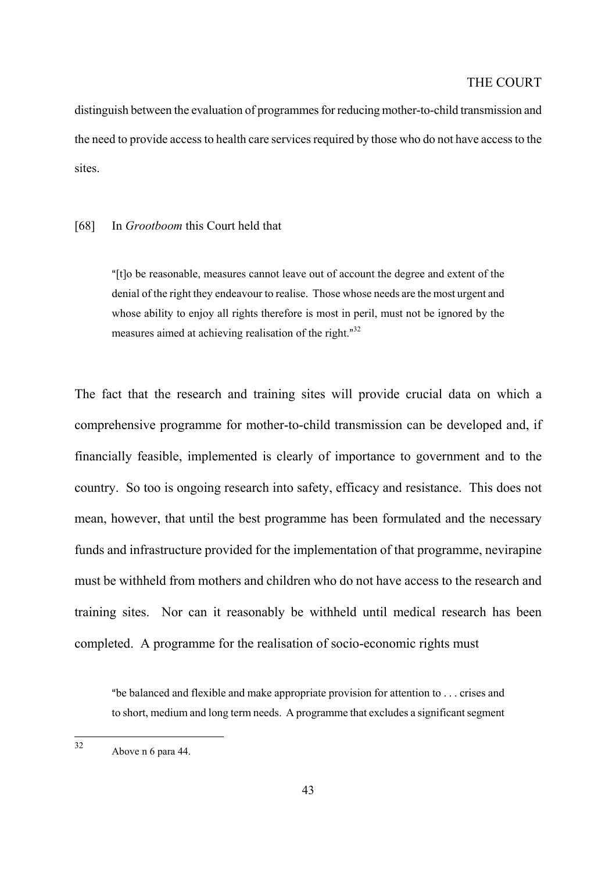distinguish between the evaluation of programmes for reducing mother-to-child transmission and the need to provide access to health care services required by those who do not have access to the sites.

#### [68] In *Grootboom* this Court held that

A[t]o be reasonable, measures cannot leave out of account the degree and extent of the denial of the right they endeavour to realise. Those whose needs are the most urgent and whose ability to enjoy all rights therefore is most in peril, must not be ignored by the measures aimed at achieving realisation of the right."<sup>[32](#page-42-0)</sup>

The fact that the research and training sites will provide crucial data on which a comprehensive programme for mother-to-child transmission can be developed and, if financially feasible, implemented is clearly of importance to government and to the country. So too is ongoing research into safety, efficacy and resistance. This does not mean, however, that until the best programme has been formulated and the necessary funds and infrastructure provided for the implementation of that programme, nevirapine must be withheld from mothers and children who do not have access to the research and training sites. Nor can it reasonably be withheld until medical research has been completed. A programme for the realisation of socio-economic rights must

Abe balanced and flexible and make appropriate provision for attention to . . . crises and to short, medium and long term needs. A programme that excludes a significant segment

<span id="page-42-0"></span> $32$ Above n 6 para 44.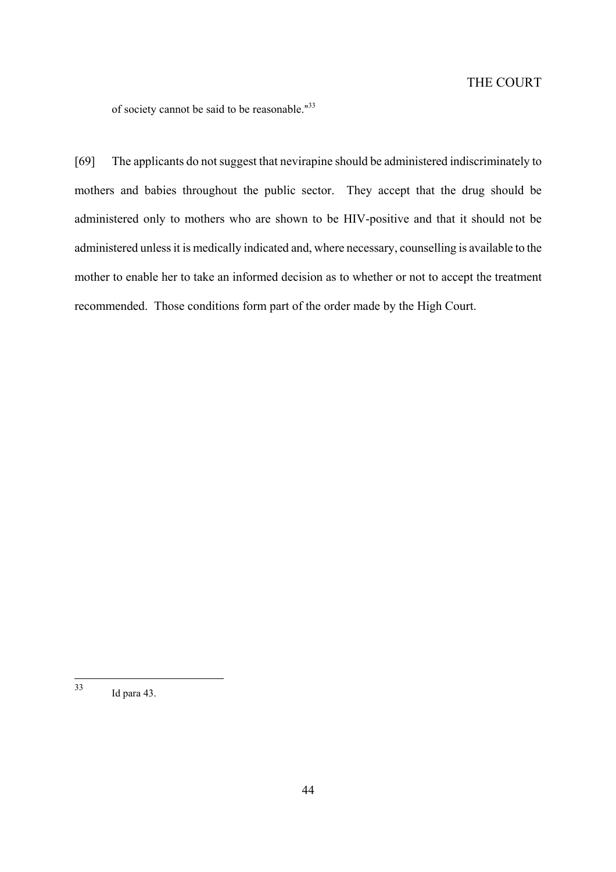of society cannot be said to be reasonable." $33$ 

[69] The applicants do not suggest that nevirapine should be administered indiscriminately to mothers and babies throughout the public sector. They accept that the drug should be administered only to mothers who are shown to be HIV-positive and that it should not be administered unless it is medically indicated and, where necessary, counselling is available to the mother to enable her to take an informed decision as to whether or not to accept the treatment recommended. Those conditions form part of the order made by the High Court.

<span id="page-43-0"></span> $33$ Id para 43.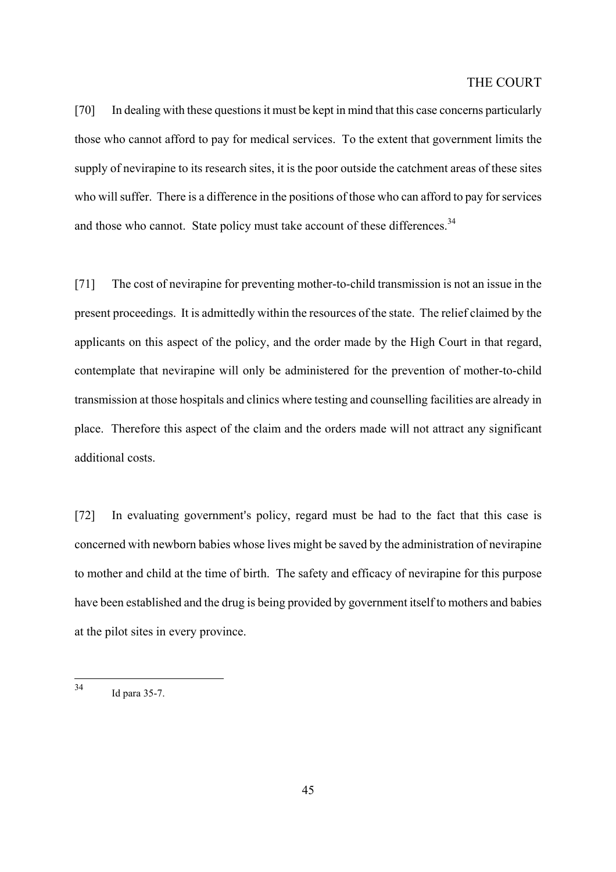[70] In dealing with these questions it must be kept in mind that this case concerns particularly those who cannot afford to pay for medical services. To the extent that government limits the supply of nevirapine to its research sites, it is the poor outside the catchment areas of these sites who will suffer. There is a difference in the positions of those who can afford to pay for services and those who cannot. State policy must take account of these differences.<sup>34</sup>

[71] The cost of nevirapine for preventing mother-to-child transmission is not an issue in the present proceedings. It is admittedly within the resources of the state. The relief claimed by the applicants on this aspect of the policy, and the order made by the High Court in that regard, contemplate that nevirapine will only be administered for the prevention of mother-to-child transmission at those hospitals and clinics where testing and counselling facilities are already in place. Therefore this aspect of the claim and the orders made will not attract any significant additional costs.

[72] In evaluating government's policy, regard must be had to the fact that this case is concerned with newborn babies whose lives might be saved by the administration of nevirapine to mother and child at the time of birth. The safety and efficacy of nevirapine for this purpose have been established and the drug is being provided by government itself to mothers and babies at the pilot sites in every province.

<span id="page-44-0"></span> $34$ Id para 35-7.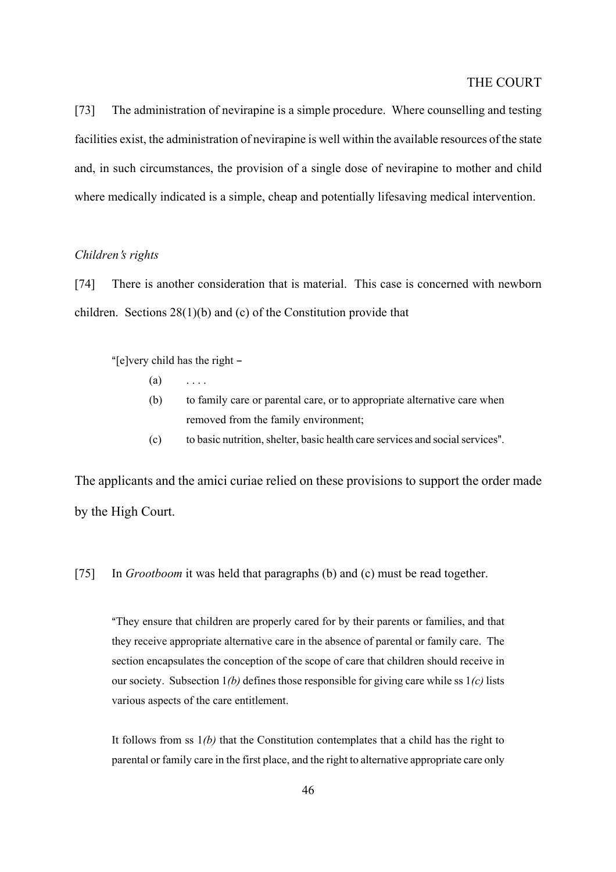[73] The administration of nevirapine is a simple procedure. Where counselling and testing facilities exist, the administration of nevirapine is well within the available resources of the state and, in such circumstances, the provision of a single dose of nevirapine to mother and child where medically indicated is a simple, cheap and potentially lifesaving medical intervention.

# *Children*=*s rights*

[74] There is another consideration that is material. This case is concerned with newborn children. Sections 28(1)(b) and (c) of the Constitution provide that

"[e]very child has the right  $-\frac{1}{2}$ 

- $(a)$  ....
- (b) to family care or parental care, or to appropriate alternative care when removed from the family environment;
- (c) to basic nutrition, shelter, basic health care services and social services".

The applicants and the amici curiae relied on these provisions to support the order made by the High Court.

[75] In *Grootboom* it was held that paragraphs (b) and (c) must be read together.

AThey ensure that children are properly cared for by their parents or families, and that they receive appropriate alternative care in the absence of parental or family care. The section encapsulates the conception of the scope of care that children should receive in our society. Subsection 1*(b)* defines those responsible for giving care while ss 1*(c)* lists various aspects of the care entitlement.

It follows from ss 1*(b)* that the Constitution contemplates that a child has the right to parental or family care in the first place, and the right to alternative appropriate care only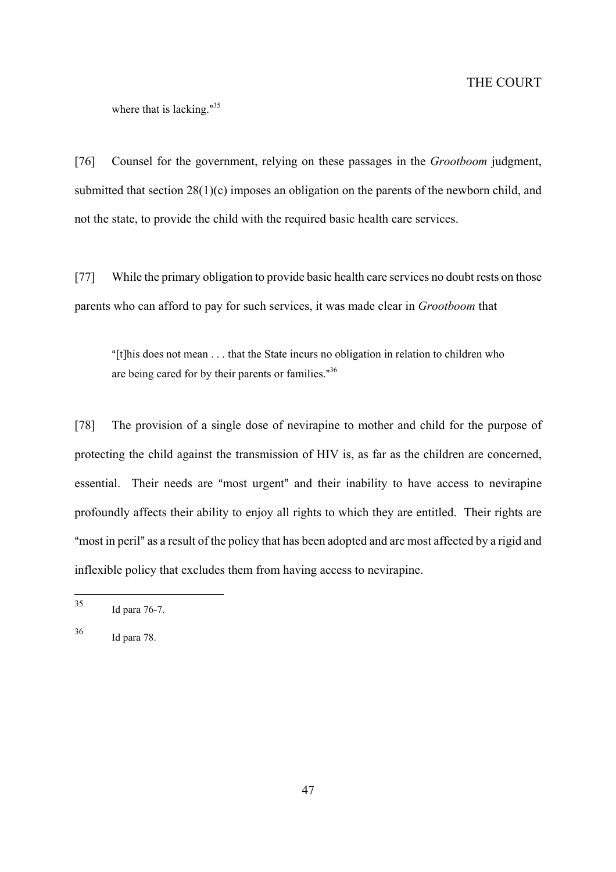where that is lacking. $^{35}$  $^{35}$  $^{35}$ 

[76] Counsel for the government, relying on these passages in the *Grootboom* judgment, submitted that section 28(1)(c) imposes an obligation on the parents of the newborn child, and not the state, to provide the child with the required basic health care services.

[77] While the primary obligation to provide basic health care services no doubt rests on those parents who can afford to pay for such services, it was made clear in *Grootboom* that

"[t]his does not mean . . . that the State incurs no obligation in relation to children who are being cared for by their parents or families."[36](#page-46-1)

[78] The provision of a single dose of nevirapine to mother and child for the purpose of protecting the child against the transmission of HIV is, as far as the children are concerned, essential. Their needs are "most urgent" and their inability to have access to nevirapine profoundly affects their ability to enjoy all rights to which they are entitled. Their rights are "most in peril" as a result of the policy that has been adopted and are most affected by a rigid and inflexible policy that excludes them from having access to nevirapine.

<span id="page-46-0"></span><sup>35</sup> Id para 76-7.

<span id="page-46-1"></span><sup>36</sup> Id para 78.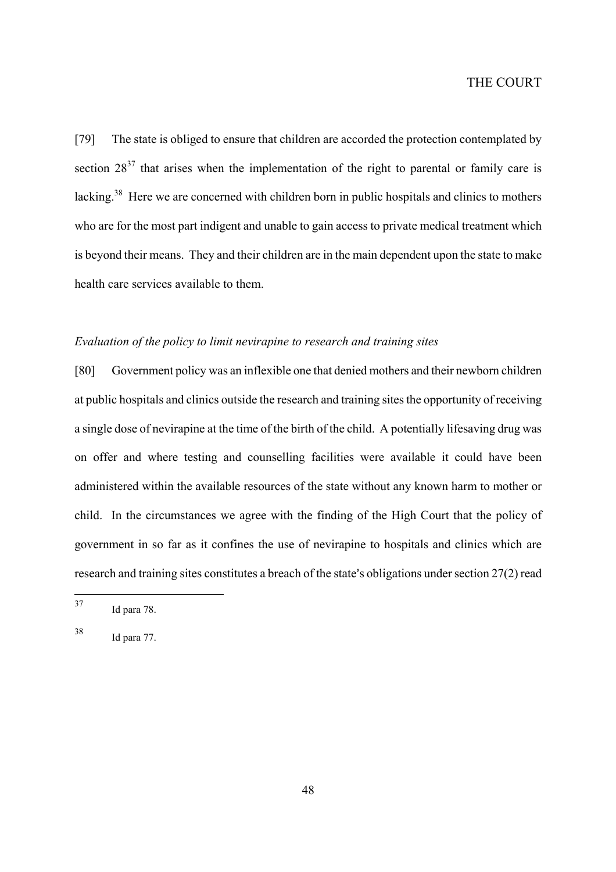[79] The state is obliged to ensure that children are accorded the protection contemplated by section  $28^{37}$  that arises when the implementation of the right to parental or family care is lacking.<sup>38</sup> Here we are concerned with children born in public hospitals and clinics to mothers who are for the most part indigent and unable to gain access to private medical treatment which is beyond their means. They and their children are in the main dependent upon the state to make health care services available to them.

# *Evaluation of the policy to limit nevirapine to research and training sites*

[80] Government policy was an inflexible one that denied mothers and their newborn children at public hospitals and clinics outside the research and training sites the opportunity of receiving a single dose of nevirapine at the time of the birth of the child. A potentially lifesaving drug was on offer and where testing and counselling facilities were available it could have been administered within the available resources of the state without any known harm to mother or child. In the circumstances we agree with the finding of the High Court that the policy of government in so far as it confines the use of nevirapine to hospitals and clinics which are research and training sites constitutes a breach of the state's obligations under section  $27(2)$  read

<span id="page-47-0"></span><sup>37</sup> Id para 78.

<span id="page-47-1"></span><sup>38</sup> Id para 77.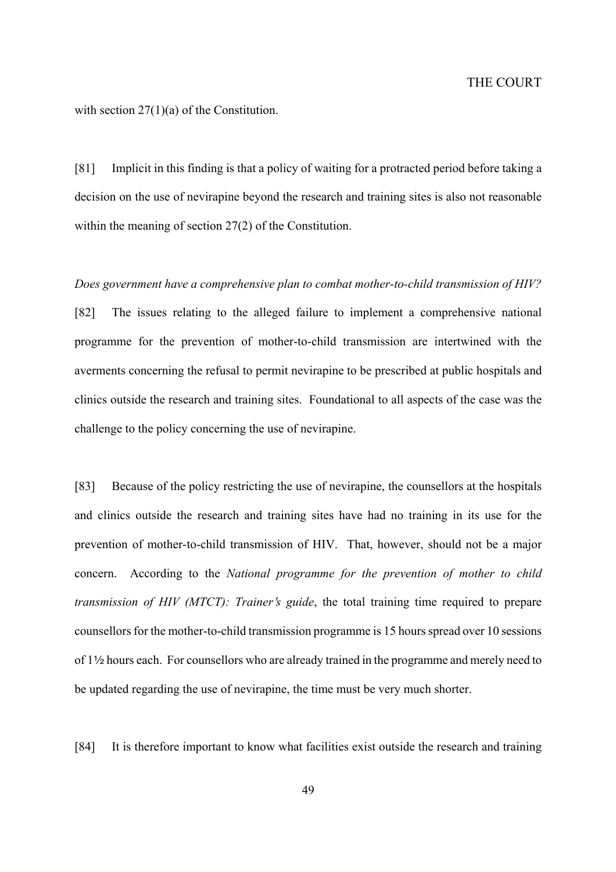with section 27(1)(a) of the Constitution.

[81] Implicit in this finding is that a policy of waiting for a protracted period before taking a decision on the use of nevirapine beyond the research and training sites is also not reasonable within the meaning of section 27(2) of the Constitution.

*Does government have a comprehensive plan to combat mother-to-child transmission of HIV?* [82] The issues relating to the alleged failure to implement a comprehensive national programme for the prevention of mother-to-child transmission are intertwined with the averments concerning the refusal to permit nevirapine to be prescribed at public hospitals and clinics outside the research and training sites. Foundational to all aspects of the case was the challenge to the policy concerning the use of nevirapine.

[83] Because of the policy restricting the use of nevirapine, the counsellors at the hospitals and clinics outside the research and training sites have had no training in its use for the prevention of mother-to-child transmission of HIV. That, however, should not be a major concern. According to the *National programme for the prevention of mother to child transmission of HIV (MTCT): Trainer's guide*, the total training time required to prepare counsellors for the mother-to-child transmission programme is 15 hours spread over 10 sessions of 12 hours each. For counsellors who are already trained in the programme and merely need to be updated regarding the use of nevirapine, the time must be very much shorter.

[84] It is therefore important to know what facilities exist outside the research and training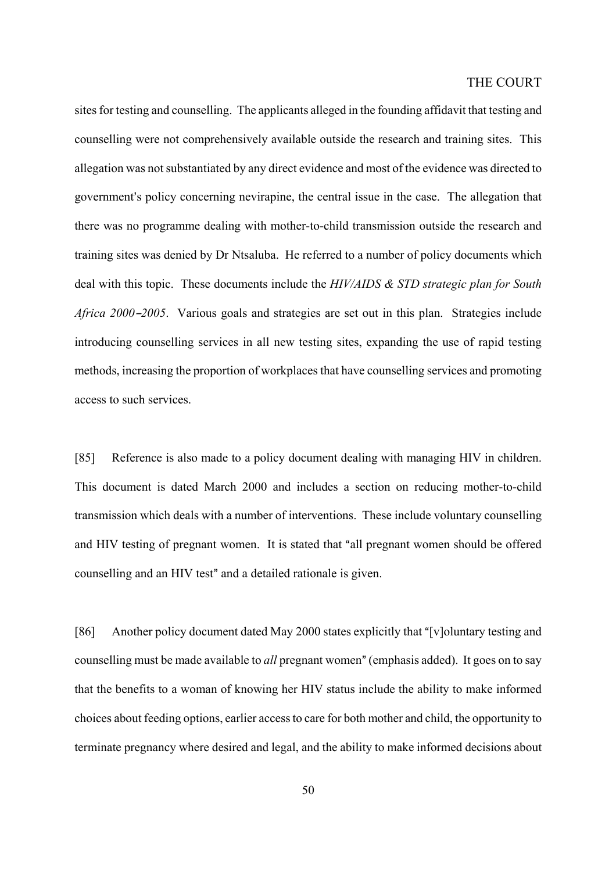sites for testing and counselling. The applicants alleged in the founding affidavit that testing and counselling were not comprehensively available outside the research and training sites. This allegation was not substantiated by any direct evidence and most of the evidence was directed to government's policy concerning nevirapine, the central issue in the case. The allegation that there was no programme dealing with mother-to-child transmission outside the research and training sites was denied by Dr Ntsaluba. He referred to a number of policy documents which deal with this topic. These documents include the *HIV/AIDS & STD strategic plan for South Africa 2000–2005*. Various goals and strategies are set out in this plan. Strategies include introducing counselling services in all new testing sites, expanding the use of rapid testing methods, increasing the proportion of workplaces that have counselling services and promoting access to such services.

[85] Reference is also made to a policy document dealing with managing HIV in children. This document is dated March 2000 and includes a section on reducing mother-to-child transmission which deals with a number of interventions. These include voluntary counselling and HIV testing of pregnant women. It is stated that "all pregnant women should be offered counselling and an HIV test" and a detailed rationale is given.

[86] Another policy document dated May 2000 states explicitly that "[v]oluntary testing and counselling must be made available to *all* pregnant women" (emphasis added). It goes on to say that the benefits to a woman of knowing her HIV status include the ability to make informed choices about feeding options, earlier access to care for both mother and child, the opportunity to terminate pregnancy where desired and legal, and the ability to make informed decisions about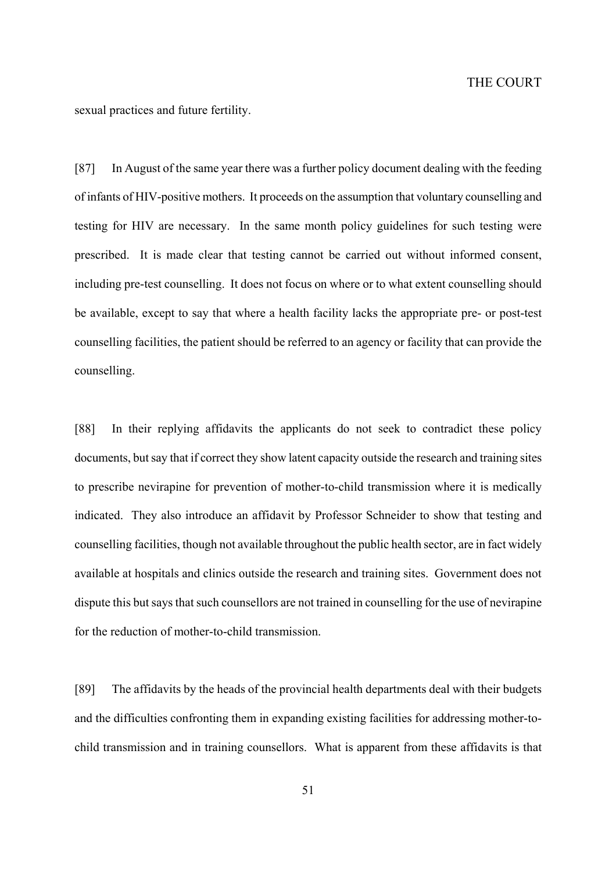sexual practices and future fertility.

[87] In August of the same year there was a further policy document dealing with the feeding of infants of HIV-positive mothers. It proceeds on the assumption that voluntary counselling and testing for HIV are necessary. In the same month policy guidelines for such testing were prescribed. It is made clear that testing cannot be carried out without informed consent, including pre-test counselling. It does not focus on where or to what extent counselling should be available, except to say that where a health facility lacks the appropriate pre- or post-test counselling facilities, the patient should be referred to an agency or facility that can provide the counselling.

[88] In their replying affidavits the applicants do not seek to contradict these policy documents, but say that if correct they show latent capacity outside the research and training sites to prescribe nevirapine for prevention of mother-to-child transmission where it is medically indicated. They also introduce an affidavit by Professor Schneider to show that testing and counselling facilities, though not available throughout the public health sector, are in fact widely available at hospitals and clinics outside the research and training sites. Government does not dispute this but says that such counsellors are not trained in counselling for the use of nevirapine for the reduction of mother-to-child transmission.

[89] The affidavits by the heads of the provincial health departments deal with their budgets and the difficulties confronting them in expanding existing facilities for addressing mother-tochild transmission and in training counsellors. What is apparent from these affidavits is that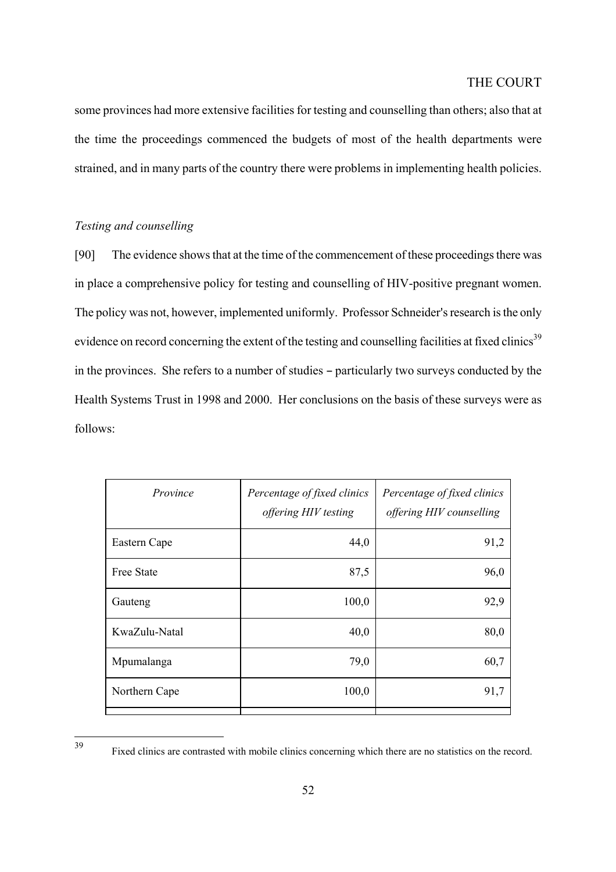some provinces had more extensive facilities for testing and counselling than others; also that at the time the proceedings commenced the budgets of most of the health departments were strained, and in many parts of the country there were problems in implementing health policies.

# *Testing and counselling*

[90] The evidence shows that at the time of the commencement of these proceedings there was in place a comprehensive policy for testing and counselling of HIV-positive pregnant women. The policy was not, however, implemented uniformly. Professor Schneider's research is the only evidence on record concerning the extent of the testing and counselling facilities at fixed clinics<sup>39</sup> in the provinces. She refers to a number of studies – particularly two surveys conducted by the Health Systems Trust in 1998 and 2000. Her conclusions on the basis of these surveys were as follows:

| Province          | Percentage of fixed clinics<br>offering HIV testing | Percentage of fixed clinics<br>offering HIV counselling |
|-------------------|-----------------------------------------------------|---------------------------------------------------------|
| Eastern Cape      | 44,0                                                | 91,2                                                    |
| <b>Free State</b> | 87,5                                                | 96,0                                                    |
| Gauteng           | 100,0                                               | 92,9                                                    |
| KwaZulu-Natal     | 40,0                                                | 80,0                                                    |
| Mpumalanga        | 79,0                                                | 60,7                                                    |
| Northern Cape     | 100,0                                               | 91,7                                                    |
|                   |                                                     |                                                         |

<span id="page-51-0"></span><sup>39</sup> Fixed clinics are contrasted with mobile clinics concerning which there are no statistics on the record.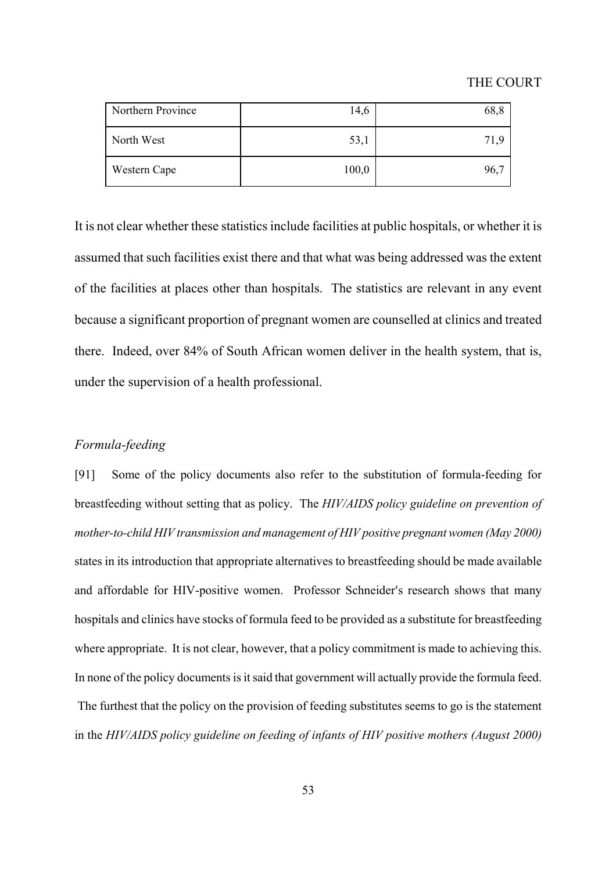| Northern Province | 14,6  | 68,8 |
|-------------------|-------|------|
| North West        | 53,1  |      |
| Western Cape      | 100,0 |      |

It is not clear whether these statistics include facilities at public hospitals, or whether it is assumed that such facilities exist there and that what was being addressed was the extent of the facilities at places other than hospitals. The statistics are relevant in any event because a significant proportion of pregnant women are counselled at clinics and treated there. Indeed, over 84% of South African women deliver in the health system, that is, under the supervision of a health professional.

# *Formula-feeding*

[91] Some of the policy documents also refer to the substitution of formula-feeding for breastfeeding without setting that as policy. The *HIV/AIDS policy guideline on prevention of mother-to-child HIV transmission and management of HIV positive pregnant women (May 2000)* states in its introduction that appropriate alternatives to breastfeeding should be made available and affordable for HIV-positive women. Professor Schneider's research shows that many hospitals and clinics have stocks of formula feed to be provided as a substitute for breastfeeding where appropriate. It is not clear, however, that a policy commitment is made to achieving this. In none of the policy documents is it said that government will actually provide the formula feed. The furthest that the policy on the provision of feeding substitutes seems to go is the statement in the *HIV/AIDS policy guideline on feeding of infants of HIV positive mothers (August 2000)*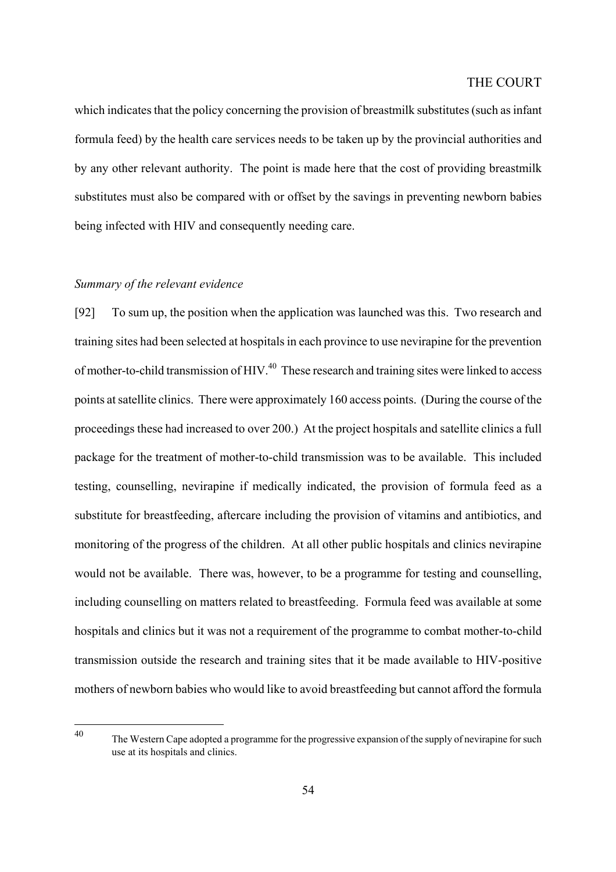which indicates that the policy concerning the provision of breastmilk substitutes (such as infant formula feed) by the health care services needs to be taken up by the provincial authorities and by any other relevant authority. The point is made here that the cost of providing breastmilk substitutes must also be compared with or offset by the savings in preventing newborn babies being infected with HIV and consequently needing care.

# *Summary of the relevant evidence*

[92] To sum up, the position when the application was launched was this. Two research and training sites had been selected at hospitals in each province to use nevirapine for the prevention of mother-to-child transmission of HIV.<sup>40</sup> These research and training sites were linked to access points at satellite clinics. There were approximately 160 access points. (During the course of the proceedings these had increased to over 200.) At the project hospitals and satellite clinics a full package for the treatment of mother-to-child transmission was to be available. This included testing, counselling, nevirapine if medically indicated, the provision of formula feed as a substitute for breastfeeding, aftercare including the provision of vitamins and antibiotics, and monitoring of the progress of the children. At all other public hospitals and clinics nevirapine would not be available. There was, however, to be a programme for testing and counselling, including counselling on matters related to breastfeeding. Formula feed was available at some hospitals and clinics but it was not a requirement of the programme to combat mother-to-child transmission outside the research and training sites that it be made available to HIV-positive mothers of newborn babies who would like to avoid breastfeeding but cannot afford the formula

<span id="page-53-0"></span> $40$ The Western Cape adopted a programme for the progressive expansion of the supply of nevirapine for such use at its hospitals and clinics.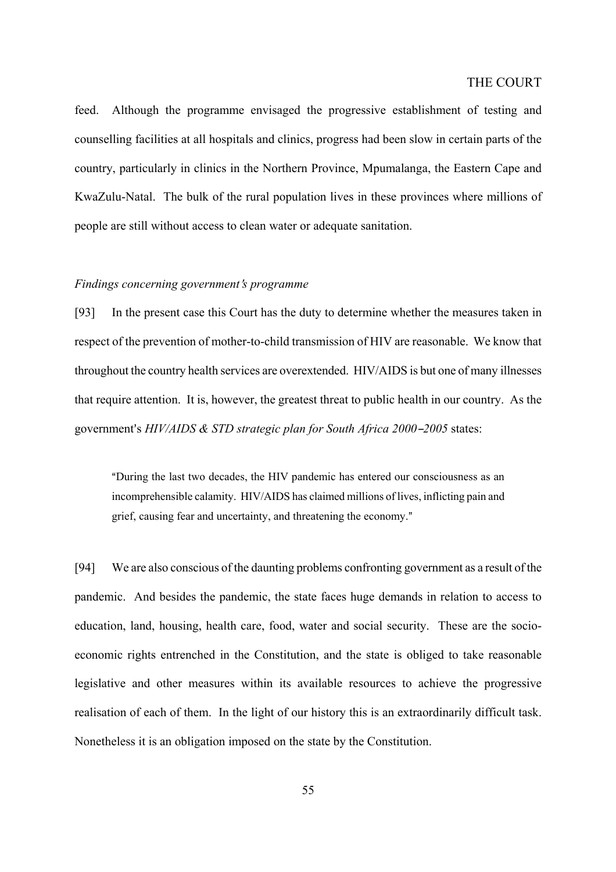feed. Although the programme envisaged the progressive establishment of testing and counselling facilities at all hospitals and clinics, progress had been slow in certain parts of the country, particularly in clinics in the Northern Province, Mpumalanga, the Eastern Cape and KwaZulu-Natal. The bulk of the rural population lives in these provinces where millions of people are still without access to clean water or adequate sanitation.

### *Findings concerning government's programme*

[93] In the present case this Court has the duty to determine whether the measures taken in respect of the prevention of mother-to-child transmission of HIV are reasonable. We know that throughout the country health services are overextended. HIV/AIDS is but one of many illnesses that require attention. It is, however, the greatest threat to public health in our country. As the government's *HIV/AIDS & STD strategic plan for South Africa 2000-2005* states:

"During the last two decades, the HIV pandemic has entered our consciousness as an incomprehensible calamity. HIV/AIDS has claimed millions of lives, inflicting pain and grief, causing fear and uncertainty, and threatening the economy."

[94] We are also conscious of the daunting problems confronting government as a result of the pandemic. And besides the pandemic, the state faces huge demands in relation to access to education, land, housing, health care, food, water and social security. These are the socioeconomic rights entrenched in the Constitution, and the state is obliged to take reasonable legislative and other measures within its available resources to achieve the progressive realisation of each of them. In the light of our history this is an extraordinarily difficult task. Nonetheless it is an obligation imposed on the state by the Constitution.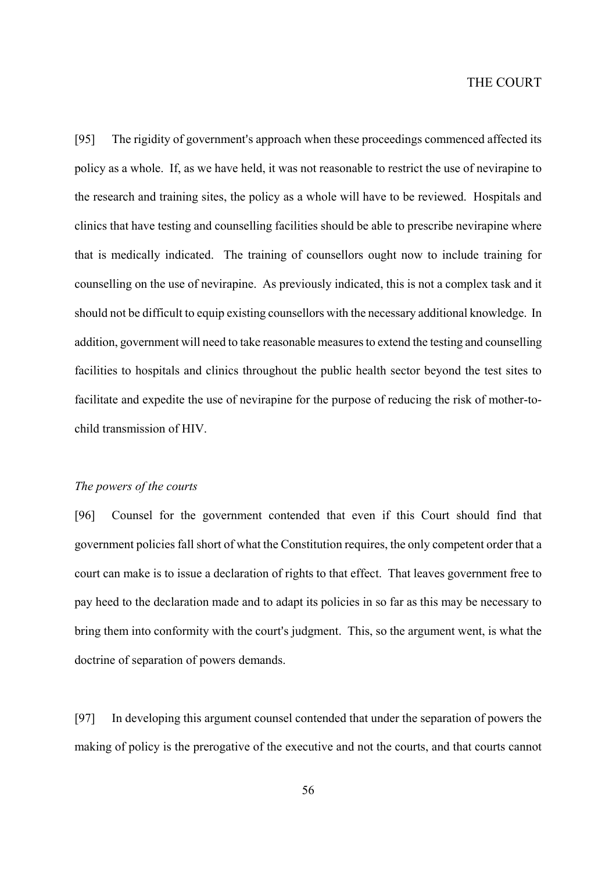[95] The rigidity of government's approach when these proceedings commenced affected its policy as a whole. If, as we have held, it was not reasonable to restrict the use of nevirapine to the research and training sites, the policy as a whole will have to be reviewed. Hospitals and clinics that have testing and counselling facilities should be able to prescribe nevirapine where that is medically indicated. The training of counsellors ought now to include training for counselling on the use of nevirapine. As previously indicated, this is not a complex task and it should not be difficult to equip existing counsellors with the necessary additional knowledge. In addition, government will need to take reasonable measures to extend the testing and counselling facilities to hospitals and clinics throughout the public health sector beyond the test sites to facilitate and expedite the use of nevirapine for the purpose of reducing the risk of mother-tochild transmission of HIV.

## *The powers of the courts*

[96] Counsel for the government contended that even if this Court should find that government policies fall short of what the Constitution requires, the only competent order that a court can make is to issue a declaration of rights to that effect. That leaves government free to pay heed to the declaration made and to adapt its policies in so far as this may be necessary to bring them into conformity with the court's judgment. This, so the argument went, is what the doctrine of separation of powers demands.

[97] In developing this argument counsel contended that under the separation of powers the making of policy is the prerogative of the executive and not the courts, and that courts cannot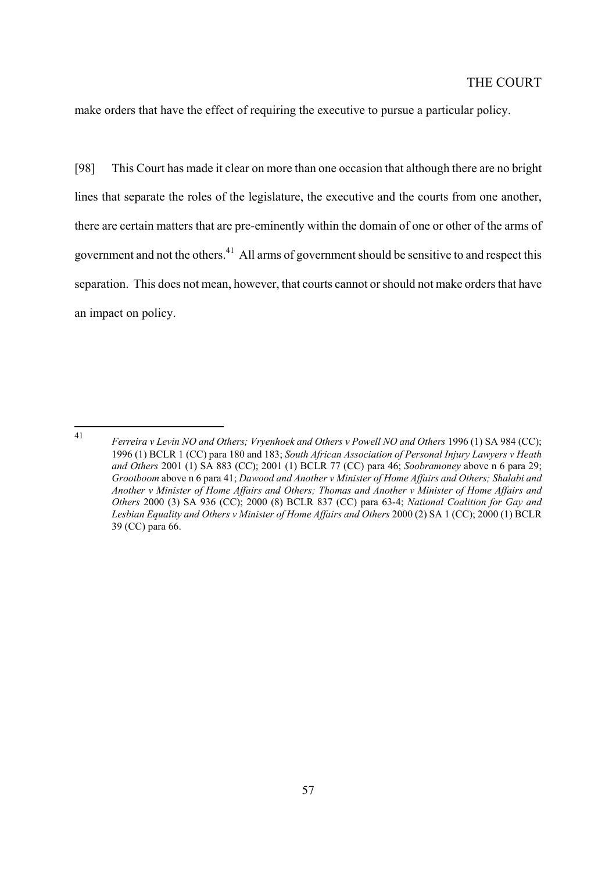make orders that have the effect of requiring the executive to pursue a particular policy.

[98] This Court has made it clear on more than one occasion that although there are no bright lines that separate the roles of the legislature, the executive and the courts from one another, there are certain matters that are pre-eminently within the domain of one or other of the arms of government and not the others.<sup>41</sup> All arms of government should be sensitive to and respect this separation. This does not mean, however, that courts cannot or should not make orders that have an impact on policy.

<span id="page-56-0"></span>41

<sup>41</sup> *Ferreira v Levin NO and Others; Vryenhoek and Others v Powell NO and Others* 1996 (1) SA 984 (CC); 1996 (1) BCLR 1 (CC) para 180 and 183; *South African Association of Personal Injury Lawyers v Heath and Others* 2001 (1) SA 883 (CC); 2001 (1) BCLR 77 (CC) para 46; *Soobramoney* above n 6 para 29; *Grootboom* above n 6 para 41; *Dawood and Another v Minister of Home Affairs and Others; Shalabi and Another v Minister of Home Affairs and Others; Thomas and Another v Minister of Home Affairs and Others* 2000 (3) SA 936 (CC); 2000 (8) BCLR 837 (CC) para 63-4; *National Coalition for Gay and Lesbian Equality and Others v Minister of Home Affairs and Others* 2000 (2) SA 1 (CC); 2000 (1) BCLR 39 (CC) para 66.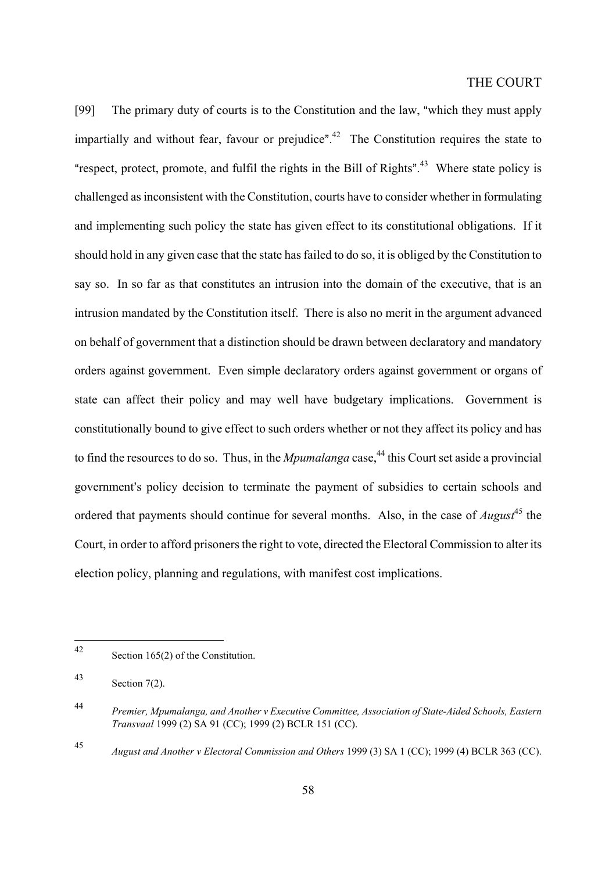[99] The primary duty of courts is to the Constitution and the law, "which they must apply impartially and without fear, favour or prejudice".<sup>42</sup> The Constitution requires the state to "respect, protect, promote, and fulfil the rights in the Bill of Rights".<sup>43</sup> Where state policy is challenged as inconsistent with the Constitution, courts have to consider whether in formulating and implementing such policy the state has given effect to its constitutional obligations. If it should hold in any given case that the state has failed to do so, it is obliged by the Constitution to say so. In so far as that constitutes an intrusion into the domain of the executive, that is an intrusion mandated by the Constitution itself. There is also no merit in the argument advanced on behalf of government that a distinction should be drawn between declaratory and mandatory orders against government. Even simple declaratory orders against government or organs of state can affect their policy and may well have budgetary implications. Government is constitutionally bound to give effect to such orders whether or not they affect its policy and has to find the resources to do so. Thus, in the *Mpumalanga* case,<sup>44</sup> this Court set aside a provincial government's policy decision to terminate the payment of subsidies to certain schools and ordered that payments should continue for several months. Also, in the case of *August*<sup>45</sup> the Court, in order to afford prisoners the right to vote, directed the Electoral Commission to alter its election policy, planning and regulations, with manifest cost implications.

<span id="page-57-0"></span> $42$ 

Section  $165(2)$  of the Constitution.

<span id="page-57-1"></span><sup>43</sup> Section 7(2).

<span id="page-57-2"></span><sup>44</sup> *Premier, Mpumalanga, and Another v Executive Committee, Association of State-Aided Schools, Eastern Transvaal* 1999 (2) SA 91 (CC); 1999 (2) BCLR 151 (CC).

<span id="page-57-3"></span><sup>45</sup> *August and Another v Electoral Commission and Others* 1999 (3) SA 1 (CC); 1999 (4) BCLR 363 (CC).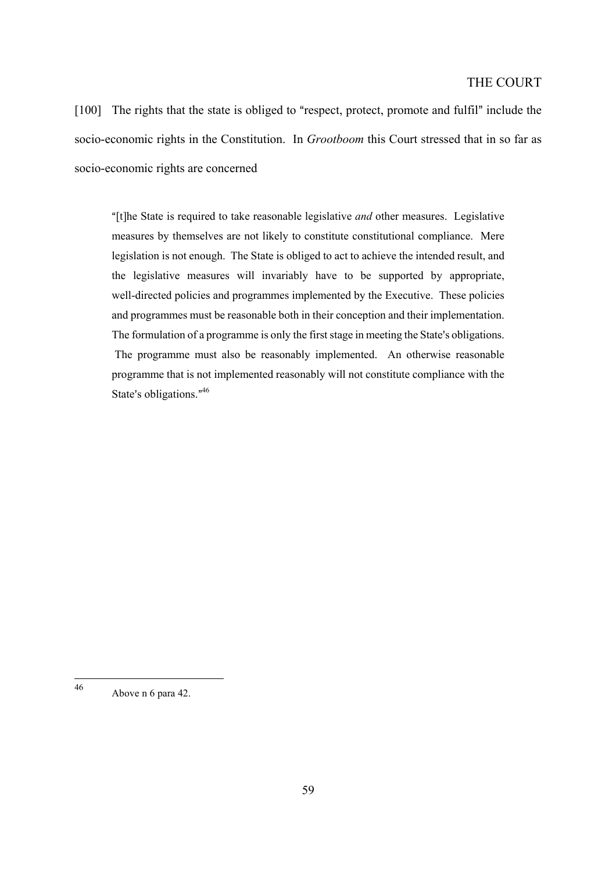[100] The rights that the state is obliged to "respect, protect, promote and fulfil" include the socio-economic rights in the Constitution. In *Grootboom* this Court stressed that in so far as socio-economic rights are concerned

A[t]he State is required to take reasonable legislative *and* other measures. Legislative measures by themselves are not likely to constitute constitutional compliance. Mere legislation is not enough. The State is obliged to act to achieve the intended result, and the legislative measures will invariably have to be supported by appropriate, well-directed policies and programmes implemented by the Executive. These policies and programmes must be reasonable both in their conception and their implementation. The formulation of a programme is only the first stage in meeting the State's obligations. The programme must also be reasonably implemented. An otherwise reasonable programme that is not implemented reasonably will not constitute compliance with the State's obligations."<sup>[46](#page-58-0)</sup>

<span id="page-58-0"></span> $46$ Above n 6 para 42.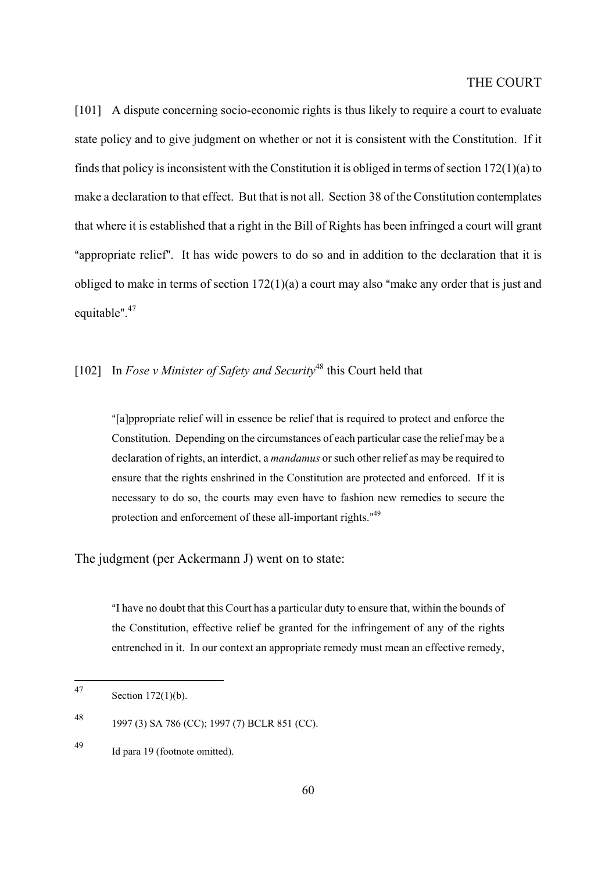[101] A dispute concerning socio-economic rights is thus likely to require a court to evaluate state policy and to give judgment on whether or not it is consistent with the Constitution. If it finds that policy is inconsistent with the Constitution it is obliged in terms of section 172(1)(a) to make a declaration to that effect. But that is not all. Section 38 of the Constitution contemplates that where it is established that a right in the Bill of Rights has been infringed a court will grant "appropriate relief". It has wide powers to do so and in addition to the declaration that it is obliged to make in terms of section  $172(1)(a)$  a court may also "make any order that is just and equitable".<sup>[47](#page-59-0)</sup>

# [102] In *Fose v Minister of Safety and Security*[48](#page-59-1) this Court held that

A[a]ppropriate relief will in essence be relief that is required to protect and enforce the Constitution. Depending on the circumstances of each particular case the relief may be a declaration of rights, an interdict, a *mandamus* or such other relief as may be required to ensure that the rights enshrined in the Constitution are protected and enforced. If it is necessary to do so, the courts may even have to fashion new remedies to secure the protection and enforcement of these all-important rights."<sup>[49](#page-59-2)</sup>

The judgment (per Ackermann J) went on to state:

AI have no doubt that this Court has a particular duty to ensure that, within the bounds of the Constitution, effective relief be granted for the infringement of any of the rights entrenched in it. In our context an appropriate remedy must mean an effective remedy,

<span id="page-59-0"></span><sup>47</sup> Section  $172(1)(b)$ .

<span id="page-59-1"></span><sup>48</sup> 1997 (3) SA 786 (CC); 1997 (7) BCLR 851 (CC).

<span id="page-59-2"></span><sup>49</sup> Id para 19 (footnote omitted).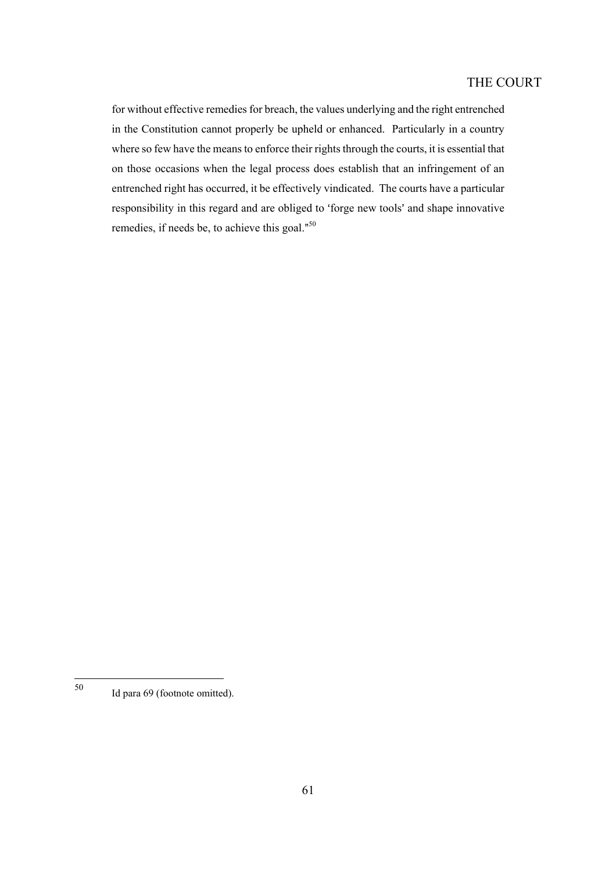for without effective remedies for breach, the values underlying and the right entrenched in the Constitution cannot properly be upheld or enhanced. Particularly in a country where so few have the means to enforce their rights through the courts, it is essential that on those occasions when the legal process does establish that an infringement of an entrenched right has occurred, it be effectively vindicated. The courts have a particular responsibility in this regard and are obliged to 'forge new tools' and shape innovative remedies, if needs be, to achieve this goal." $50$ 

<span id="page-60-0"></span><sup>50</sup> Id para 69 (footnote omitted).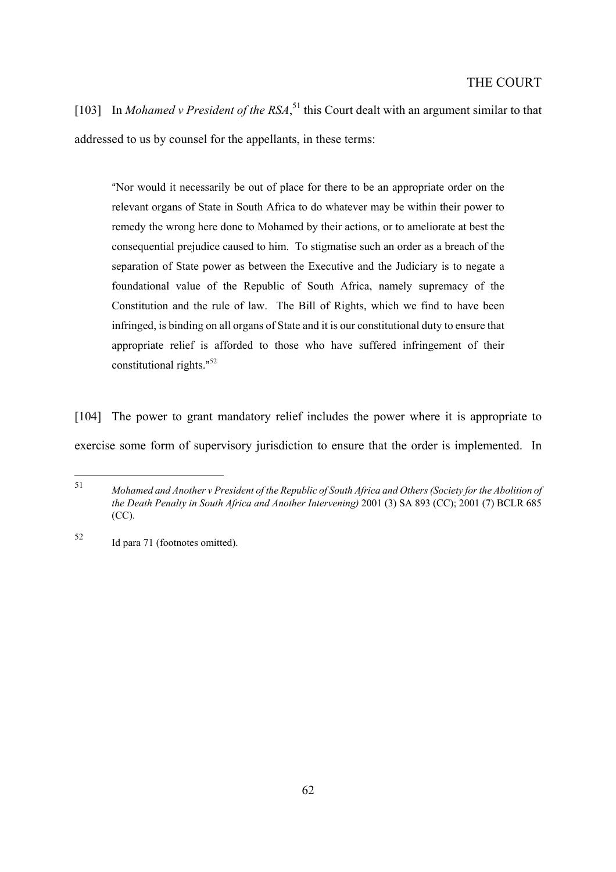[103] In *Mohamed v President of the RSA*,<sup>51</sup> this Court dealt with an argument similar to that addressed to us by counsel for the appellants, in these terms:

"Nor would it necessarily be out of place for there to be an appropriate order on the relevant organs of State in South Africa to do whatever may be within their power to remedy the wrong here done to Mohamed by their actions, or to ameliorate at best the consequential prejudice caused to him. To stigmatise such an order as a breach of the separation of State power as between the Executive and the Judiciary is to negate a foundational value of the Republic of South Africa, namely supremacy of the Constitution and the rule of law. The Bill of Rights, which we find to have been infringed, is binding on all organs of State and it is our constitutional duty to ensure that appropriate relief is afforded to those who have suffered infringement of their constitutional rights."<sup>[52](#page-61-1)</sup>

[104] The power to grant mandatory relief includes the power where it is appropriate to exercise some form of supervisory jurisdiction to ensure that the order is implemented. In

<span id="page-61-0"></span><sup>51</sup> <sup>51</sup> *Mohamed and Another v President of the Republic of South Africa and Others (Society for the Abolition of the Death Penalty in South Africa and Another Intervening)* 2001 (3) SA 893 (CC); 2001 (7) BCLR 685 (CC).

<span id="page-61-1"></span><sup>52</sup> Id para 71 (footnotes omitted).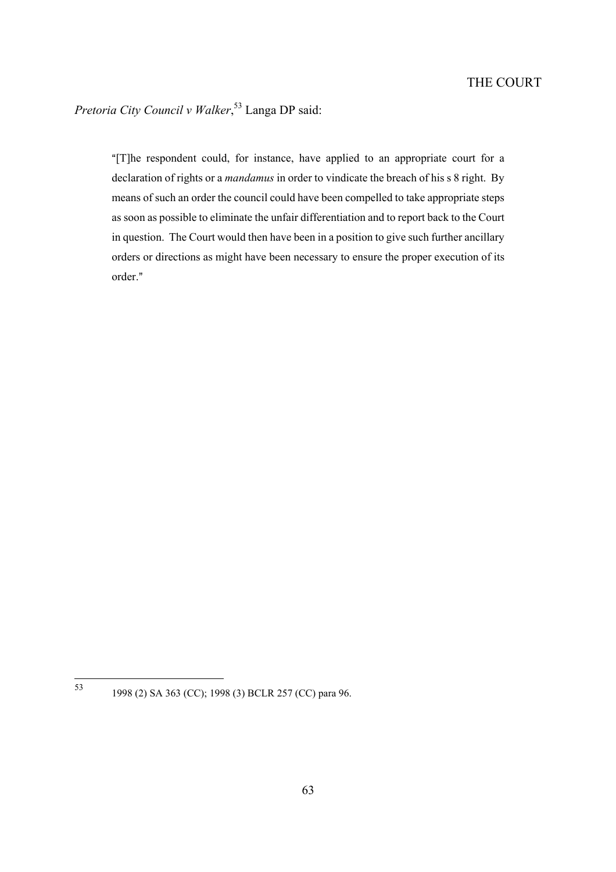*Pretoria City Council v Walker*, [53](#page-62-0) Langa DP said:

"[T]he respondent could, for instance, have applied to an appropriate court for a declaration of rights or a *mandamus* in order to vindicate the breach of his s 8 right. By means of such an order the council could have been compelled to take appropriate steps as soon as possible to eliminate the unfair differentiation and to report back to the Court in question. The Court would then have been in a position to give such further ancillary orders or directions as might have been necessary to ensure the proper execution of its order."

<span id="page-62-0"></span><sup>53</sup> <sup>53</sup> 1998 (2) SA 363 (CC); 1998 (3) BCLR 257 (CC) para 96.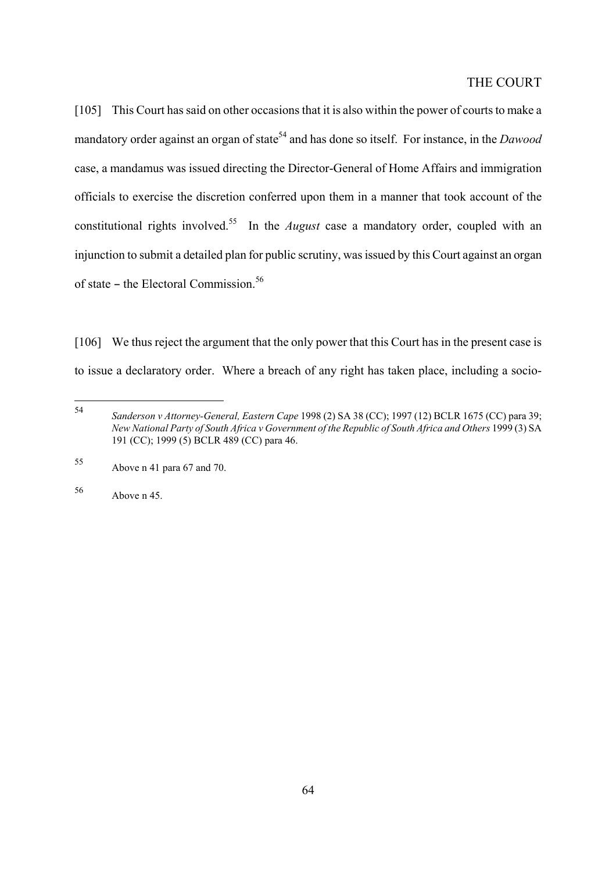[105] This Court has said on other occasions that it is also within the power of courts to make a mandatory order against an organ of state<sup>54</sup> and has done so itself. For instance, in the *Dawood* case, a mandamus was issued directing the Director-General of Home Affairs and immigration officials to exercise the discretion conferred upon them in a manner that took account of the constitutional rights involved.<sup>55</sup> In the *August* case a mandatory order, coupled with an injunction to submit a detailed plan for public scrutiny, was issued by this Court against an organ of state  $-$  the Electoral Commission.<sup>[56](#page-63-2)</sup>

[106] We thus reject the argument that the only power that this Court has in the present case is to issue a declaratory order. Where a breach of any right has taken place, including a socio-

<span id="page-63-0"></span><sup>54</sup> <sup>54</sup> *Sanderson v Attorney-General, Eastern Cape* 1998 (2) SA 38 (CC); 1997 (12) BCLR 1675 (CC) para 39; *New National Party of South Africa v Government of the Republic of South Africa and Others* 1999 (3) SA 191 (CC); 1999 (5) BCLR 489 (CC) para 46.

<span id="page-63-1"></span><sup>55</sup> Above n 41 para 67 and 70.

<span id="page-63-2"></span><sup>56</sup> Above n 45.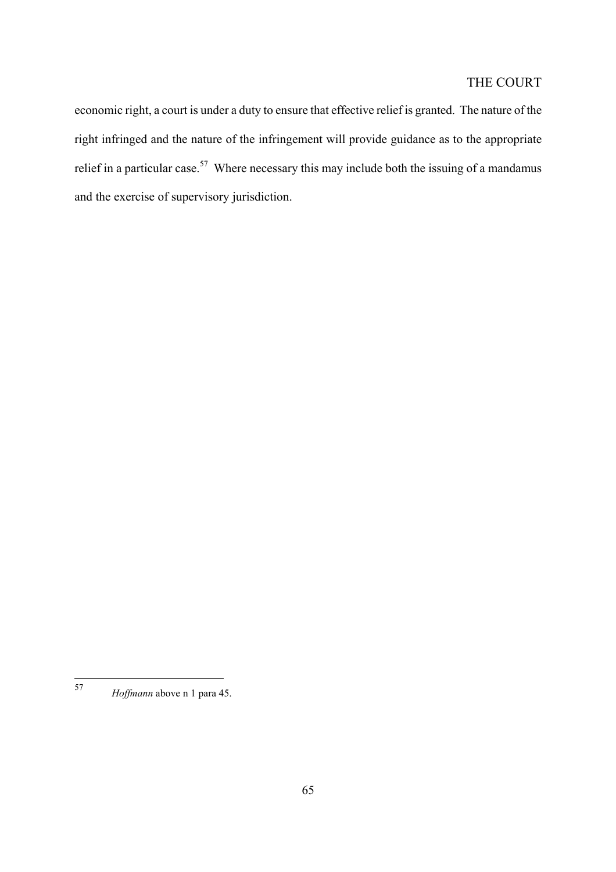economic right, a court is under a duty to ensure that effective relief is granted. The nature of the right infringed and the nature of the infringement will provide guidance as to the appropriate relief in a particular case.<sup>57</sup> Where necessary this may include both the issuing of a mandamus and the exercise of supervisory jurisdiction.

<span id="page-64-0"></span><sup>57</sup> <sup>57</sup> *Hoffmann* above n 1 para 45.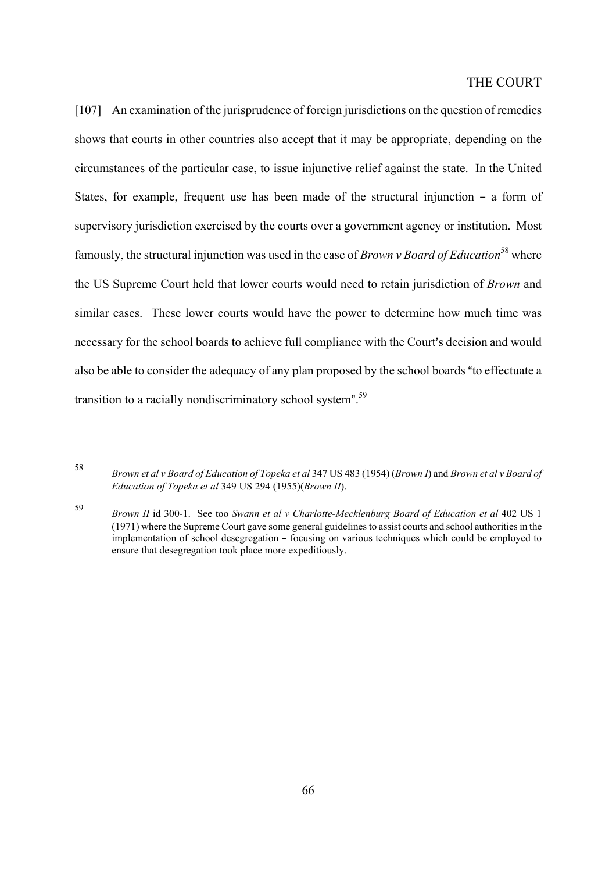[107] An examination of the jurisprudence of foreign jurisdictions on the question of remedies shows that courts in other countries also accept that it may be appropriate, depending on the circumstances of the particular case, to issue injunctive relief against the state. In the United States, for example, frequent use has been made of the structural injunction  $-$  a form of supervisory jurisdiction exercised by the courts over a government agency or institution. Most famously, the structural injunction was used in the case of *Brown v Board of Education*[58 w](#page-65-0)here the US Supreme Court held that lower courts would need to retain jurisdiction of *Brown* and similar cases. These lower courts would have the power to determine how much time was necessary for the school boards to achieve full compliance with the Court's decision and would also be able to consider the adequacy of any plan proposed by the school boards "to effectuate a transition to a racially nondiscriminatory school system".<sup>[59](#page-65-1)</sup>

<span id="page-65-0"></span><sup>58</sup> <sup>58</sup> *Brown et al v Board of Education of Topeka et al* 347 US 483 (1954) (*Brown I*) and *Brown et al v Board of Education of Topeka et al* 349 US 294 (1955)(*Brown II*).

<span id="page-65-1"></span><sup>59</sup> *Brown II* id 300-1. See too *Swann et al v Charlotte-Mecklenburg Board of Education et al* 402 US 1 (1971) where the Supreme Court gave some general guidelines to assist courts and school authorities in the implementation of school desegregation - focusing on various techniques which could be employed to ensure that desegregation took place more expeditiously.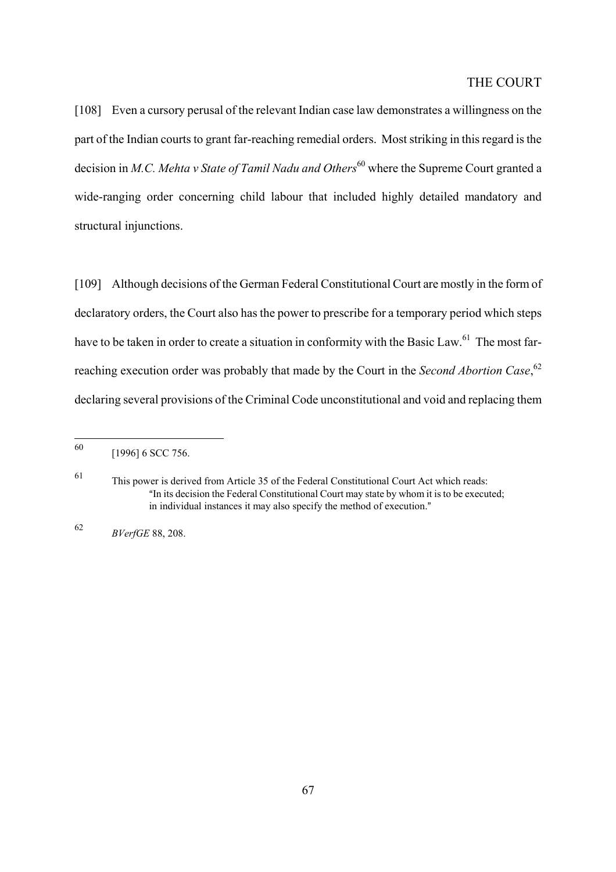[108] Even a cursory perusal of the relevant Indian case law demonstrates a willingness on the part of the Indian courts to grant far-reaching remedial orders. Most striking in this regard is the decision in *M.C. Mehta v State of Tamil Nadu and Others*<sup>60</sup> where the Supreme Court granted a wide-ranging order concerning child labour that included highly detailed mandatory and structural injunctions.

[109] Although decisions of the German Federal Constitutional Court are mostly in the form of declaratory orders, the Court also has the power to prescribe for a temporary period which steps have to be taken in order to create a situation in conformity with the Basic Law.<sup>61</sup> The most farreaching execution order was probably that made by the Court in the *Second Abortion Case*,<sup>[62](#page-66-2)</sup> declaring several provisions of the Criminal Code unconstitutional and void and replacing them

<span id="page-66-0"></span><sup>60</sup> [1996] 6 SCC 756.

<span id="page-66-1"></span><sup>61</sup> This power is derived from Article 35 of the Federal Constitutional Court Act which reads: AIn its decision the Federal Constitutional Court may state by whom it is to be executed; in individual instances it may also specify the method of execution."

<span id="page-66-2"></span><sup>62</sup> *BVerfGE* 88, 208.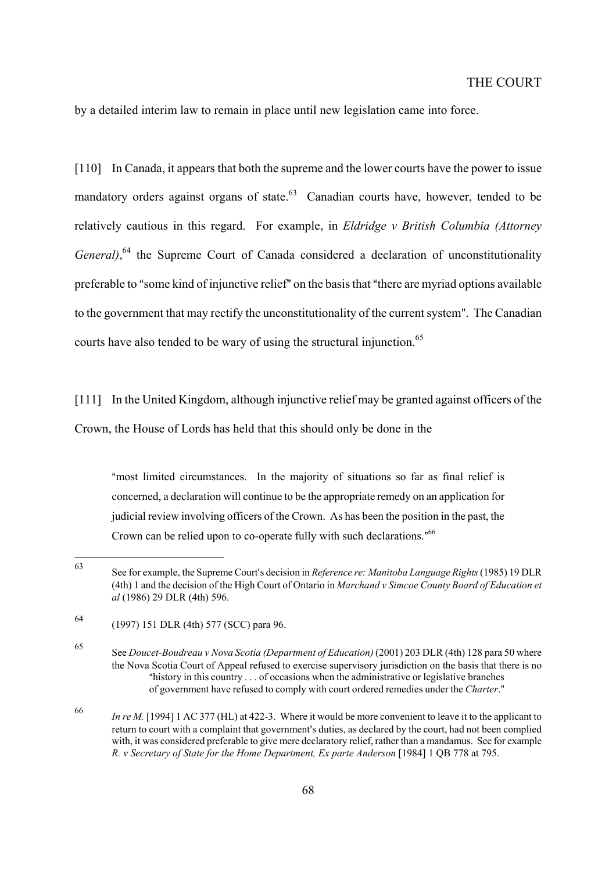by a detailed interim law to remain in place until new legislation came into force.

[110] In Canada, it appears that both the supreme and the lower courts have the power to issue mandatory orders against organs of state. $63$  Canadian courts have, however, tended to be relatively cautious in this regard. For example, in *Eldridge v British Columbia (Attorney*  General),<sup>64</sup> the Supreme Court of Canada considered a declaration of unconstitutionality preferable to "some kind of injunctive relief" on the basis that "there are myriad options available to the government that may rectify the unconstitutionality of the current system". The Canadian courts have also tended to be wary of using the structural injunction.<sup>[65](#page-67-2)</sup>

[111] In the United Kingdom, although injunctive relief may be granted against officers of the Crown, the House of Lords has held that this should only be done in the

"most limited circumstances. In the majority of situations so far as final relief is concerned, a declaration will continue to be the appropriate remedy on an application for judicial review involving officers of the Crown. As has been the position in the past, the Crown can be relied upon to co-operate fully with such declarations."<sup>[66](#page-67-3)</sup>

<span id="page-67-0"></span><sup>63</sup> See for example, the Supreme Court's decision in *Reference re: Manitoba Language Rights* (1985) 19 DLR (4th) 1 and the decision of the High Court of Ontario in *Marchand v Simcoe County Board of Education et al* (1986) 29 DLR (4th) 596.

<span id="page-67-1"></span><sup>64</sup> (1997) 151 DLR (4th) 577 (SCC) para 96.

<span id="page-67-2"></span><sup>65</sup> See *Doucet-Boudreau v Nova Scotia (Department of Education)* (2001) 203 DLR (4th) 128 para 50 where the Nova Scotia Court of Appeal refused to exercise supervisory jurisdiction on the basis that there is no "history in this country  $\ldots$  of occasions when the administrative or legislative branches of government have refused to comply with court ordered remedies under the *Charter*."

<span id="page-67-3"></span><sup>66</sup> *In re M.* [1994] 1 AC 377 (HL) at 422-3. Where it would be more convenient to leave it to the applicant to return to court with a complaint that government's duties, as declared by the court, had not been complied with, it was considered preferable to give mere declaratory relief, rather than a mandamus. See for example *R. v Secretary of State for the Home Department, Ex parte Anderson* [1984] 1 QB 778 at 795.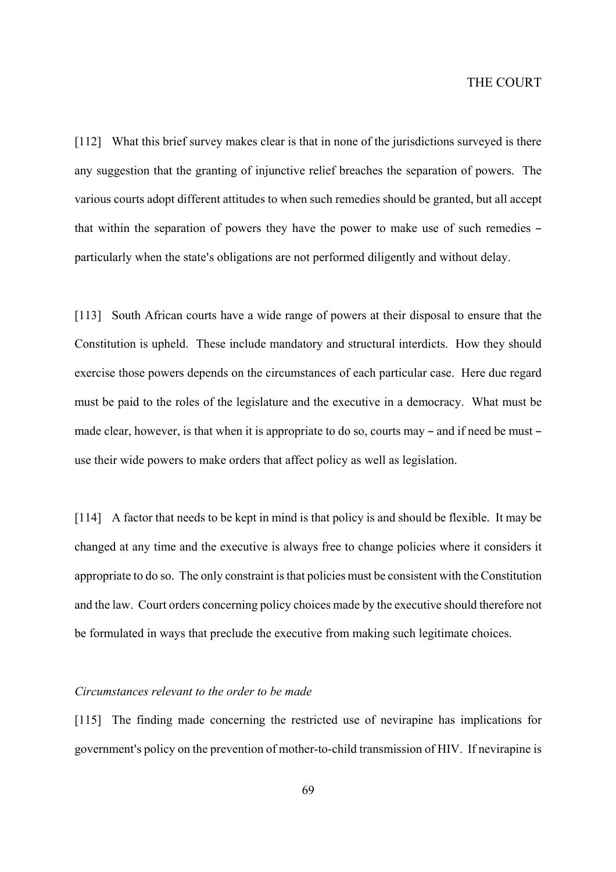[112] What this brief survey makes clear is that in none of the jurisdictions surveyed is there any suggestion that the granting of injunctive relief breaches the separation of powers. The various courts adopt different attitudes to when such remedies should be granted, but all accept that within the separation of powers they have the power to make use of such remedies – particularly when the state's obligations are not performed diligently and without delay.

[113] South African courts have a wide range of powers at their disposal to ensure that the Constitution is upheld. These include mandatory and structural interdicts. How they should exercise those powers depends on the circumstances of each particular case. Here due regard must be paid to the roles of the legislature and the executive in a democracy. What must be made clear, however, is that when it is appropriate to do so, courts may – and if need be must – use their wide powers to make orders that affect policy as well as legislation.

[114] A factor that needs to be kept in mind is that policy is and should be flexible. It may be changed at any time and the executive is always free to change policies where it considers it appropriate to do so. The only constraint is that policies must be consistent with the Constitution and the law. Court orders concerning policy choices made by the executive should therefore not be formulated in ways that preclude the executive from making such legitimate choices.

# *Circumstances relevant to the order to be made*

[115] The finding made concerning the restricted use of nevirapine has implications for government's policy on the prevention of mother-to-child transmission of HIV. If nevirapine is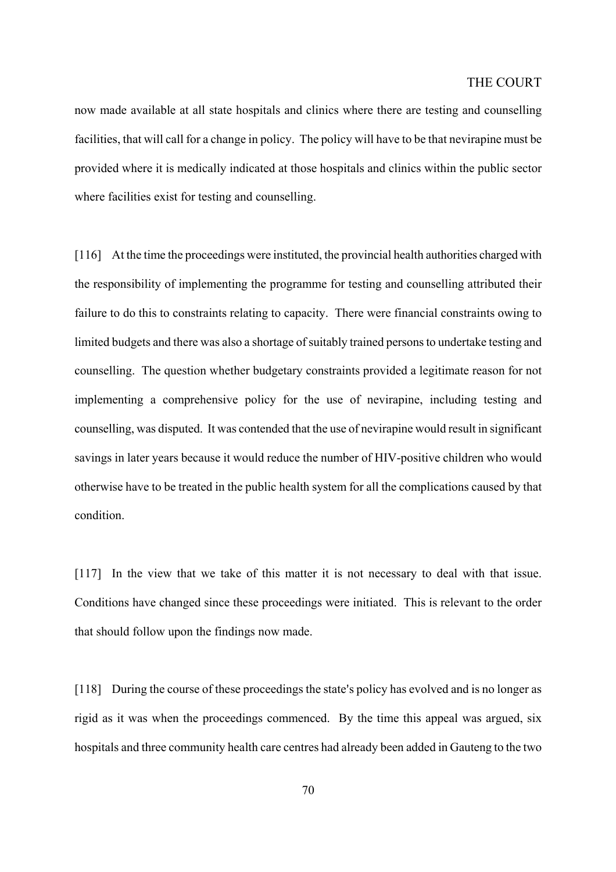now made available at all state hospitals and clinics where there are testing and counselling facilities, that will call for a change in policy. The policy will have to be that nevirapine must be provided where it is medically indicated at those hospitals and clinics within the public sector where facilities exist for testing and counselling.

[116] At the time the proceedings were instituted, the provincial health authorities charged with the responsibility of implementing the programme for testing and counselling attributed their failure to do this to constraints relating to capacity. There were financial constraints owing to limited budgets and there was also a shortage of suitably trained persons to undertake testing and counselling. The question whether budgetary constraints provided a legitimate reason for not implementing a comprehensive policy for the use of nevirapine, including testing and counselling, was disputed. It was contended that the use of nevirapine would result in significant savings in later years because it would reduce the number of HIV-positive children who would otherwise have to be treated in the public health system for all the complications caused by that condition.

[117] In the view that we take of this matter it is not necessary to deal with that issue. Conditions have changed since these proceedings were initiated. This is relevant to the order that should follow upon the findings now made.

[118] During the course of these proceedings the state's policy has evolved and is no longer as rigid as it was when the proceedings commenced. By the time this appeal was argued, six hospitals and three community health care centres had already been added in Gauteng to the two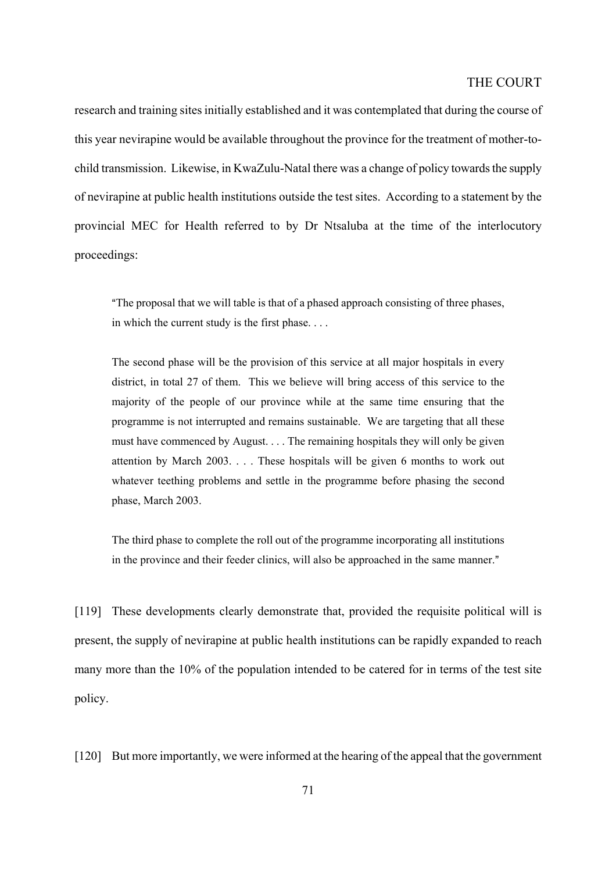research and training sites initially established and it was contemplated that during the course of this year nevirapine would be available throughout the province for the treatment of mother-tochild transmission. Likewise, in KwaZulu-Natal there was a change of policy towards the supply of nevirapine at public health institutions outside the test sites. According to a statement by the provincial MEC for Health referred to by Dr Ntsaluba at the time of the interlocutory proceedings:

AThe proposal that we will table is that of a phased approach consisting of three phases, in which the current study is the first phase. . . .

The second phase will be the provision of this service at all major hospitals in every district, in total 27 of them. This we believe will bring access of this service to the majority of the people of our province while at the same time ensuring that the programme is not interrupted and remains sustainable. We are targeting that all these must have commenced by August. . . . The remaining hospitals they will only be given attention by March 2003. . . . These hospitals will be given 6 months to work out whatever teething problems and settle in the programme before phasing the second phase, March 2003.

The third phase to complete the roll out of the programme incorporating all institutions in the province and their feeder clinics, will also be approached in the same manner."

[119] These developments clearly demonstrate that, provided the requisite political will is present, the supply of nevirapine at public health institutions can be rapidly expanded to reach many more than the 10% of the population intended to be catered for in terms of the test site policy.

[120] But more importantly, we were informed at the hearing of the appeal that the government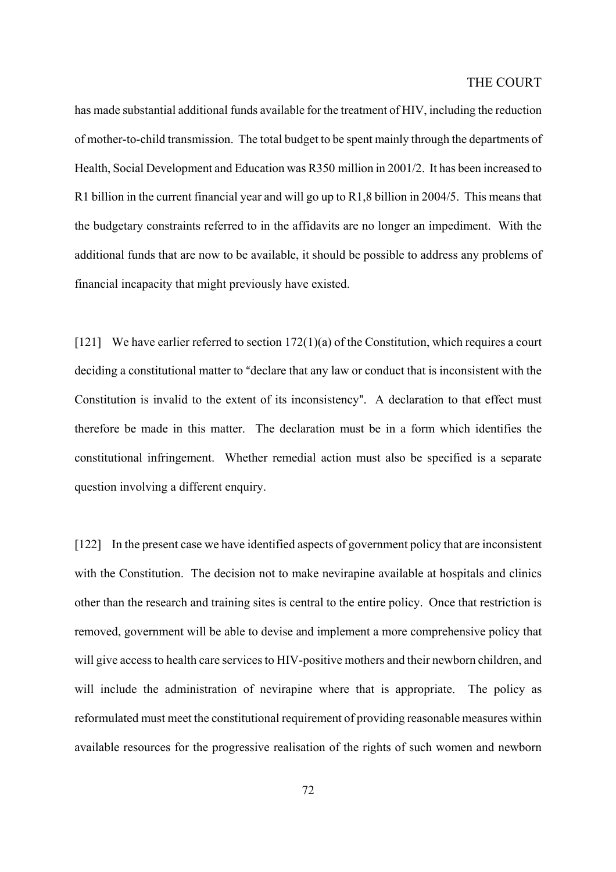has made substantial additional funds available for the treatment of HIV, including the reduction of mother-to-child transmission. The total budget to be spent mainly through the departments of Health, Social Development and Education was R350 million in 2001/2. It has been increased to R1 billion in the current financial year and will go up to R1,8 billion in 2004/5. This means that the budgetary constraints referred to in the affidavits are no longer an impediment. With the additional funds that are now to be available, it should be possible to address any problems of financial incapacity that might previously have existed.

[121] We have earlier referred to section 172(1)(a) of the Constitution, which requires a court deciding a constitutional matter to "declare that any law or conduct that is inconsistent with the Constitution is invalid to the extent of its inconsistency". A declaration to that effect must therefore be made in this matter. The declaration must be in a form which identifies the constitutional infringement. Whether remedial action must also be specified is a separate question involving a different enquiry.

[122] In the present case we have identified aspects of government policy that are inconsistent with the Constitution. The decision not to make nevirapine available at hospitals and clinics other than the research and training sites is central to the entire policy. Once that restriction is removed, government will be able to devise and implement a more comprehensive policy that will give access to health care services to HIV-positive mothers and their newborn children, and will include the administration of nevirapine where that is appropriate. The policy as reformulated must meet the constitutional requirement of providing reasonable measures within available resources for the progressive realisation of the rights of such women and newborn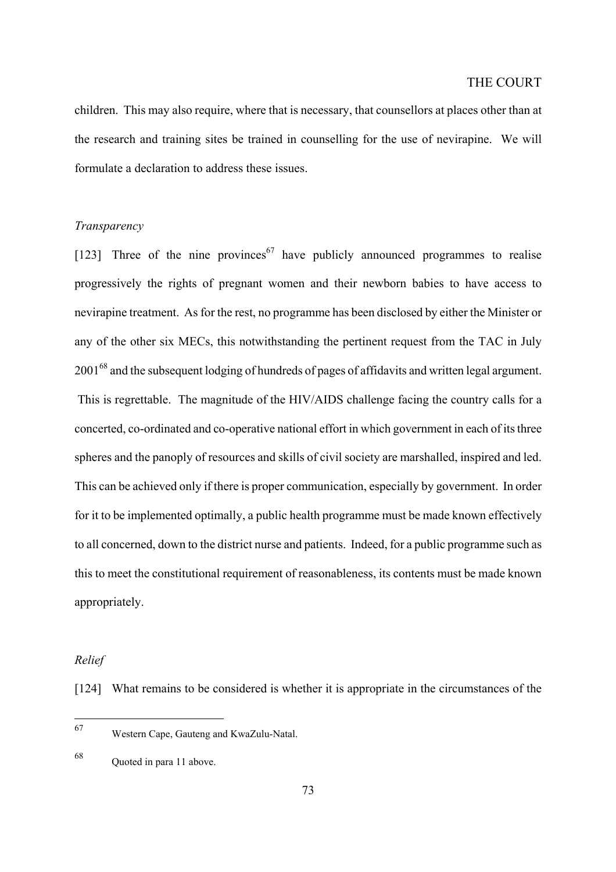children. This may also require, where that is necessary, that counsellors at places other than at the research and training sites be trained in counselling for the use of nevirapine. We will formulate a declaration to address these issues.

# *Transparency*

[123] Three of the nine provinces<sup>67</sup> have publicly announced programmes to realise progressively the rights of pregnant women and their newborn babies to have access to nevirapine treatment. As for the rest, no programme has been disclosed by either the Minister or any of the other six MECs, this notwithstanding the pertinent request from the TAC in July 2001[68](#page-72-1) and the subsequent lodging of hundreds of pages of affidavits and written legal argument. This is regrettable. The magnitude of the HIV/AIDS challenge facing the country calls for a concerted, co-ordinated and co-operative national effort in which government in each of its three spheres and the panoply of resources and skills of civil society are marshalled, inspired and led. This can be achieved only if there is proper communication, especially by government. In order for it to be implemented optimally, a public health programme must be made known effectively to all concerned, down to the district nurse and patients. Indeed, for a public programme such as this to meet the constitutional requirement of reasonableness, its contents must be made known appropriately.

#### *Relief*

[124] What remains to be considered is whether it is appropriate in the circumstances of the

<span id="page-72-0"></span><sup>67</sup> Western Cape, Gauteng and KwaZulu-Natal.

<span id="page-72-1"></span><sup>68</sup> Quoted in para 11 above.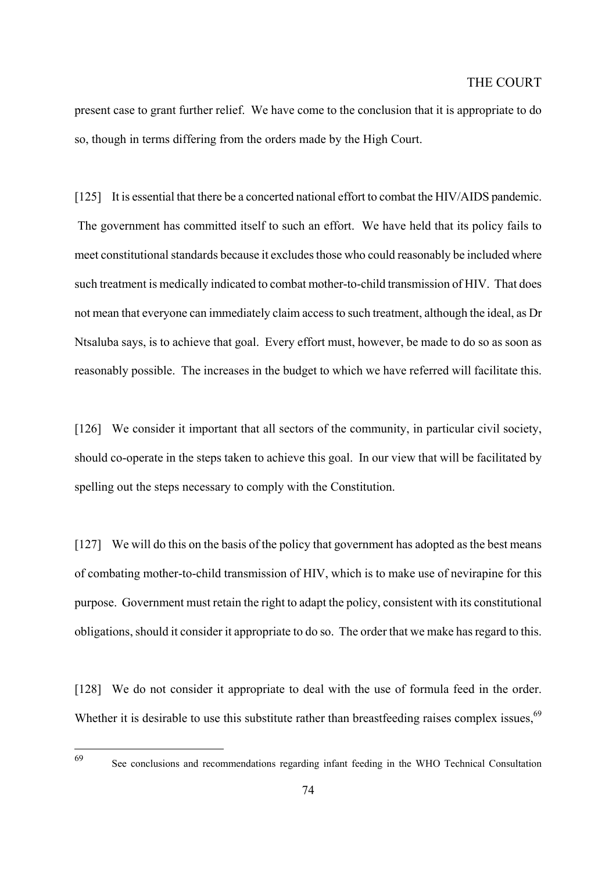present case to grant further relief. We have come to the conclusion that it is appropriate to do so, though in terms differing from the orders made by the High Court.

[125] It is essential that there be a concerted national effort to combat the HIV/AIDS pandemic. The government has committed itself to such an effort. We have held that its policy fails to meet constitutional standards because it excludes those who could reasonably be included where such treatment is medically indicated to combat mother-to-child transmission of HIV. That does not mean that everyone can immediately claim access to such treatment, although the ideal, as Dr Ntsaluba says, is to achieve that goal. Every effort must, however, be made to do so as soon as reasonably possible. The increases in the budget to which we have referred will facilitate this.

[126] We consider it important that all sectors of the community, in particular civil society, should co-operate in the steps taken to achieve this goal. In our view that will be facilitated by spelling out the steps necessary to comply with the Constitution.

[127] We will do this on the basis of the policy that government has adopted as the best means of combating mother-to-child transmission of HIV, which is to make use of nevirapine for this purpose. Government must retain the right to adapt the policy, consistent with its constitutional obligations, should it consider it appropriate to do so. The order that we make has regard to this.

[128] We do not consider it appropriate to deal with the use of formula feed in the order. Whether it is desirable to use this substitute rather than breastfeeding raises complex issues.<sup>69</sup>

<span id="page-73-0"></span>69

<sup>69</sup> See conclusions and recommendations regarding infant feeding in the WHO Technical Consultation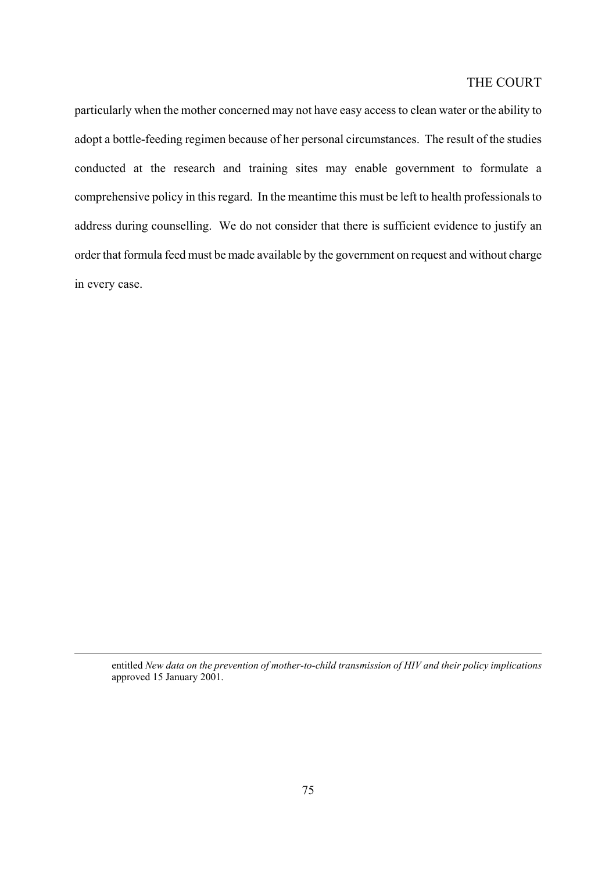particularly when the mother concerned may not have easy access to clean water or the ability to adopt a bottle-feeding regimen because of her personal circumstances. The result of the studies conducted at the research and training sites may enable government to formulate a comprehensive policy in this regard. In the meantime this must be left to health professionals to address during counselling. We do not consider that there is sufficient evidence to justify an order that formula feed must be made available by the government on request and without charge in every case.

 entitled *New data on the prevention of mother-to-child transmission of HIV and their policy implications* approved 15 January 2001.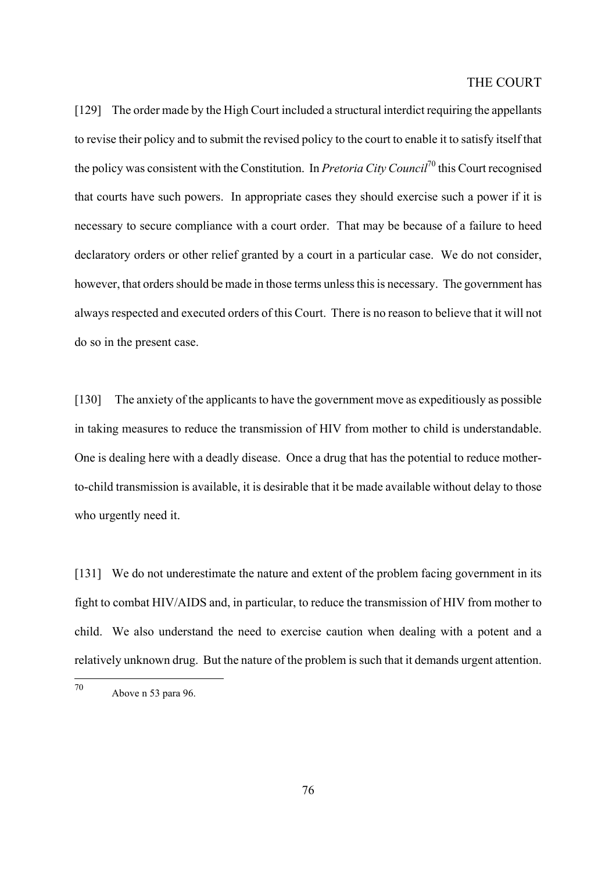[129] The order made by the High Court included a structural interdict requiring the appellants to revise their policy and to submit the revised policy to the court to enable it to satisfy itself that the policy was consistent with the Constitution. In *Pretoria City Council*[70 t](#page-75-0)his Court recognised that courts have such powers. In appropriate cases they should exercise such a power if it is necessary to secure compliance with a court order. That may be because of a failure to heed declaratory orders or other relief granted by a court in a particular case. We do not consider, however, that orders should be made in those terms unless this is necessary. The government has always respected and executed orders of this Court. There is no reason to believe that it will not do so in the present case.

[130] The anxiety of the applicants to have the government move as expeditiously as possible in taking measures to reduce the transmission of HIV from mother to child is understandable. One is dealing here with a deadly disease. Once a drug that has the potential to reduce motherto-child transmission is available, it is desirable that it be made available without delay to those who urgently need it.

[131] We do not underestimate the nature and extent of the problem facing government in its fight to combat HIV/AIDS and, in particular, to reduce the transmission of HIV from mother to child. We also understand the need to exercise caution when dealing with a potent and a relatively unknown drug. But the nature of the problem is such that it demands urgent attention.

<span id="page-75-0"></span> $70$ Above n 53 para 96.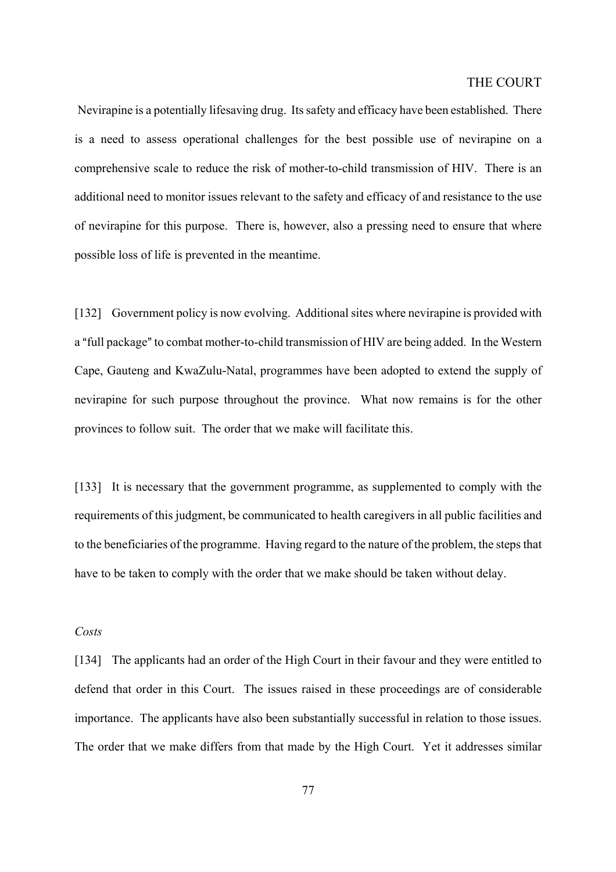Nevirapine is a potentially lifesaving drug. Its safety and efficacy have been established. There is a need to assess operational challenges for the best possible use of nevirapine on a comprehensive scale to reduce the risk of mother-to-child transmission of HIV. There is an additional need to monitor issues relevant to the safety and efficacy of and resistance to the use of nevirapine for this purpose. There is, however, also a pressing need to ensure that where possible loss of life is prevented in the meantime.

[132] Government policy is now evolving. Additional sites where nevirapine is provided with a "full package" to combat mother-to-child transmission of HIV are being added. In the Western Cape, Gauteng and KwaZulu-Natal, programmes have been adopted to extend the supply of nevirapine for such purpose throughout the province. What now remains is for the other provinces to follow suit. The order that we make will facilitate this.

[133] It is necessary that the government programme, as supplemented to comply with the requirements of this judgment, be communicated to health caregivers in all public facilities and to the beneficiaries of the programme. Having regard to the nature of the problem, the steps that have to be taken to comply with the order that we make should be taken without delay.

#### *Costs*

[134] The applicants had an order of the High Court in their favour and they were entitled to defend that order in this Court. The issues raised in these proceedings are of considerable importance. The applicants have also been substantially successful in relation to those issues. The order that we make differs from that made by the High Court. Yet it addresses similar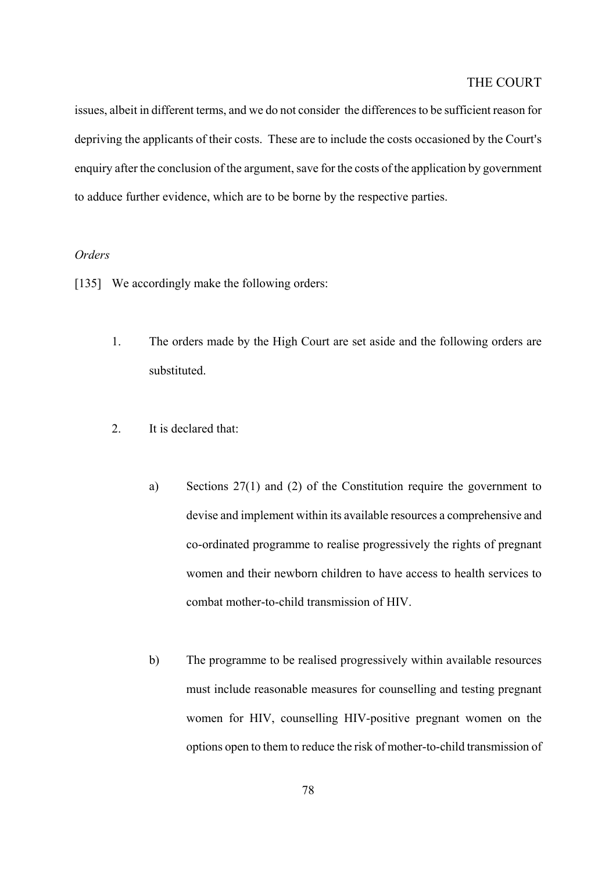issues, albeit in different terms, and we do not consider the differences to be sufficient reason for depriving the applicants of their costs. These are to include the costs occasioned by the Court's enquiry after the conclusion of the argument, save for the costs of the application by government to adduce further evidence, which are to be borne by the respective parties.

## *Orders*

[135] We accordingly make the following orders:

- 1. The orders made by the High Court are set aside and the following orders are substituted.
- 2. It is declared that:
	- a) Sections 27(1) and (2) of the Constitution require the government to devise and implement within its available resources a comprehensive and co-ordinated programme to realise progressively the rights of pregnant women and their newborn children to have access to health services to combat mother-to-child transmission of HIV.
	- b) The programme to be realised progressively within available resources must include reasonable measures for counselling and testing pregnant women for HIV, counselling HIV-positive pregnant women on the options open to them to reduce the risk of mother-to-child transmission of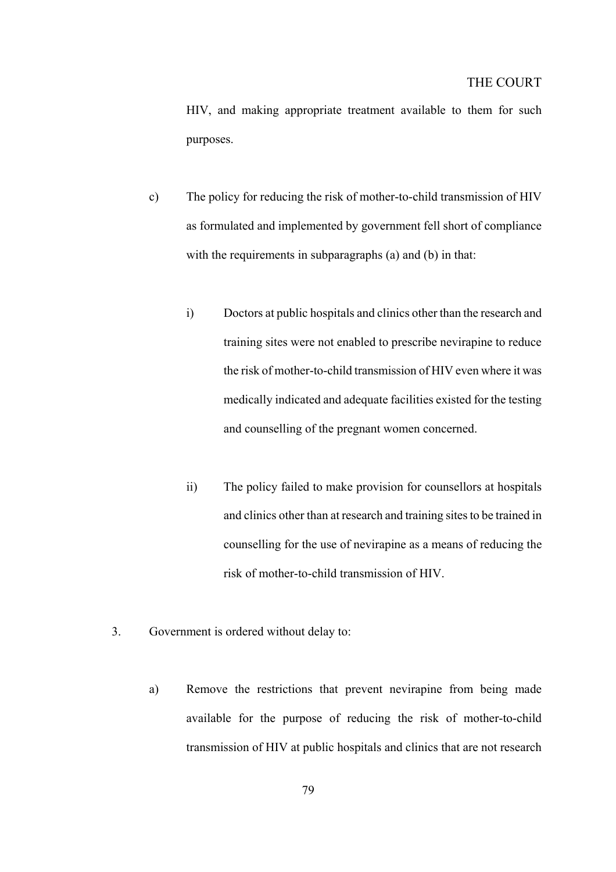HIV, and making appropriate treatment available to them for such purposes.

- c) The policy for reducing the risk of mother-to-child transmission of HIV as formulated and implemented by government fell short of compliance with the requirements in subparagraphs (a) and (b) in that:
	- i) Doctors at public hospitals and clinics other than the research and training sites were not enabled to prescribe nevirapine to reduce the risk of mother-to-child transmission of HIV even where it was medically indicated and adequate facilities existed for the testing and counselling of the pregnant women concerned.
	- ii) The policy failed to make provision for counsellors at hospitals and clinics other than at research and training sites to be trained in counselling for the use of nevirapine as a means of reducing the risk of mother-to-child transmission of HIV.
- 3. Government is ordered without delay to:
	- a) Remove the restrictions that prevent nevirapine from being made available for the purpose of reducing the risk of mother-to-child transmission of HIV at public hospitals and clinics that are not research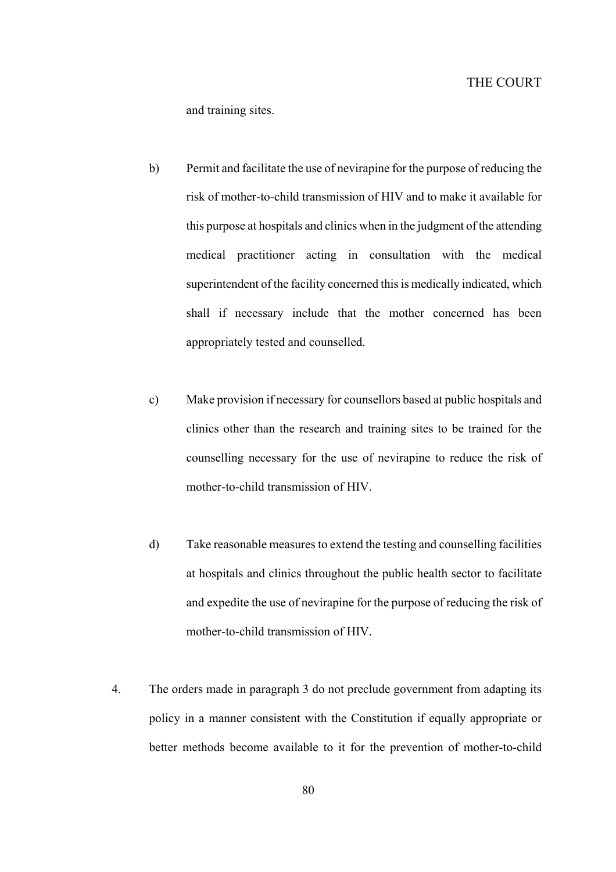and training sites.

- b) Permit and facilitate the use of nevirapine for the purpose of reducing the risk of mother-to-child transmission of HIV and to make it available for this purpose at hospitals and clinics when in the judgment of the attending medical practitioner acting in consultation with the medical superintendent of the facility concerned this is medically indicated, which shall if necessary include that the mother concerned has been appropriately tested and counselled.
- c) Make provision if necessary for counsellors based at public hospitals and clinics other than the research and training sites to be trained for the counselling necessary for the use of nevirapine to reduce the risk of mother-to-child transmission of HIV.
- d) Take reasonable measures to extend the testing and counselling facilities at hospitals and clinics throughout the public health sector to facilitate and expedite the use of nevirapine for the purpose of reducing the risk of mother-to-child transmission of HIV.
- 4. The orders made in paragraph 3 do not preclude government from adapting its policy in a manner consistent with the Constitution if equally appropriate or better methods become available to it for the prevention of mother-to-child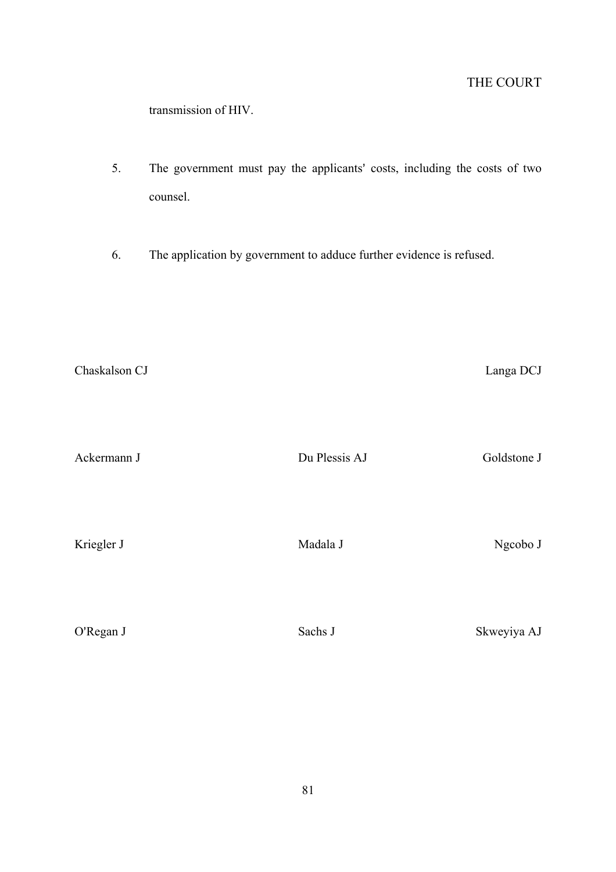transmission of HIV.

- 5. The government must pay the applicants' costs, including the costs of two counsel.
- 6. The application by government to adduce further evidence is refused.

Chaskalson CJ Langa DCJ Ackermann J Du Plessis AJ Goldstone J Kriegler J Madala J Madala J Ngcobo J

O'Regan J Sachs J Sachs J Skweyiya AJ